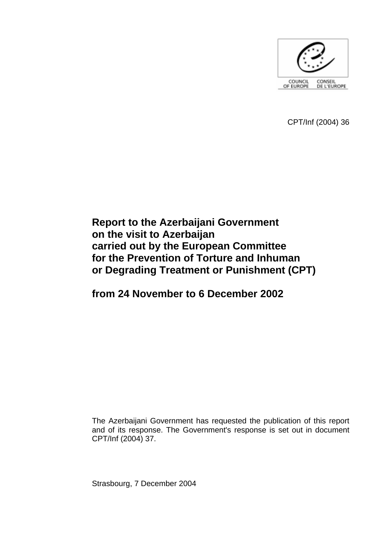

CPT/Inf (2004) 36

# **Report to the Azerbaijani Government on the visit to Azerbaijan carried out by the European Committee for the Prevention of Torture and Inhuman or Degrading Treatment or Punishment (CPT)**

# **from 24 November to 6 December 2002**

The Azerbaijani Government has requested the publication of this report and of its response. The Government's response is set out in document CPT/Inf (2004) 37.

Strasbourg, 7 December 2004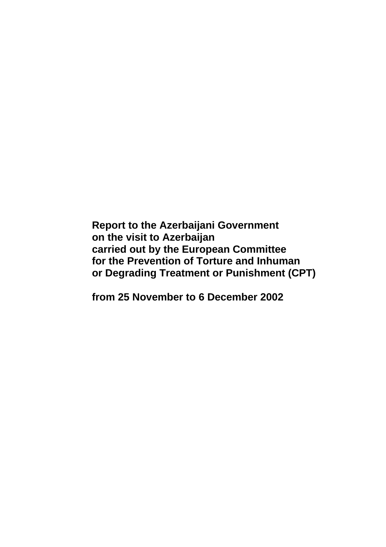**Report to the Azerbaijani Government on the visit to Azerbaijan carried out by the European Committee for the Prevention of Torture and Inhuman or Degrading Treatment or Punishment (CPT)** 

**from 25 November to 6 December 2002**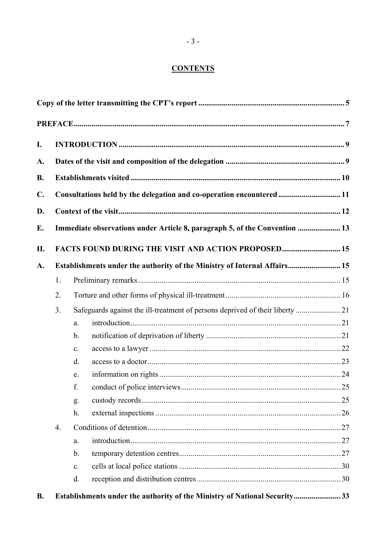# **CONTENTS**

| I.             |                                                                            |                                                                               |  |  |  |  |  |
|----------------|----------------------------------------------------------------------------|-------------------------------------------------------------------------------|--|--|--|--|--|
| A.             |                                                                            |                                                                               |  |  |  |  |  |
| <b>B.</b>      |                                                                            |                                                                               |  |  |  |  |  |
| $\mathbf{C}$ . | Consultations held by the delegation and co-operation encountered 11       |                                                                               |  |  |  |  |  |
|                |                                                                            |                                                                               |  |  |  |  |  |
| D.             |                                                                            |                                                                               |  |  |  |  |  |
| E.             | Immediate observations under Article 8, paragraph 5, of the Convention  13 |                                                                               |  |  |  |  |  |
| П.             | FACTS FOUND DURING THE VISIT AND ACTION PROPOSED 15                        |                                                                               |  |  |  |  |  |
| A.             | Establishments under the authority of the Ministry of Internal Affairs 15  |                                                                               |  |  |  |  |  |
|                | 1.                                                                         |                                                                               |  |  |  |  |  |
|                | 2.                                                                         |                                                                               |  |  |  |  |  |
|                | 3 <sub>1</sub>                                                             | Safeguards against the ill-treatment of persons deprived of their liberty  21 |  |  |  |  |  |
|                |                                                                            | a.                                                                            |  |  |  |  |  |
|                |                                                                            | $\mathbf b$ .                                                                 |  |  |  |  |  |
|                |                                                                            | C <sub>1</sub>                                                                |  |  |  |  |  |
|                |                                                                            | d.                                                                            |  |  |  |  |  |
|                |                                                                            | e.                                                                            |  |  |  |  |  |
|                |                                                                            | f.                                                                            |  |  |  |  |  |
|                |                                                                            | g.                                                                            |  |  |  |  |  |
|                |                                                                            | h.                                                                            |  |  |  |  |  |
|                | 4.                                                                         |                                                                               |  |  |  |  |  |
|                |                                                                            | a.                                                                            |  |  |  |  |  |
|                |                                                                            | $\mathbf b$ .                                                                 |  |  |  |  |  |
|                |                                                                            | C <sub>1</sub>                                                                |  |  |  |  |  |
|                |                                                                            | d.                                                                            |  |  |  |  |  |
| <b>B.</b>      | Establishments under the authority of the Ministry of National Security33  |                                                                               |  |  |  |  |  |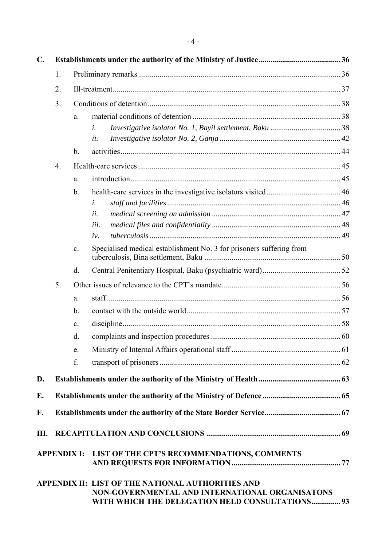| $\mathbf{C}$ .     |          |    |                                                                                                                                                                                                        |  |  |
|--------------------|----------|----|--------------------------------------------------------------------------------------------------------------------------------------------------------------------------------------------------------|--|--|
|                    | 1.<br>2. |    |                                                                                                                                                                                                        |  |  |
|                    |          |    |                                                                                                                                                                                                        |  |  |
|                    |          | a. |                                                                                                                                                                                                        |  |  |
|                    |          |    | i.                                                                                                                                                                                                     |  |  |
|                    |          |    | ii.                                                                                                                                                                                                    |  |  |
|                    |          | b. |                                                                                                                                                                                                        |  |  |
|                    | 4.       |    |                                                                                                                                                                                                        |  |  |
|                    |          | a. |                                                                                                                                                                                                        |  |  |
|                    |          | b. |                                                                                                                                                                                                        |  |  |
|                    |          |    | i.                                                                                                                                                                                                     |  |  |
|                    |          |    | ii.                                                                                                                                                                                                    |  |  |
|                    |          |    | iii.                                                                                                                                                                                                   |  |  |
|                    |          |    | iv.                                                                                                                                                                                                    |  |  |
|                    |          | c. | Specialised medical establishment No. 3 for prisoners suffering from                                                                                                                                   |  |  |
|                    |          | d. |                                                                                                                                                                                                        |  |  |
|                    | 5.       |    |                                                                                                                                                                                                        |  |  |
|                    |          | a. |                                                                                                                                                                                                        |  |  |
|                    |          | b. |                                                                                                                                                                                                        |  |  |
|                    |          | c. |                                                                                                                                                                                                        |  |  |
|                    |          | d. |                                                                                                                                                                                                        |  |  |
|                    |          | e. |                                                                                                                                                                                                        |  |  |
|                    |          | f. |                                                                                                                                                                                                        |  |  |
| D.                 |          |    |                                                                                                                                                                                                        |  |  |
| Е.                 |          |    |                                                                                                                                                                                                        |  |  |
|                    |          |    |                                                                                                                                                                                                        |  |  |
| F.                 |          |    |                                                                                                                                                                                                        |  |  |
| Ш.                 |          |    |                                                                                                                                                                                                        |  |  |
| <b>APPENDIX I:</b> |          |    | LIST OF THE CPT'S RECOMMENDATIONS, COMMENTS<br>APPENDIX II: LIST OF THE NATIONAL AUTHORITIES AND<br>NON-GOVERNMENTAL AND INTERNATIONAL ORGANISATONS<br>WITH WHICH THE DELEGATION HELD CONSULTATIONS 93 |  |  |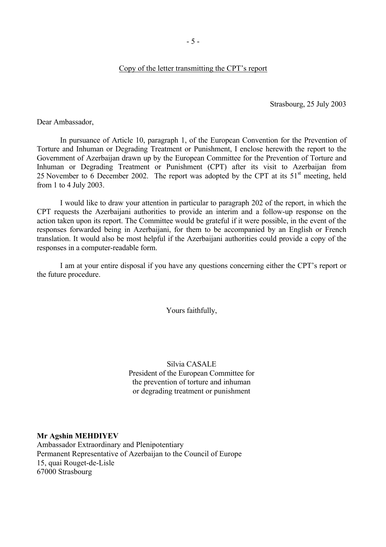#### Copy of the letter transmitting the CPT's report

Strasbourg, 25 July 2003

<span id="page-6-0"></span>Dear Ambassador,

 In pursuance of Article 10, paragraph 1, of the European Convention for the Prevention of Torture and Inhuman or Degrading Treatment or Punishment, I enclose herewith the report to the Government of Azerbaijan drawn up by the European Committee for the Prevention of Torture and Inhuman or Degrading Treatment or Punishment (CPT) after its visit to Azerbaijan from 25 November to 6 December 2002. The report was adopted by the CPT at its  $51<sup>st</sup>$  meeting, held from 1 to 4 July 2003.

 I would like to draw your attention in particular to paragraph 202 of the report, in which the CPT requests the Azerbaijani authorities to provide an interim and a follow-up response on the action taken upon its report. The Committee would be grateful if it were possible, in the event of the responses forwarded being in Azerbaijani, for them to be accompanied by an English or French translation. It would also be most helpful if the Azerbaijani authorities could provide a copy of the responses in a computer-readable form.

I am at your entire disposal if you have any questions concerning either the CPT's report or the future procedure.

Yours faithfully,

Silvia CASALE President of the European Committee for the prevention of torture and inhuman or degrading treatment or punishment

#### **Mr Agshin MEHDIYEV**

Ambassador Extraordinary and Plenipotentiary Permanent Representative of Azerbaijan to the Council of Europe 15, quai Rouget-de-Lisle 67000 Strasbourg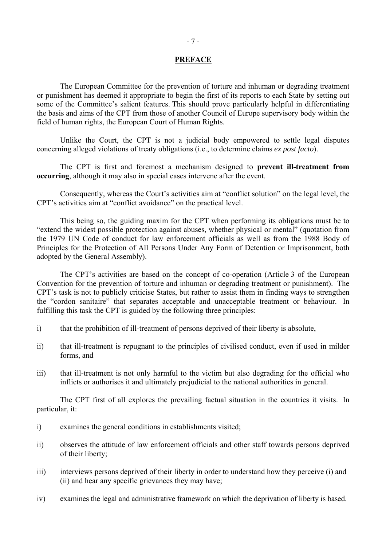#### **PREFACE**

<span id="page-8-0"></span> The European Committee for the prevention of torture and inhuman or degrading treatment or punishment has deemed it appropriate to begin the first of its reports to each State by setting out some of the Committee's salient features. This should prove particularly helpful in differentiating the basis and aims of the CPT from those of another Council of Europe supervisory body within the field of human rights, the European Court of Human Rights.

 Unlike the Court, the CPT is not a judicial body empowered to settle legal disputes concerning alleged violations of treaty obligations (i.e., to determine claims *ex post facto*).

 The CPT is first and foremost a mechanism designed to **prevent ill-treatment from occurring**, although it may also in special cases intervene after the event.

Consequently, whereas the Court's activities aim at "conflict solution" on the legal level, the CPT's activities aim at "conflict avoidance" on the practical level.

 This being so, the guiding maxim for the CPT when performing its obligations must be to Extend the widest possible protection against abuses, whether physical or mental" (quotation from the 1979 UN Code of conduct for law enforcement officials as well as from the 1988 Body of Principles for the Protection of All Persons Under Any Form of Detention or Imprisonment, both adopted by the General Assembly).

The CPT's activities are based on the concept of co-operation (Article 3 of the European Convention for the prevention of torture and inhuman or degrading treatment or punishment). The CPT's task is not to publicly criticise States, but rather to assist them in finding ways to strengthen the "cordon sanitaire" that separates acceptable and unacceptable treatment or behaviour. In fulfilling this task the CPT is guided by the following three principles:

- i) that the prohibition of ill-treatment of persons deprived of their liberty is absolute,
- ii) that ill-treatment is repugnant to the principles of civilised conduct, even if used in milder forms, and
- iii) that ill-treatment is not only harmful to the victim but also degrading for the official who inflicts or authorises it and ultimately prejudicial to the national authorities in general.

 The CPT first of all explores the prevailing factual situation in the countries it visits. In particular, it:

- i) examines the general conditions in establishments visited;
- ii) observes the attitude of law enforcement officials and other staff towards persons deprived of their liberty;
- iii) interviews persons deprived of their liberty in order to understand how they perceive (i) and (ii) and hear any specific grievances they may have;
- iv) examines the legal and administrative framework on which the deprivation of liberty is based.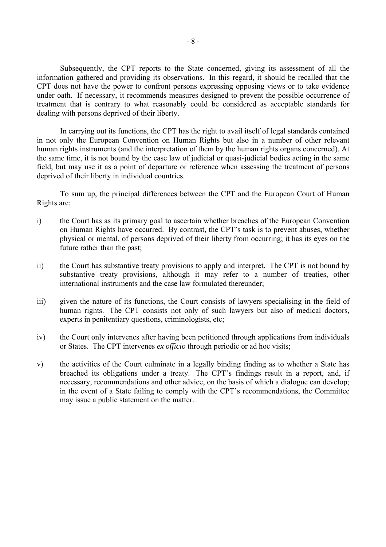Subsequently, the CPT reports to the State concerned, giving its assessment of all the information gathered and providing its observations. In this regard, it should be recalled that the CPT does not have the power to confront persons expressing opposing views or to take evidence under oath. If necessary, it recommends measures designed to prevent the possible occurrence of treatment that is contrary to what reasonably could be considered as acceptable standards for dealing with persons deprived of their liberty.

 In carrying out its functions, the CPT has the right to avail itself of legal standards contained in not only the European Convention on Human Rights but also in a number of other relevant human rights instruments (and the interpretation of them by the human rights organs concerned). At the same time, it is not bound by the case law of judicial or quasi-judicial bodies acting in the same field, but may use it as a point of departure or reference when assessing the treatment of persons deprived of their liberty in individual countries.

 To sum up, the principal differences between the CPT and the European Court of Human Rights are:

- i) the Court has as its primary goal to ascertain whether breaches of the European Convention on Human Rights have occurred. By contrast, the CPT's task is to prevent abuses, whether physical or mental, of persons deprived of their liberty from occurring; it has its eyes on the future rather than the past;
- ii) the Court has substantive treaty provisions to apply and interpret. The CPT is not bound by substantive treaty provisions, although it may refer to a number of treaties, other international instruments and the case law formulated thereunder;
- iii) given the nature of its functions, the Court consists of lawyers specialising in the field of human rights. The CPT consists not only of such lawyers but also of medical doctors, experts in penitentiary questions, criminologists, etc;
- iv) the Court only intervenes after having been petitioned through applications from individuals or States. The CPT intervenes *ex officio* through periodic or ad hoc visits;
- v) the activities of the Court culminate in a legally binding finding as to whether a State has breached its obligations under a treaty. The CPT's findings result in a report, and, if necessary, recommendations and other advice, on the basis of which a dialogue can develop; in the event of a State failing to comply with the CPT's recommendations, the Committee may issue a public statement on the matter.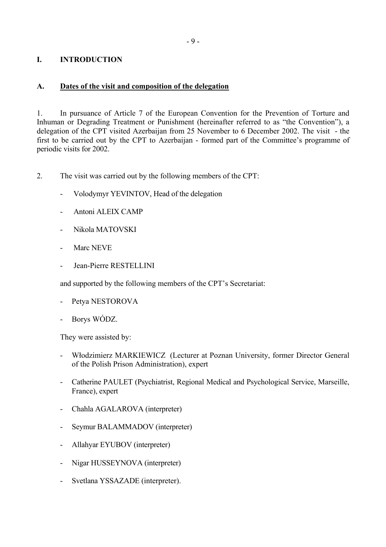# <span id="page-10-0"></span>**I. INTRODUCTION**

### **A. Dates of the visit and composition of the delegation**

1. In pursuance of Article 7 of the European Convention for the Prevention of Torture and Inhuman or Degrading Treatment or Punishment (hereinafter referred to as "the Convention"), a delegation of the CPT visited Azerbaijan from 25 November to 6 December 2002. The visit - the first to be carried out by the CPT to Azerbaijan - formed part of the Committee's programme of periodic visits for 2002.

2. The visit was carried out by the following members of the CPT:

- Volodymyr YEVINTOV, Head of the delegation
- Antoni ALEIX CAMP
- Nikola MATOVSKI
- Marc NEVE
- Jean-Pierre RESTELLINI

and supported by the following members of the CPT's Secretariat:

- Petya NESTOROVA
- Borys WÓDZ.

They were assisted by:

- Włodzimierz MARKIEWICZ (Lecturer at Poznan University, former Director General of the Polish Prison Administration), expert
- Catherine PAULET (Psychiatrist, Regional Medical and Psychological Service, Marseille, France), expert
- Chahla AGALAROVA (interpreter)
- Seymur BALAMMADOV (interpreter)
- Allahyar EYUBOV (interpreter)
- Nigar HUSSEYNOVA (interpreter)
- Svetlana YSSAZADE (interpreter).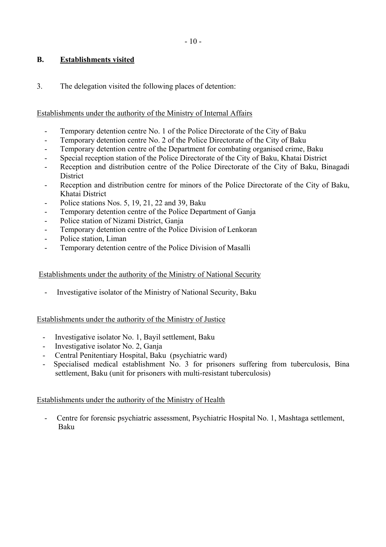# <span id="page-11-0"></span>**B. Establishments visited**

3. The delegation visited the following places of detention:

# Establishments under the authority of the Ministry of Internal Affairs

- Temporary detention centre No. 1 of the Police Directorate of the City of Baku
- Temporary detention centre No. 2 of the Police Directorate of the City of Baku
- Temporary detention centre of the Department for combating organised crime, Baku
- Special reception station of the Police Directorate of the City of Baku, Khatai District
- Reception and distribution centre of the Police Directorate of the City of Baku, Binagadi **District**
- Reception and distribution centre for minors of the Police Directorate of the City of Baku, Khatai District
- Police stations Nos. 5, 19, 21, 22 and 39, Baku
- Temporary detention centre of the Police Department of Ganja
- Police station of Nizami District, Ganja
- Temporary detention centre of the Police Division of Lenkoran
- Police station, Liman
- Temporary detention centre of the Police Division of Masalli

### Establishments under the authority of the Ministry of National Security

- Investigative isolator of the Ministry of National Security, Baku

#### Establishments under the authority of the Ministry of Justice

- Investigative isolator No. 1, Bayil settlement, Baku
- Investigative isolator No. 2, Ganja
- Central Penitentiary Hospital, Baku (psychiatric ward)
- Specialised medical establishment No. 3 for prisoners suffering from tuberculosis, Bina settlement, Baku (unit for prisoners with multi-resistant tuberculosis)

#### Establishments under the authority of the Ministry of Health

 - Centre for forensic psychiatric assessment, Psychiatric Hospital No. 1, Mashtaga settlement, Baku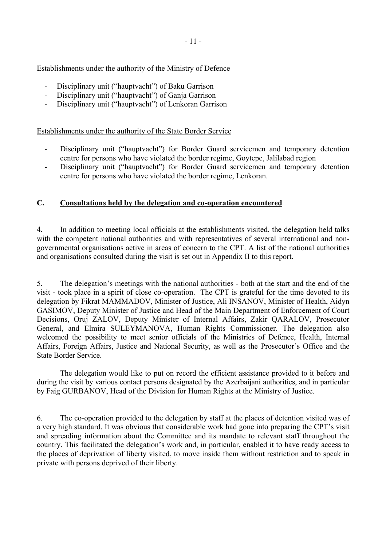# <span id="page-12-0"></span>Establishments under the authority of the Ministry of Defence

- Disciplinary unit ("hauptvacht") of Baku Garrison
- Disciplinary unit ("hauptvacht") of Ganja Garrison
- Disciplinary unit ("hauptvacht") of Lenkoran Garrison

### Establishments under the authority of the State Border Service

- Disciplinary unit ("hauptvacht") for Border Guard servicemen and temporary detention centre for persons who have violated the border regime, Goytepe, Jalilabad region
- Disciplinary unit ("hauptvacht") for Border Guard servicemen and temporary detention centre for persons who have violated the border regime, Lenkoran.

# **C. Consultations held by the delegation and co-operation encountered**

4. In addition to meeting local officials at the establishments visited, the delegation held talks with the competent national authorities and with representatives of several international and nongovernmental organisations active in areas of concern to the CPT. A list of the national authorities and organisations consulted during the visit is set out in Appendix II to this report.

5. The delegation's meetings with the national authorities - both at the start and the end of the visit - took place in a spirit of close co-operation. The CPT is grateful for the time devoted to its delegation by Fikrat MAMMADOV, Minister of Justice, Ali INSANOV, Minister of Health, Aidyn GASIMOV, Deputy Minister of Justice and Head of the Main Department of Enforcement of Court Decisions, Oruj ZALOV, Deputy Minister of Internal Affairs, Zakir QARALOV, Prosecutor General, and Elmira SULEYMANOVA, Human Rights Commissioner. The delegation also welcomed the possibility to meet senior officials of the Ministries of Defence, Health, Internal Affairs, Foreign Affairs, Justice and National Security, as well as the Prosecutor's Office and the State Border Service.

The delegation would like to put on record the efficient assistance provided to it before and during the visit by various contact persons designated by the Azerbaijani authorities, and in particular by Faig GURBANOV, Head of the Division for Human Rights at the Ministry of Justice.

6. The co-operation provided to the delegation by staff at the places of detention visited was of a very high standard. It was obvious that considerable work had gone into preparing the CPT's visit and spreading information about the Committee and its mandate to relevant staff throughout the country. This facilitated the delegation's work and, in particular, enabled it to have ready access to the places of deprivation of liberty visited, to move inside them without restriction and to speak in private with persons deprived of their liberty.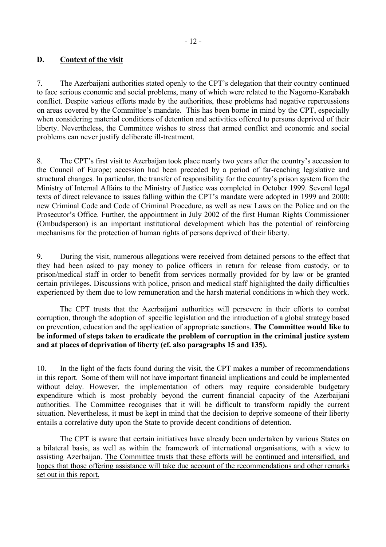# <span id="page-13-0"></span>**D. Context of the visit**

7. The Azerbaijani authorities stated openly to the CPT's delegation that their country continued to face serious economic and social problems, many of which were related to the Nagorno-Karabakh conflict. Despite various efforts made by the authorities, these problems had negative repercussions on areas covered by the Committee's mandate. This has been borne in mind by the CPT, especially when considering material conditions of detention and activities offered to persons deprived of their liberty. Nevertheless, the Committee wishes to stress that armed conflict and economic and social problems can never justify deliberate ill-treatment.

8. The CPT's first visit to Azerbaijan took place nearly two years after the country's accession to the Council of Europe; accession had been preceded by a period of far-reaching legislative and structural changes. In particular, the transfer of responsibility for the country's prison system from the Ministry of Internal Affairs to the Ministry of Justice was completed in October 1999. Several legal texts of direct relevance to issues falling within the CPT's mandate were adopted in 1999 and 2000: new Criminal Code and Code of Criminal Procedure, as well as new Laws on the Police and on the Prosecutor's Office. Further, the appointment in July 2002 of the first Human Rights Commissioner (Ombudsperson) is an important institutional development which has the potential of reinforcing mechanisms for the protection of human rights of persons deprived of their liberty.

9. During the visit, numerous allegations were received from detained persons to the effect that they had been asked to pay money to police officers in return for release from custody, or to prison/medical staff in order to benefit from services normally provided for by law or be granted certain privileges. Discussions with police, prison and medical staff highlighted the daily difficulties experienced by them due to low remuneration and the harsh material conditions in which they work.

 The CPT trusts that the Azerbaijani authorities will persevere in their efforts to combat corruption, through the adoption of specific legislation and the introduction of a global strategy based on prevention, education and the application of appropriate sanctions. **The Committee would like to be informed of steps taken to eradicate the problem of corruption in the criminal justice system and at places of deprivation of liberty (cf. also paragraphs 15 and 135).** 

10. In the light of the facts found during the visit, the CPT makes a number of recommendations in this report. Some of them will not have important financial implications and could be implemented without delay. However, the implementation of others may require considerable budgetary expenditure which is most probably beyond the current financial capacity of the Azerbaijani authorities. The Committee recognises that it will be difficult to transform rapidly the current situation. Nevertheless, it must be kept in mind that the decision to deprive someone of their liberty entails a correlative duty upon the State to provide decent conditions of detention.

 The CPT is aware that certain initiatives have already been undertaken by various States on a bilateral basis, as well as within the framework of international organisations, with a view to assisting Azerbaijan. The Committee trusts that these efforts will be continued and intensified, and hopes that those offering assistance will take due account of the recommendations and other remarks set out in this report.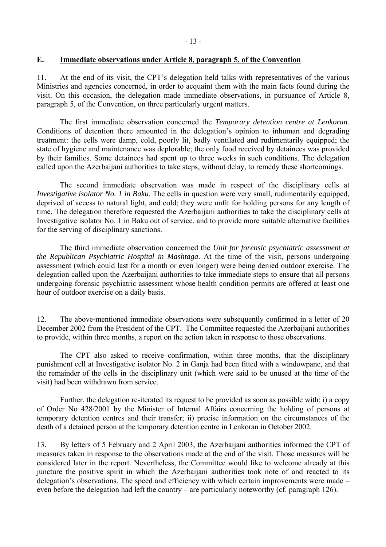### <span id="page-14-0"></span>**E. Immediate observations under Article 8, paragraph 5, of the Convention**

11. At the end of its visit, the CPT's delegation held talks with representatives of the various Ministries and agencies concerned, in order to acquaint them with the main facts found during the visit. On this occasion, the delegation made immediate observations, in pursuance of Article 8, paragraph 5, of the Convention, on three particularly urgent matters.

The first immediate observation concerned the *Temporary detention centre at Lenkoran*. Conditions of detention there amounted in the delegation's opinion to inhuman and degrading treatment: the cells were damp, cold, poorly lit, badly ventilated and rudimentarily equipped; the state of hygiene and maintenance was deplorable; the only food received by detainees was provided by their families. Some detainees had spent up to three weeks in such conditions. The delegation called upon the Azerbaijani authorities to take steps, without delay, to remedy these shortcomings.

The second immediate observation was made in respect of the disciplinary cells at *Investigative isolator No. 1 in Baku*. The cells in question were very small, rudimentarily equipped, deprived of access to natural light, and cold; they were unfit for holding persons for any length of time. The delegation therefore requested the Azerbaijani authorities to take the disciplinary cells at Investigative isolator No. 1 in Baku out of service, and to provide more suitable alternative facilities for the serving of disciplinary sanctions.

The third immediate observation concerned the *Unit for forensic psychiatric assessment at the Republican Psychiatric Hospital in Mashtaga*. At the time of the visit, persons undergoing assessment (which could last for a month or even longer) were being denied outdoor exercise. The delegation called upon the Azerbaijani authorities to take immediate steps to ensure that all persons undergoing forensic psychiatric assessment whose health condition permits are offered at least one hour of outdoor exercise on a daily basis.

12. The above-mentioned immediate observations were subsequently confirmed in a letter of 20 December 2002 from the President of the CPT. The Committee requested the Azerbaijani authorities to provide, within three months, a report on the action taken in response to those observations.

 The CPT also asked to receive confirmation, within three months, that the disciplinary punishment cell at Investigative isolator No. 2 in Ganja had been fitted with a windowpane, and that the remainder of the cells in the disciplinary unit (which were said to be unused at the time of the visit) had been withdrawn from service.

 Further, the delegation re-iterated its request to be provided as soon as possible with: i) a copy of Order No 428/2001 by the Minister of Internal Affairs concerning the holding of persons at temporary detention centres and their transfer; ii) precise information on the circumstances of the death of a detained person at the temporary detention centre in Lenkoran in October 2002.

13. By letters of 5 February and 2 April 2003, the Azerbaijani authorities informed the CPT of measures taken in response to the observations made at the end of the visit. Those measures will be considered later in the report. Nevertheless, the Committee would like to welcome already at this juncture the positive spirit in which the Azerbaijani authorities took note of and reacted to its delegation's observations. The speed and efficiency with which certain improvements were made  $$ even before the delegation had left the country – are particularly noteworthy (cf. paragraph 126).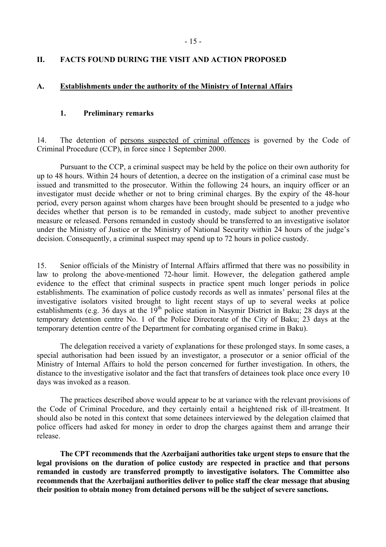### <span id="page-16-0"></span>**II. FACTS FOUND DURING THE VISIT AND ACTION PROPOSED**

#### **A. Establishments under the authority of the Ministry of Internal Affairs**

#### **1. Preliminary remarks**

14. The detention of persons suspected of criminal offences is governed by the Code of Criminal Procedure (CCP), in force since 1 September 2000.

 Pursuant to the CCP, a criminal suspect may be held by the police on their own authority for up to 48 hours. Within 24 hours of detention, a decree on the instigation of a criminal case must be issued and transmitted to the prosecutor. Within the following 24 hours, an inquiry officer or an investigator must decide whether or not to bring criminal charges. By the expiry of the 48-hour period, every person against whom charges have been brought should be presented to a judge who decides whether that person is to be remanded in custody, made subject to another preventive measure or released. Persons remanded in custody should be transferred to an investigative isolator under the Ministry of Justice or the Ministry of National Security within 24 hours of the judge's decision. Consequently, a criminal suspect may spend up to 72 hours in police custody.

15. Senior officials of the Ministry of Internal Affairs affirmed that there was no possibility in law to prolong the above-mentioned 72-hour limit. However, the delegation gathered ample evidence to the effect that criminal suspects in practice spent much longer periods in police establishments. The examination of police custody records as well as inmates' personal files at the investigative isolators visited brought to light recent stays of up to several weeks at police establishments (e.g. 36 days at the  $19<sup>th</sup>$  police station in Nasymir District in Baku; 28 days at the temporary detention centre No. 1 of the Police Directorate of the City of Baku; 23 days at the temporary detention centre of the Department for combating organised crime in Baku).

 The delegation received a variety of explanations for these prolonged stays. In some cases, a special authorisation had been issued by an investigator, a prosecutor or a senior official of the Ministry of Internal Affairs to hold the person concerned for further investigation. In others, the distance to the investigative isolator and the fact that transfers of detainees took place once every 10 days was invoked as a reason.

 The practices described above would appear to be at variance with the relevant provisions of the Code of Criminal Procedure, and they certainly entail a heightened risk of ill-treatment. It should also be noted in this context that some detainees interviewed by the delegation claimed that police officers had asked for money in order to drop the charges against them and arrange their release.

**The CPT recommends that the Azerbaijani authorities take urgent steps to ensure that the legal provisions on the duration of police custody are respected in practice and that persons remanded in custody are transferred promptly to investigative isolators. The Committee also recommends that the Azerbaijani authorities deliver to police staff the clear message that abusing their position to obtain money from detained persons will be the subject of severe sanctions.**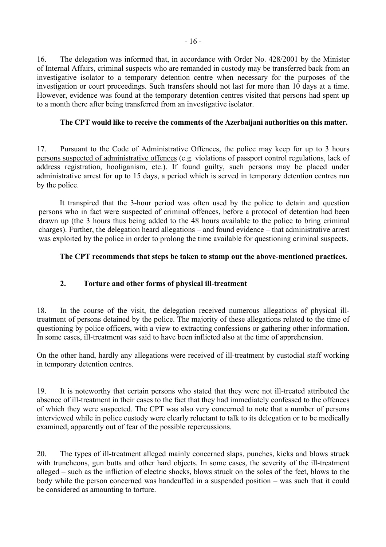<span id="page-17-0"></span>16. The delegation was informed that, in accordance with Order No. 428/2001 by the Minister of Internal Affairs, criminal suspects who are remanded in custody may be transferred back from an investigative isolator to a temporary detention centre when necessary for the purposes of the investigation or court proceedings. Such transfers should not last for more than 10 days at a time. However, evidence was found at the temporary detention centres visited that persons had spent up to a month there after being transferred from an investigative isolator.

## **The CPT would like to receive the comments of the Azerbaijani authorities on this matter.**

17. Pursuant to the Code of Administrative Offences, the police may keep for up to 3 hours persons suspected of administrative offences (e.g. violations of passport control regulations, lack of address registration, hooliganism, etc.). If found guilty, such persons may be placed under administrative arrest for up to 15 days, a period which is served in temporary detention centres run by the police.

It transpired that the 3-hour period was often used by the police to detain and question persons who in fact were suspected of criminal offences, before a protocol of detention had been drawn up (the 3 hours thus being added to the 48 hours available to the police to bring criminal charges). Further, the delegation heard allegations  $-$  and found evidence  $-$  that administrative arrest was exploited by the police in order to prolong the time available for questioning criminal suspects.

## **The CPT recommends that steps be taken to stamp out the above-mentioned practices.**

## **2. Torture and other forms of physical ill-treatment**

18. In the course of the visit, the delegation received numerous allegations of physical illtreatment of persons detained by the police. The majority of these allegations related to the time of questioning by police officers, with a view to extracting confessions or gathering other information. In some cases, ill-treatment was said to have been inflicted also at the time of apprehension.

On the other hand, hardly any allegations were received of ill-treatment by custodial staff working in temporary detention centres.

19. It is noteworthy that certain persons who stated that they were not ill-treated attributed the absence of ill-treatment in their cases to the fact that they had immediately confessed to the offences of which they were suspected. The CPT was also very concerned to note that a number of persons interviewed while in police custody were clearly reluctant to talk to its delegation or to be medically examined, apparently out of fear of the possible repercussions.

20. The types of ill-treatment alleged mainly concerned slaps, punches, kicks and blows struck with truncheons, gun butts and other hard objects. In some cases, the severity of the ill-treatment alleged – such as the infliction of electric shocks, blows struck on the soles of the feet, blows to the body while the person concerned was handcuffed in a suspended position  $-$  was such that it could be considered as amounting to torture.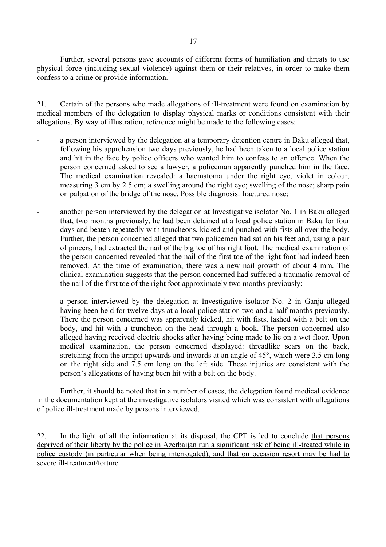Further, several persons gave accounts of different forms of humiliation and threats to use physical force (including sexual violence) against them or their relatives, in order to make them confess to a crime or provide information.

21. Certain of the persons who made allegations of ill-treatment were found on examination by medical members of the delegation to display physical marks or conditions consistent with their allegations. By way of illustration, reference might be made to the following cases:

- a person interviewed by the delegation at a temporary detention centre in Baku alleged that, following his apprehension two days previously, he had been taken to a local police station and hit in the face by police officers who wanted him to confess to an offence. When the person concerned asked to see a lawyer, a policeman apparently punched him in the face. The medical examination revealed: a haematoma under the right eye, violet in colour, measuring 3 cm by 2.5 cm; a swelling around the right eye; swelling of the nose; sharp pain on palpation of the bridge of the nose. Possible diagnosis: fractured nose;
- another person interviewed by the delegation at Investigative isolator No. 1 in Baku alleged that, two months previously, he had been detained at a local police station in Baku for four days and beaten repeatedly with truncheons, kicked and punched with fists all over the body. Further, the person concerned alleged that two policemen had sat on his feet and, using a pair of pincers, had extracted the nail of the big toe of his right foot. The medical examination of the person concerned revealed that the nail of the first toe of the right foot had indeed been removed. At the time of examination, there was a new nail growth of about 4 mm*.* The clinical examination suggests that the person concerned had suffered a traumatic removal of the nail of the first toe of the right foot approximately two months previously;
- a person interviewed by the delegation at Investigative isolator No. 2 in Ganja alleged having been held for twelve days at a local police station two and a half months previously. There the person concerned was apparently kicked, hit with fists, lashed with a belt on the body, and hit with a truncheon on the head through a book. The person concerned also alleged having received electric shocks after having being made to lie on a wet floor. Upon medical examination, the person concerned displayed: threadlike scars on the back, stretching from the armpit upwards and inwards at an angle of 45°, which were 3.5 cm long on the right side and 7.5 cm long on the left side. These injuries are consistent with the person's allegations of having been hit with a belt on the body.

 Further, it should be noted that in a number of cases, the delegation found medical evidence in the documentation kept at the investigative isolators visited which was consistent with allegations of police ill-treatment made by persons interviewed.

22. In the light of all the information at its disposal, the CPT is led to conclude that persons deprived of their liberty by the police in Azerbaijan run a significant risk of being ill-treated while in police custody (in particular when being interrogated), and that on occasion resort may be had to severe ill-treatment/torture.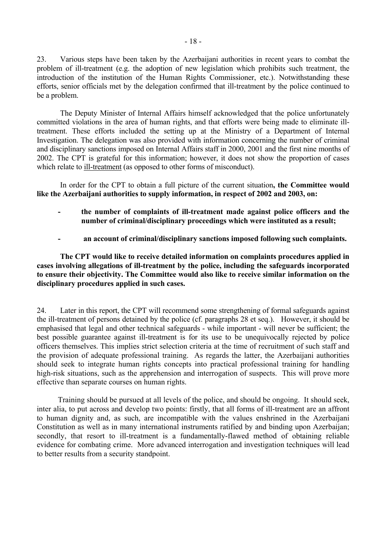23. Various steps have been taken by the Azerbaijani authorities in recent years to combat the problem of ill-treatment (e.g. the adoption of new legislation which prohibits such treatment, the introduction of the institution of the Human Rights Commissioner, etc.). Notwithstanding these efforts, senior officials met by the delegation confirmed that ill-treatment by the police continued to be a problem.

 The Deputy Minister of Internal Affairs himself acknowledged that the police unfortunately committed violations in the area of human rights, and that efforts were being made to eliminate illtreatment. These efforts included the setting up at the Ministry of a Department of Internal Investigation. The delegation was also provided with information concerning the number of criminal and disciplinary sanctions imposed on Internal Affairs staff in 2000, 2001 and the first nine months of 2002. The CPT is grateful for this information; however, it does not show the proportion of cases which relate to ill-treatment (as opposed to other forms of misconduct).

 In order for the CPT to obtain a full picture of the current situation**, the Committee would like the Azerbaijani authorities to supply information, in respect of 2002 and 2003, on:** 

- **the number of complaints of ill-treatment made against police officers and the number of criminal/disciplinary proceedings which were instituted as a result;**
- **an account of criminal/disciplinary sanctions imposed following such complaints.**

 **The CPT would like to receive detailed information on complaints procedures applied in cases involving allegations of ill-treatment by the police, including the safeguards incorporated to ensure their objectivity. The Committee would also like to receive similar information on the disciplinary procedures applied in such cases.** 

24. Later in this report, the CPT will recommend some strengthening of formal safeguards against the ill-treatment of persons detained by the police (cf. paragraphs 28 et seq.). However, it should be emphasised that legal and other technical safeguards - while important - will never be sufficient; the best possible guarantee against ill-treatment is for its use to be unequivocally rejected by police officers themselves. This implies strict selection criteria at the time of recruitment of such staff and the provision of adequate professional training. As regards the latter, the Azerbaijani authorities should seek to integrate human rights concepts into practical professional training for handling high-risk situations, such as the apprehension and interrogation of suspects. This will prove more effective than separate courses on human rights.

Training should be pursued at all levels of the police, and should be ongoing. It should seek, inter alia, to put across and develop two points: firstly, that all forms of ill-treatment are an affront to human dignity and, as such, are incompatible with the values enshrined in the Azerbaijani Constitution as well as in many international instruments ratified by and binding upon Azerbaijan; secondly, that resort to ill-treatment is a fundamentally-flawed method of obtaining reliable evidence for combating crime. More advanced interrogation and investigation techniques will lead to better results from a security standpoint.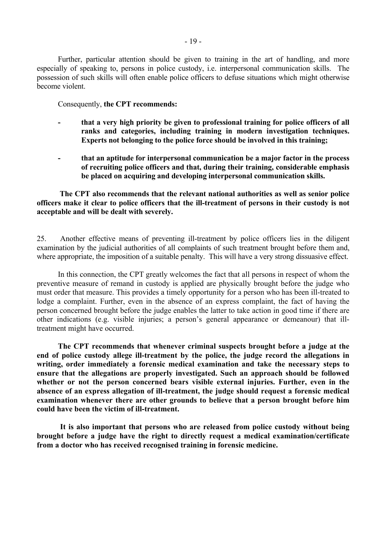Further, particular attention should be given to training in the art of handling, and more especially of speaking to, persons in police custody, i.e. interpersonal communication skills. The possession of such skills will often enable police officers to defuse situations which might otherwise become violent.

Consequently, **the CPT recommends:** 

- **that a very high priority be given to professional training for police officers of all ranks and categories, including training in modern investigation techniques. Experts not belonging to the police force should be involved in this training;**
- **that an aptitude for interpersonal communication be a major factor in the process of recruiting police officers and that, during their training, considerable emphasis be placed on acquiring and developing interpersonal communication skills.**

**The CPT also recommends that the relevant national authorities as well as senior police officers make it clear to police officers that the ill-treatment of persons in their custody is not acceptable and will be dealt with severely.**

25. Another effective means of preventing ill-treatment by police officers lies in the diligent examination by the judicial authorities of all complaints of such treatment brought before them and, where appropriate, the imposition of a suitable penalty. This will have a very strong dissuasive effect.

In this connection, the CPT greatly welcomes the fact that all persons in respect of whom the preventive measure of remand in custody is applied are physically brought before the judge who must order that measure. This provides a timely opportunity for a person who has been ill-treated to lodge a complaint. Further, even in the absence of an express complaint, the fact of having the person concerned brought before the judge enables the latter to take action in good time if there are other indications (e.g. visible injuries; a personís general appearance or demeanour) that illtreatment might have occurred.

**The CPT recommends that whenever criminal suspects brought before a judge at the end of police custody allege ill-treatment by the police, the judge record the allegations in writing, order immediately a forensic medical examination and take the necessary steps to ensure that the allegations are properly investigated. Such an approach should be followed whether or not the person concerned bears visible external injuries. Further, even in the absence of an express allegation of ill-treatment, the judge should request a forensic medical examination whenever there are other grounds to believe that a person brought before him could have been the victim of ill-treatment.**

 **It is also important that persons who are released from police custody without being brought before a judge have the right to directly request a medical examination/certificate from a doctor who has received recognised training in forensic medicine.**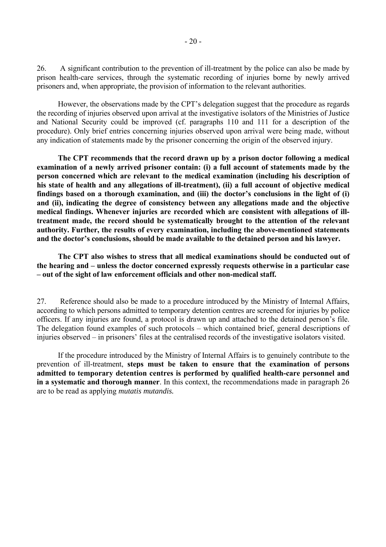26. A significant contribution to the prevention of ill-treatment by the police can also be made by prison health-care services, through the systematic recording of injuries borne by newly arrived prisoners and, when appropriate, the provision of information to the relevant authorities.

However, the observations made by the CPT's delegation suggest that the procedure as regards the recording of injuries observed upon arrival at the investigative isolators of the Ministries of Justice and National Security could be improved (cf. paragraphs 110 and 111 for a description of the procedure). Only brief entries concerning injuries observed upon arrival were being made, without any indication of statements made by the prisoner concerning the origin of the observed injury.

**The CPT recommends that the record drawn up by a prison doctor following a medical examination of a newly arrived prisoner contain: (i) a full account of statements made by the person concerned which are relevant to the medical examination (including his description of his state of health and any allegations of ill-treatment), (ii) a full account of objective medical**  findings based on a thorough examination, and (iii) the doctor's conclusions in the light of (i) **and (ii), indicating the degree of consistency between any allegations made and the objective medical findings. Whenever injuries are recorded which are consistent with allegations of illtreatment made, the record should be systematically brought to the attention of the relevant authority. Further, the results of every examination, including the above-mentioned statements**  and the doctor's conclusions, should be made available to the detained person and his lawyer.

**The CPT also wishes to stress that all medical examinations should be conducted out of**  the hearing and – unless the doctor concerned expressly requests otherwise in a particular case - out of the sight of law enforcement officials and other non-medical staff.

27. Reference should also be made to a procedure introduced by the Ministry of Internal Affairs, according to which persons admitted to temporary detention centres are screened for injuries by police officers. If any injuries are found, a protocol is drawn up and attached to the detained person's file. The delegation found examples of such protocols – which contained brief, general descriptions of injuries observed – in prisoners' files at the centralised records of the investigative isolators visited.

If the procedure introduced by the Ministry of Internal Affairs is to genuinely contribute to the prevention of ill-treatment, **steps must be taken to ensure that the examination of persons admitted to temporary detention centres is performed by qualified health-care personnel and in a systematic and thorough manner**. In this context, the recommendations made in paragraph 26 are to be read as applying *mutatis mutandis.*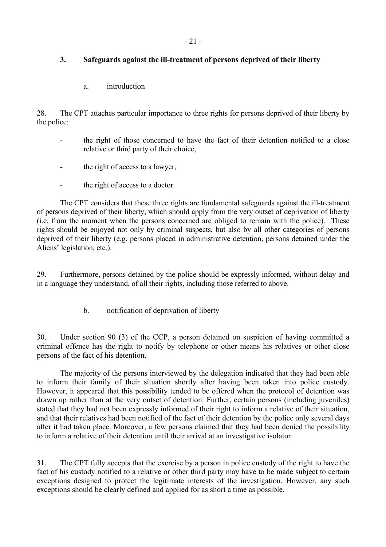# <span id="page-22-0"></span>**3. Safeguards against the ill-treatment of persons deprived of their liberty**

a. introduction

28. The CPT attaches particular importance to three rights for persons deprived of their liberty by the police:

- the right of those concerned to have the fact of their detention notified to a close relative or third party of their choice,
- the right of access to a lawyer,
- the right of access to a doctor.

 The CPT considers that these three rights are fundamental safeguards against the ill-treatment of persons deprived of their liberty, which should apply from the very outset of deprivation of liberty (i.e. from the moment when the persons concerned are obliged to remain with the police). These rights should be enjoyed not only by criminal suspects, but also by all other categories of persons deprived of their liberty (e.g. persons placed in administrative detention, persons detained under the Aliens' legislation, etc.).

29. Furthermore, persons detained by the police should be expressly informed, without delay and in a language they understand, of all their rights, including those referred to above.

b. notification of deprivation of liberty

30. Under section 90 (3) of the CCP, a person detained on suspicion of having committed a criminal offence has the right to notify by telephone or other means his relatives or other close persons of the fact of his detention.

 The majority of the persons interviewed by the delegation indicated that they had been able to inform their family of their situation shortly after having been taken into police custody. However, it appeared that this possibility tended to be offered when the protocol of detention was drawn up rather than at the very outset of detention. Further, certain persons (including juveniles) stated that they had not been expressly informed of their right to inform a relative of their situation, and that their relatives had been notified of the fact of their detention by the police only several days after it had taken place. Moreover, a few persons claimed that they had been denied the possibility to inform a relative of their detention until their arrival at an investigative isolator.

31. The CPT fully accepts that the exercise by a person in police custody of the right to have the fact of his custody notified to a relative or other third party may have to be made subject to certain exceptions designed to protect the legitimate interests of the investigation. However, any such exceptions should be clearly defined and applied for as short a time as possible.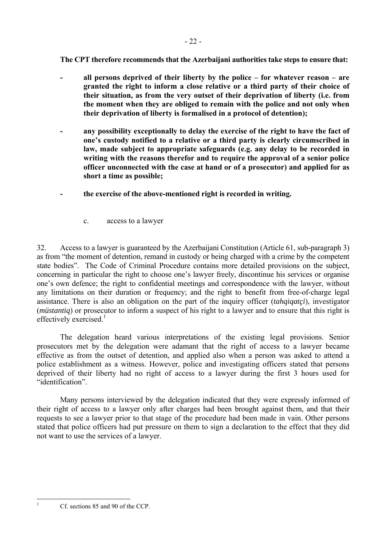<span id="page-23-0"></span> **The CPT therefore recommends that the Azerbaijani authorities take steps to ensure that:** 

- all persons deprived of their liberty by the police for whatever reason are **granted the right to inform a close relative or a third party of their choice of their situation, as from the very outset of their deprivation of liberty (i.e. from the moment when they are obliged to remain with the police and not only when their deprivation of liberty is formalised in a protocol of detention);**
- any possibility exceptionally to delay the exercise of the right to have the fact of **one's custody notified to a relative or a third party is clearly circumscribed in law, made subject to appropriate safeguards (e.g. any delay to be recorded in writing with the reasons therefor and to require the approval of a senior police officer unconnected with the case at hand or of a prosecutor) and applied for as short a time as possible;**
- **the exercise of the above-mentioned right is recorded in writing.** 
	- c. access to a lawyer

32. Access to a lawyer is guaranteed by the Azerbaijani Constitution (Article 61, sub-paragraph 3) as from "the moment of detention, remand in custody or being charged with a crime by the competent state bodies". The Code of Criminal Procedure contains more detailed provisions on the subject, concerning in particular the right to choose one's lawyer freely, discontinue his services or organise one's own defence; the right to confidential meetings and correspondence with the lawyer, without any limitations on their duration or frequency; and the right to benefit from free-of-charge legal assistance. There is also an obligation on the part of the inquiry officer (*tahqiqatçi*), investigator (*müstantiq*) or prosecutor to inform a suspect of his right to a lawyer and to ensure that this right is effectively exercised. $<sup>1</sup>$  $<sup>1</sup>$  $<sup>1</sup>$ </sup>

The delegation heard various interpretations of the existing legal provisions. Senior prosecutors met by the delegation were adamant that the right of access to a lawyer became effective as from the outset of detention, and applied also when a person was asked to attend a police establishment as a witness. However, police and investigating officers stated that persons deprived of their liberty had no right of access to a lawyer during the first 3 hours used for "identification".

<span id="page-23-1"></span>Many persons interviewed by the delegation indicated that they were expressly informed of their right of access to a lawyer only after charges had been brought against them, and that their requests to see a lawyer prior to that stage of the procedure had been made in vain. Other persons stated that police officers had put pressure on them to sign a declaration to the effect that they did not want to use the services of a lawyer.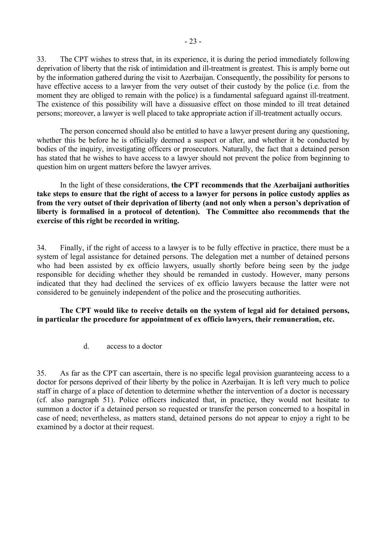<span id="page-24-0"></span>33. The CPT wishes to stress that, in its experience, it is during the period immediately following deprivation of liberty that the risk of intimidation and ill-treatment is greatest. This is amply borne out by the information gathered during the visit to Azerbaijan. Consequently, the possibility for persons to have effective access to a lawyer from the very outset of their custody by the police (i.e. from the moment they are obliged to remain with the police) is a fundamental safeguard against ill-treatment. The existence of this possibility will have a dissuasive effect on those minded to ill treat detained persons; moreover, a lawyer is well placed to take appropriate action if ill-treatment actually occurs.

 The person concerned should also be entitled to have a lawyer present during any questioning, whether this be before he is officially deemed a suspect or after, and whether it be conducted by bodies of the inquiry, investigating officers or prosecutors. Naturally, the fact that a detained person has stated that he wishes to have access to a lawyer should not prevent the police from beginning to question him on urgent matters before the lawyer arrives.

 In the light of these considerations, **the CPT recommends that the Azerbaijani authorities take steps to ensure that the right of access to a lawyer for persons in police custody applies as**  from the very outset of their deprivation of liberty (and not only when a person's deprivation of **liberty is formalised in a protocol of detention). The Committee also recommends that the exercise of this right be recorded in writing.**

34. Finally, if the right of access to a lawyer is to be fully effective in practice, there must be a system of legal assistance for detained persons. The delegation met a number of detained persons who had been assisted by ex officio lawyers, usually shortly before being seen by the judge responsible for deciding whether they should be remanded in custody. However, many persons indicated that they had declined the services of ex officio lawyers because the latter were not considered to be genuinely independent of the police and the prosecuting authorities.

 **The CPT would like to receive details on the system of legal aid for detained persons, in particular the procedure for appointment of ex officio lawyers, their remuneration, etc.** 

d. access to a doctor

35. As far as the CPT can ascertain, there is no specific legal provision guaranteeing access to a doctor for persons deprived of their liberty by the police in Azerbaijan. It is left very much to police staff in charge of a place of detention to determine whether the intervention of a doctor is necessary (cf. also paragraph 51). Police officers indicated that, in practice, they would not hesitate to summon a doctor if a detained person so requested or transfer the person concerned to a hospital in case of need; nevertheless, as matters stand, detained persons do not appear to enjoy a right to be examined by a doctor at their request.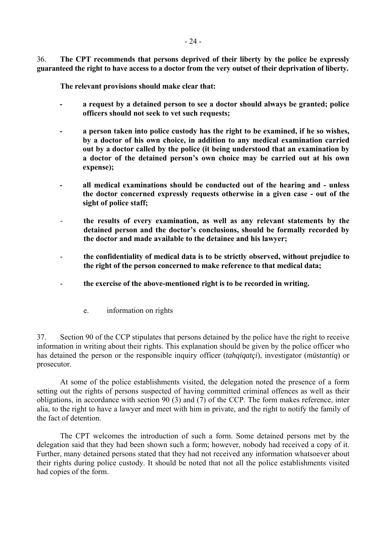<span id="page-25-0"></span>36. **The CPT recommends that persons deprived of their liberty by the police be expressly guaranteed the right to have access to a doctor from the very outset of their deprivation of liberty.** 

**The relevant provisions should make clear that:** 

- **a request by a detained person to see a doctor should always be granted; police officers should not seek to vet such requests;**
- **a person taken into police custody has the right to be examined, if he so wishes, by a doctor of his own choice, in addition to any medical examination carried out by a doctor called by the police (it being understood that an examination by**  a doctor of the detained person's own choice may be carried out at his own **expense);**
- **all medical examinations should be conducted out of the hearing and unless the doctor concerned expressly requests otherwise in a given case - out of the sight of police staff;**
- the results of every examination, as well as any relevant statements by the detained person and the doctor's conclusions, should be formally recorded by **the doctor and made available to the detainee and his lawyer;**
- **the confidentiality of medical data is to be strictly observed, without prejudice to the right of the person concerned to make reference to that medical data;**
- **the exercise of the above-mentioned right is to be recorded in writing.**
	- e. information on rights

37. Section 90 of the CCP stipulates that persons detained by the police have the right to receive information in writing about their rights. This explanation should be given by the police officer who has detained the person or the responsible inquiry officer (*tahqiqatçi*), investigator (*müstantiq*) or prosecutor.

 At some of the police establishments visited, the delegation noted the presence of a form setting out the rights of persons suspected of having committed criminal offences as well as their obligations, in accordance with section 90 (3) and (7) of the CCP. The form makes reference, inter alia, to the right to have a lawyer and meet with him in private, and the right to notify the family of the fact of detention.

 The CPT welcomes the introduction of such a form. Some detained persons met by the delegation said that they had been shown such a form; however, nobody had received a copy of it. Further, many detained persons stated that they had not received any information whatsoever about their rights during police custody. It should be noted that not all the police establishments visited had copies of the form.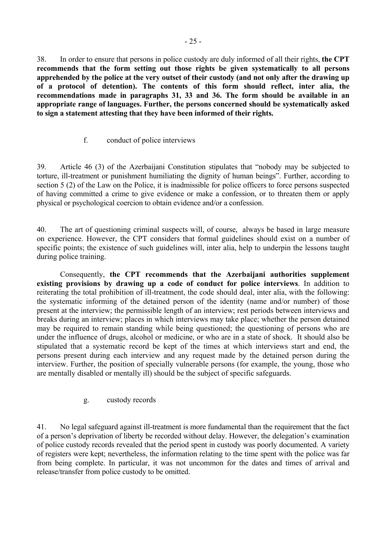<span id="page-26-0"></span>38. In order to ensure that persons in police custody are duly informed of all their rights, **the CPT recommends that the form setting out those rights be given systematically to all persons apprehended by the police at the very outset of their custody (and not only after the drawing up of a protocol of detention). The contents of this form should reflect, inter alia, the recommendations made in paragraphs 31, 33 and 36. The form should be available in an appropriate range of languages. Further, the persons concerned should be systematically asked to sign a statement attesting that they have been informed of their rights.** 

## f. conduct of police interviews

39. Article 46 (3) of the Azerbaijani Constitution stipulates that "nobody may be subjected to torture, ill-treatment or punishment humiliating the dignity of human beings". Further, according to section 5 (2) of the Law on the Police, it is inadmissible for police officers to force persons suspected of having committed a crime to give evidence or make a confession, or to threaten them or apply physical or psychological coercion to obtain evidence and/or a confession.

40. The art of questioning criminal suspects will, of course, always be based in large measure on experience. However, the CPT considers that formal guidelines should exist on a number of specific points; the existence of such guidelines will, inter alia, help to underpin the lessons taught during police training.

 Consequently, **the CPT recommends that the Azerbaijani authorities supplement existing provisions by drawing up a code of conduct for police interviews**. In addition to reiterating the total prohibition of ill-treatment, the code should deal, inter alia, with the following: the systematic informing of the detained person of the identity (name and/or number) of those present at the interview; the permissible length of an interview; rest periods between interviews and breaks during an interview; places in which interviews may take place; whether the person detained may be required to remain standing while being questioned; the questioning of persons who are under the influence of drugs, alcohol or medicine, or who are in a state of shock. It should also be stipulated that a systematic record be kept of the times at which interviews start and end, the persons present during each interview and any request made by the detained person during the interview. Further, the position of specially vulnerable persons (for example, the young, those who are mentally disabled or mentally ill) should be the subject of specific safeguards.

#### g. custody records

41. No legal safeguard against ill-treatment is more fundamental than the requirement that the fact of a person's deprivation of liberty be recorded without delay. However, the delegation's examination of police custody records revealed that the period spent in custody was poorly documented. A variety of registers were kept; nevertheless, the information relating to the time spent with the police was far from being complete. In particular, it was not uncommon for the dates and times of arrival and release/transfer from police custody to be omitted.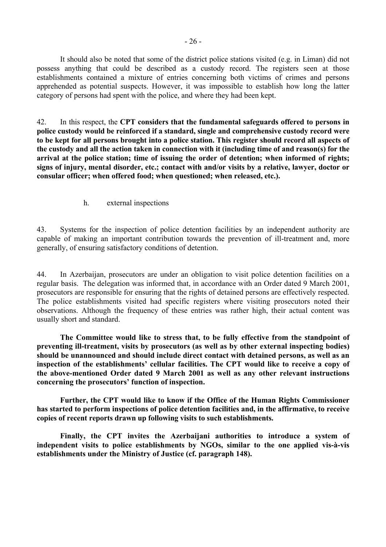<span id="page-27-0"></span> It should also be noted that some of the district police stations visited (e.g. in Liman) did not possess anything that could be described as a custody record. The registers seen at those establishments contained a mixture of entries concerning both victims of crimes and persons apprehended as potential suspects. However, it was impossible to establish how long the latter category of persons had spent with the police, and where they had been kept.

42. In this respect, the **CPT considers that the fundamental safeguards offered to persons in police custody would be reinforced if a standard, single and comprehensive custody record were to be kept for all persons brought into a police station. This register should record all aspects of the custody and all the action taken in connection with it (including time of and reason(s) for the arrival at the police station; time of issuing the order of detention; when informed of rights; signs of injury, mental disorder, etc.; contact with and/or visits by a relative, lawyer, doctor or consular officer; when offered food; when questioned; when released, etc.).** 

h. external inspections

43. Systems for the inspection of police detention facilities by an independent authority are capable of making an important contribution towards the prevention of ill-treatment and, more generally, of ensuring satisfactory conditions of detention.

44. In Azerbaijan, prosecutors are under an obligation to visit police detention facilities on a regular basis. The delegation was informed that, in accordance with an Order dated 9 March 2001, prosecutors are responsible for ensuring that the rights of detained persons are effectively respected. The police establishments visited had specific registers where visiting prosecutors noted their observations. Although the frequency of these entries was rather high, their actual content was usually short and standard.

**The Committee would like to stress that, to be fully effective from the standpoint of preventing ill-treatment, visits by prosecutors (as well as by other external inspecting bodies) should be unannounced and should include direct contact with detained persons, as well as an**  inspection of the establishments' cellular facilities. The CPT would like to receive a copy of **the above-mentioned Order dated 9 March 2001 as well as any other relevant instructions**  concerning the prosecutors' function of inspection.

 **Further, the CPT would like to know if the Office of the Human Rights Commissioner has started to perform inspections of police detention facilities and, in the affirmative, to receive copies of recent reports drawn up following visits to such establishments.** 

 **Finally, the CPT invites the Azerbaijani authorities to introduce a system of**  independent visits to police establishments by NGOs, similar to the one applied vis-à-vis **establishments under the Ministry of Justice (cf. paragraph 148).**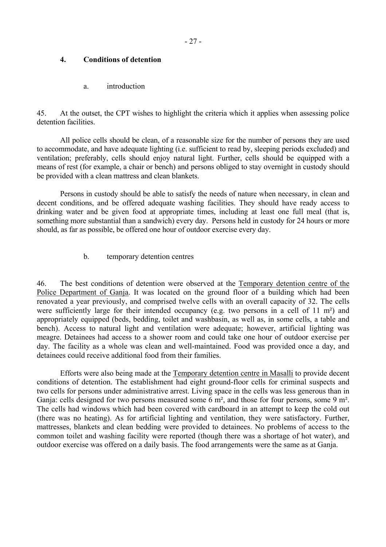### <span id="page-28-0"></span>**4. Conditions of detention**

a. introduction

45. At the outset, the CPT wishes to highlight the criteria which it applies when assessing police detention facilities.

 All police cells should be clean, of a reasonable size for the number of persons they are used to accommodate, and have adequate lighting (i.e. sufficient to read by, sleeping periods excluded) and ventilation; preferably, cells should enjoy natural light. Further, cells should be equipped with a means of rest (for example, a chair or bench) and persons obliged to stay overnight in custody should be provided with a clean mattress and clean blankets.

 Persons in custody should be able to satisfy the needs of nature when necessary, in clean and decent conditions, and be offered adequate washing facilities. They should have ready access to drinking water and be given food at appropriate times, including at least one full meal (that is, something more substantial than a sandwich) every day. Persons held in custody for 24 hours or more should, as far as possible, be offered one hour of outdoor exercise every day.

b. temporary detention centres

46. The best conditions of detention were observed at the Temporary detention centre of the Police Department of Ganja. It was located on the ground floor of a building which had been renovated a year previously, and comprised twelve cells with an overall capacity of 32. The cells were sufficiently large for their intended occupancy (e.g. two persons in a cell of 11 m<sup>2</sup>) and appropriately equipped (beds, bedding, toilet and washbasin, as well as, in some cells, a table and bench). Access to natural light and ventilation were adequate; however, artificial lighting was meagre. Detainees had access to a shower room and could take one hour of outdoor exercise per day. The facility as a whole was clean and well-maintained. Food was provided once a day, and detainees could receive additional food from their families.

 Efforts were also being made at the Temporary detention centre in Masalli to provide decent conditions of detention. The establishment had eight ground-floor cells for criminal suspects and two cells for persons under administrative arrest. Living space in the cells was less generous than in Ganja: cells designed for two persons measured some 6 m², and those for four persons, some 9 m². The cells had windows which had been covered with cardboard in an attempt to keep the cold out (there was no heating). As for artificial lighting and ventilation, they were satisfactory. Further, mattresses, blankets and clean bedding were provided to detainees. No problems of access to the common toilet and washing facility were reported (though there was a shortage of hot water), and outdoor exercise was offered on a daily basis. The food arrangements were the same as at Ganja.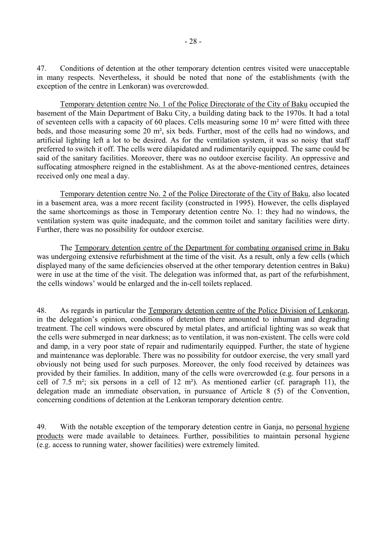47. Conditions of detention at the other temporary detention centres visited were unacceptable in many respects. Nevertheless, it should be noted that none of the establishments (with the exception of the centre in Lenkoran) was overcrowded.

Temporary detention centre No. 1 of the Police Directorate of the City of Baku occupied the basement of the Main Department of Baku City, a building dating back to the 1970s. It had a total of seventeen cells with a capacity of 60 places. Cells measuring some 10 m² were fitted with three beds, and those measuring some 20 m², six beds. Further, most of the cells had no windows, and artificial lighting left a lot to be desired. As for the ventilation system, it was so noisy that staff preferred to switch it off. The cells were dilapidated and rudimentarily equipped. The same could be said of the sanitary facilities. Moreover, there was no outdoor exercise facility. An oppressive and suffocating atmosphere reigned in the establishment. As at the above-mentioned centres, detainees received only one meal a day.

Temporary detention centre No. 2 of the Police Directorate of the City of Baku, also located in a basement area, was a more recent facility (constructed in 1995). However, the cells displayed the same shortcomings as those in Temporary detention centre No. 1: they had no windows, the ventilation system was quite inadequate, and the common toilet and sanitary facilities were dirty. Further, there was no possibility for outdoor exercise.

 The Temporary detention centre of the Department for combating organised crime in Baku was undergoing extensive refurbishment at the time of the visit. As a result, only a few cells (which displayed many of the same deficiencies observed at the other temporary detention centres in Baku) were in use at the time of the visit. The delegation was informed that, as part of the refurbishment, the cells windows' would be enlarged and the in-cell toilets replaced.

48. As regards in particular the Temporary detention centre of the Police Division of Lenkoran, in the delegation's opinion, conditions of detention there amounted to inhuman and degrading treatment. The cell windows were obscured by metal plates, and artificial lighting was so weak that the cells were submerged in near darkness; as to ventilation, it was non-existent. The cells were cold and damp, in a very poor state of repair and rudimentarily equipped. Further, the state of hygiene and maintenance was deplorable. There was no possibility for outdoor exercise, the very small yard obviously not being used for such purposes. Moreover, the only food received by detainees was provided by their families. In addition, many of the cells were overcrowded (e.g. four persons in a cell of 7.5 m²; six persons in a cell of 12 m²). As mentioned earlier (cf. paragraph 11), the delegation made an immediate observation, in pursuance of Article 8 (5) of the Convention, concerning conditions of detention at the Lenkoran temporary detention centre.

49. With the notable exception of the temporary detention centre in Ganja, no personal hygiene products were made available to detainees. Further, possibilities to maintain personal hygiene (e.g. access to running water, shower facilities) were extremely limited.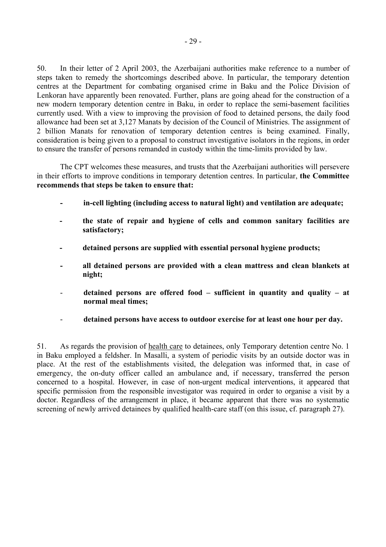50. In their letter of 2 April 2003, the Azerbaijani authorities make reference to a number of steps taken to remedy the shortcomings described above. In particular, the temporary detention centres at the Department for combating organised crime in Baku and the Police Division of Lenkoran have apparently been renovated. Further, plans are going ahead for the construction of a new modern temporary detention centre in Baku, in order to replace the semi-basement facilities currently used. With a view to improving the provision of food to detained persons, the daily food allowance had been set at 3,127 Manats by decision of the Council of Ministries. The assignment of 2 billion Manats for renovation of temporary detention centres is being examined. Finally, consideration is being given to a proposal to construct investigative isolators in the regions, in order to ensure the transfer of persons remanded in custody within the time-limits provided by law.

 The CPT welcomes these measures, and trusts that the Azerbaijani authorities will persevere in their efforts to improve conditions in temporary detention centres. In particular, **the Committee recommends that steps be taken to ensure that:** 

- **in-cell lighting (including access to natural light) and ventilation are adequate;**
- **the state of repair and hygiene of cells and common sanitary facilities are satisfactory;**
- **detained persons are supplied with essential personal hygiene products;**
- **all detained persons are provided with a clean mattress and clean blankets at night;**
- detained persons are offered food  $-$  sufficient in quantity and quality  $-$  at **normal meal times;**
- **detained persons have access to outdoor exercise for at least one hour per day.**

51. As regards the provision of health care to detainees, only Temporary detention centre No. 1 in Baku employed a feldsher. In Masalli, a system of periodic visits by an outside doctor was in place. At the rest of the establishments visited, the delegation was informed that, in case of emergency, the on-duty officer called an ambulance and, if necessary, transferred the person concerned to a hospital. However, in case of non-urgent medical interventions, it appeared that specific permission from the responsible investigator was required in order to organise a visit by a doctor. Regardless of the arrangement in place, it became apparent that there was no systematic screening of newly arrived detainees by qualified health-care staff (on this issue, cf. paragraph 27).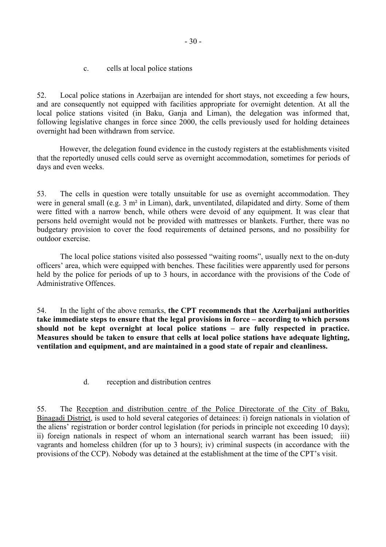c. cells at local police stations

<span id="page-31-0"></span>52. Local police stations in Azerbaijan are intended for short stays, not exceeding a few hours, and are consequently not equipped with facilities appropriate for overnight detention. At all the local police stations visited (in Baku, Ganja and Liman), the delegation was informed that, following legislative changes in force since 2000, the cells previously used for holding detainees overnight had been withdrawn from service.

However, the delegation found evidence in the custody registers at the establishments visited that the reportedly unused cells could serve as overnight accommodation, sometimes for periods of days and even weeks.

53. The cells in question were totally unsuitable for use as overnight accommodation. They were in general small (e.g. 3 m² in Liman), dark, unventilated, dilapidated and dirty. Some of them were fitted with a narrow bench, while others were devoid of any equipment. It was clear that persons held overnight would not be provided with mattresses or blankets. Further, there was no budgetary provision to cover the food requirements of detained persons, and no possibility for outdoor exercise.

The local police stations visited also possessed "waiting rooms", usually next to the on-duty officersí area, which were equipped with benches. These facilities were apparently used for persons held by the police for periods of up to 3 hours, in accordance with the provisions of the Code of Administrative Offences.

54. In the light of the above remarks, **the CPT recommends that the Azerbaijani authorities**  take immediate steps to ensure that the legal provisions in force – according to which persons should not be kept overnight at local police stations – are fully respected in practice. **Measures should be taken to ensure that cells at local police stations have adequate lighting, ventilation and equipment, and are maintained in a good state of repair and cleanliness.** 

d. reception and distribution centres

55. The Reception and distribution centre of the Police Directorate of the City of Baku, Binagadi District, is used to hold several categories of detainees: i) foreign nationals in violation of the aliens' registration or border control legislation (for periods in principle not exceeding 10 days); ii) foreign nationals in respect of whom an international search warrant has been issued; iii) vagrants and homeless children (for up to 3 hours); iv) criminal suspects (in accordance with the provisions of the CCP). Nobody was detained at the establishment at the time of the CPT's visit.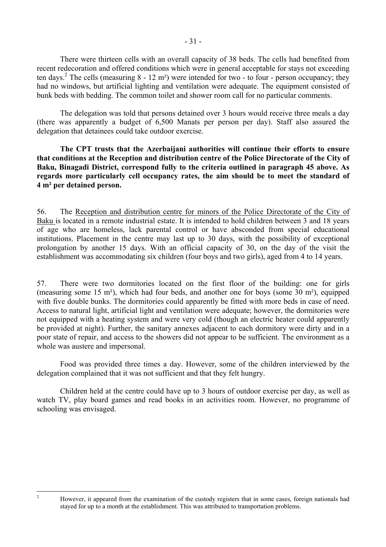There were thirteen cells with an overall capacity of 38 beds. The cells had benefited from recent redecoration and offered conditions which were in general acceptable for stays not exceeding ten days.<sup>[2](#page-32-0)</sup> The cells (measuring  $8 - 12$  m<sup>2</sup>) were intended for two - to four - person occupancy; they had no windows, but artificial lighting and ventilation were adequate. The equipment consisted of bunk beds with bedding. The common toilet and shower room call for no particular comments.

 The delegation was told that persons detained over 3 hours would receive three meals a day (there was apparently a budget of 6,500 Manats per person per day). Staff also assured the delegation that detainees could take outdoor exercise.

**The CPT trusts that the Azerbaijani authorities will continue their efforts to ensure that conditions at the Reception and distribution centre of the Police Directorate of the City of Baku, Binagadi District, correspond fully to the criteria outlined in paragraph 45 above. As regards more particularly cell occupancy rates, the aim should be to meet the standard of 4 m² per detained person.** 

56. The Reception and distribution centre for minors of the Police Directorate of the City of Baku is located in a remote industrial estate. It is intended to hold children between 3 and 18 years of age who are homeless, lack parental control or have absconded from special educational institutions. Placement in the centre may last up to 30 days, with the possibility of exceptional prolongation by another 15 days. With an official capacity of 30, on the day of the visit the establishment was accommodating six children (four boys and two girls), aged from 4 to 14 years.

57. There were two dormitories located on the first floor of the building: one for girls (measuring some 15 m²), which had four beds, and another one for boys (some 30 m²), equipped with five double bunks. The dormitories could apparently be fitted with more beds in case of need. Access to natural light, artificial light and ventilation were adequate; however, the dormitories were not equipped with a heating system and were very cold (though an electric heater could apparently be provided at night). Further, the sanitary annexes adjacent to each dormitory were dirty and in a poor state of repair, and access to the showers did not appear to be sufficient. The environment as a whole was austere and impersonal.

 Food was provided three times a day. However, some of the children interviewed by the delegation complained that it was not sufficient and that they felt hungry.

Children held at the centre could have up to 3 hours of outdoor exercise per day, as well as watch TV, play board games and read books in an activities room. However, no programme of schooling was envisaged.

<span id="page-32-0"></span> $\frac{1}{2}$ 

However, it appeared from the examination of the custody registers that in some cases, foreign nationals had stayed for up to a month at the establishment. This was attributed to transportation problems.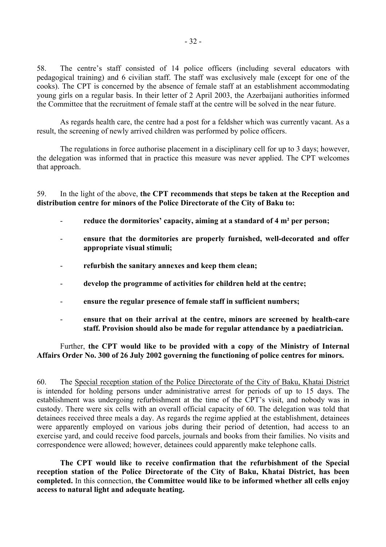58. The centre's staff consisted of 14 police officers (including several educators with pedagogical training) and 6 civilian staff. The staff was exclusively male (except for one of the cooks). The CPT is concerned by the absence of female staff at an establishment accommodating young girls on a regular basis. In their letter of 2 April 2003, the Azerbaijani authorities informed the Committee that the recruitment of female staff at the centre will be solved in the near future.

 As regards health care, the centre had a post for a feldsher which was currently vacant. As a result, the screening of newly arrived children was performed by police officers.

 The regulations in force authorise placement in a disciplinary cell for up to 3 days; however, the delegation was informed that in practice this measure was never applied. The CPT welcomes that approach.

59. In the light of the above, **the CPT recommends that steps be taken at the Reception and distribution centre for minors of the Police Directorate of the City of Baku to:** 

- reduce the dormitories' capacity, aiming at a standard of 4 m<sup>2</sup> per person;
- **ensure that the dormitories are properly furnished, well-decorated and offer appropriate visual stimuli;**
- refurbish the sanitary annexes and keep them clean;
- **develop the programme of activities for children held at the centre;**
- ensure the regular presence of female staff in sufficient numbers;
- **ensure that on their arrival at the centre, minors are screened by health-care staff. Provision should also be made for regular attendance by a paediatrician.**

 Further, **the CPT would like to be provided with a copy of the Ministry of Internal Affairs Order No. 300 of 26 July 2002 governing the functioning of police centres for minors.** 

60. The Special reception station of the Police Directorate of the City of Baku, Khatai District is intended for holding persons under administrative arrest for periods of up to 15 days. The establishment was undergoing refurbishment at the time of the CPT's visit, and nobody was in custody. There were six cells with an overall official capacity of 60. The delegation was told that detainees received three meals a day. As regards the regime applied at the establishment, detainees were apparently employed on various jobs during their period of detention, had access to an exercise yard, and could receive food parcels, journals and books from their families. No visits and correspondence were allowed; however, detainees could apparently make telephone calls.

**The CPT would like to receive confirmation that the refurbishment of the Special reception station of the Police Directorate of the City of Baku, Khatai District, has been completed.** In this connection, **the Committee would like to be informed whether all cells enjoy access to natural light and adequate heating.**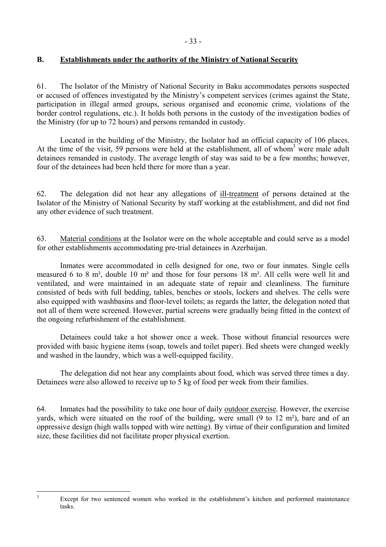# <span id="page-34-0"></span>**B. Establishments under the authority of the Ministry of National Security**

61. The Isolator of the Ministry of National Security in Baku accommodates persons suspected or accused of offences investigated by the Ministry's competent services (crimes against the State, participation in illegal armed groups, serious organised and economic crime, violations of the border control regulations, etc.). It holds both persons in the custody of the investigation bodies of the Ministry (for up to 72 hours) and persons remanded in custody.

 Located in the building of the Ministry, the Isolator had an official capacity of 106 places. At the time of the visit, 59 persons were held at the establishment, all of whom<sup>[3](#page-34-1)</sup> were male adult detainees remanded in custody. The average length of stay was said to be a few months; however, four of the detainees had been held there for more than a year.

62. The delegation did not hear any allegations of ill-treatment of persons detained at the Isolator of the Ministry of National Security by staff working at the establishment, and did not find any other evidence of such treatment.

63. Material conditions at the Isolator were on the whole acceptable and could serve as a model for other establishments accommodating pre-trial detainees in Azerbaijan.

 Inmates were accommodated in cells designed for one, two or four inmates. Single cells measured 6 to 8 m², double 10 m² and those for four persons 18 m². All cells were well lit and ventilated, and were maintained in an adequate state of repair and cleanliness. The furniture consisted of beds with full bedding, tables, benches or stools, lockers and shelves. The cells were also equipped with washbasins and floor-level toilets; as regards the latter, the delegation noted that not all of them were screened. However, partial screens were gradually being fitted in the context of the ongoing refurbishment of the establishment.

 Detainees could take a hot shower once a week. Those without financial resources were provided with basic hygiene items (soap, towels and toilet paper). Bed sheets were changed weekly and washed in the laundry, which was a well-equipped facility.

 The delegation did not hear any complaints about food, which was served three times a day. Detainees were also allowed to receive up to 5 kg of food per week from their families.

64. Inmates had the possibility to take one hour of daily outdoor exercise. However, the exercise yards, which were situated on the roof of the building, were small (9 to 12 m²), bare and of an oppressive design (high walls topped with wire netting). By virtue of their configuration and limited size, these facilities did not facilitate proper physical exertion.

<sup>2</sup><br>3

<span id="page-34-1"></span>Except for two sentenced women who worked in the establishment's kitchen and performed maintenance tasks.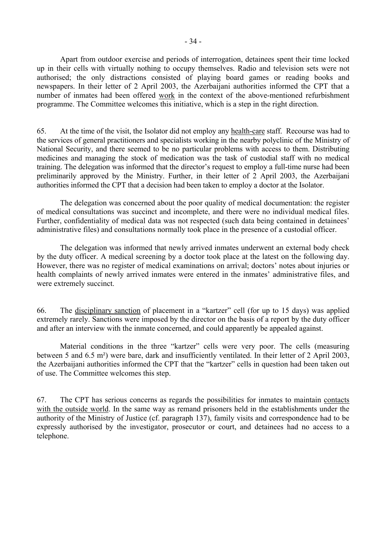Apart from outdoor exercise and periods of interrogation, detainees spent their time locked up in their cells with virtually nothing to occupy themselves. Radio and television sets were not authorised; the only distractions consisted of playing board games or reading books and newspapers. In their letter of 2 April 2003, the Azerbaijani authorities informed the CPT that a number of inmates had been offered work in the context of the above-mentioned refurbishment programme. The Committee welcomes this initiative, which is a step in the right direction.

65. At the time of the visit, the Isolator did not employ any health-care staff. Recourse was had to the services of general practitioners and specialists working in the nearby polyclinic of the Ministry of National Security, and there seemed to be no particular problems with access to them. Distributing medicines and managing the stock of medication was the task of custodial staff with no medical training. The delegation was informed that the director's request to employ a full-time nurse had been preliminarily approved by the Ministry. Further, in their letter of 2 April 2003, the Azerbaijani authorities informed the CPT that a decision had been taken to employ a doctor at the Isolator.

 The delegation was concerned about the poor quality of medical documentation: the register of medical consultations was succinct and incomplete, and there were no individual medical files. Further, confidentiality of medical data was not respected (such data being contained in detainees' administrative files) and consultations normally took place in the presence of a custodial officer.

 The delegation was informed that newly arrived inmates underwent an external body check by the duty officer. A medical screening by a doctor took place at the latest on the following day. However, there was no register of medical examinations on arrival; doctors' notes about injuries or health complaints of newly arrived inmates were entered in the inmates' administrative files, and were extremely succinct.

66. The disciplinary sanction of placement in a "kartzer" cell (for up to 15 days) was applied extremely rarely. Sanctions were imposed by the director on the basis of a report by the duty officer and after an interview with the inmate concerned, and could apparently be appealed against.

Material conditions in the three "kartzer" cells were very poor. The cells (measuring between 5 and 6.5 m²) were bare, dark and insufficiently ventilated. In their letter of 2 April 2003, the Azerbaijani authorities informed the CPT that the "kartzer" cells in question had been taken out of use. The Committee welcomes this step.

67. The CPT has serious concerns as regards the possibilities for inmates to maintain contacts with the outside world. In the same way as remand prisoners held in the establishments under the authority of the Ministry of Justice (cf. paragraph 137), family visits and correspondence had to be expressly authorised by the investigator, prosecutor or court, and detainees had no access to a telephone.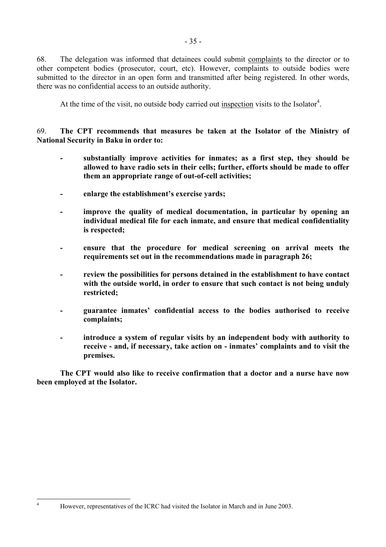68. The delegation was informed that detainees could submit complaints to the director or to other competent bodies (prosecutor, court, etc). However, complaints to outside bodies were submitted to the director in an open form and transmitted after being registered. In other words, there was no confidential access to an outside authority.

At the time of the visit, no outside body carried out inspection visits to the Isolator<sup>4</sup>.

69. **The CPT recommends that measures be taken at the Isolator of the Ministry of National Security in Baku in order to:** 

- **substantially improve activities for inmates; as a first step, they should be allowed to have radio sets in their cells; further, efforts should be made to offer them an appropriate range of out-of-cell activities;**
- **-** enlarge the establishment's exercise vards;
- improve the quality of medical documentation, in particular by opening an **individual medical file for each inmate, and ensure that medical confidentiality is respected;**
- ensure that the procedure for medical screening on arrival meets the **requirements set out in the recommendations made in paragraph 26;**
- **review the possibilities for persons detained in the establishment to have contact with the outside world, in order to ensure that such contact is not being unduly restricted;**
- **-** guarantee inmates' confidential access to the bodies authorised to receive **complaints;**
- **introduce a system of regular visits by an independent body with authority to**  receive - and, if necessary, take action on - inmates' complaints and to visit the **premises.**

**The CPT would also like to receive confirmation that a doctor and a nurse have now been employed at the Isolator.** 

<span id="page-36-0"></span> $\frac{1}{4}$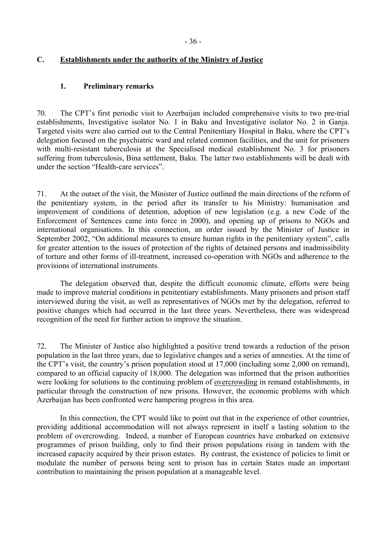# **C. Establishments under the authority of the Ministry of Justice**

## **1. Preliminary remarks**

70. The CPTís first periodic visit to Azerbaijan included comprehensive visits to two pre-trial establishments, Investigative isolator No. 1 in Baku and Investigative isolator No. 2 in Ganja. Targeted visits were also carried out to the Central Penitentiary Hospital in Baku, where the CPT's delegation focused on the psychiatric ward and related common facilities, and the unit for prisoners with multi-resistant tuberculosis at the Specialised medical establishment No. 3 for prisoners suffering from tuberculosis, Bina settlement, Baku. The latter two establishments will be dealt with under the section "Health-care services".

71. At the outset of the visit, the Minister of Justice outlined the main directions of the reform of the penitentiary system, in the period after its transfer to his Ministry: humanisation and improvement of conditions of detention, adoption of new legislation (e.g. a new Code of the Enforcement of Sentences came into force in 2000), and opening up of prisons to NGOs and international organisations. In this connection, an order issued by the Minister of Justice in September 2002, "On additional measures to ensure human rights in the penitentiary system", calls for greater attention to the issues of protection of the rights of detained persons and inadmissibility of torture and other forms of ill-treatment, increased co-operation with NGOs and adherence to the provisions of international instruments.

 The delegation observed that, despite the difficult economic climate, efforts were being made to improve material conditions in penitentiary establishments. Many prisoners and prison staff interviewed during the visit, as well as representatives of NGOs met by the delegation, referred to positive changes which had occurred in the last three years. Nevertheless, there was widespread recognition of the need for further action to improve the situation.

72. The Minister of Justice also highlighted a positive trend towards a reduction of the prison population in the last three years, due to legislative changes and a series of amnesties. At the time of the CPT's visit, the country's prison population stood at  $17,000$  (including some 2,000 on remand), compared to an official capacity of 18,000. The delegation was informed that the prison authorities were looking for solutions to the continuing problem of overcrowding in remand establishments, in particular through the construction of new prisons. However, the economic problems with which Azerbaijan has been confronted were hampering progress in this area.

 In this connection, the CPT would like to point out that in the experience of other countries, providing additional accommodation will not always represent in itself a lasting solution to the problem of overcrowding. Indeed, a number of European countries have embarked on extensive programmes of prison building, only to find their prison populations rising in tandem with the increased capacity acquired by their prison estates. By contrast, the existence of policies to limit or modulate the number of persons being sent to prison has in certain States made an important contribution to maintaining the prison population at a manageable level.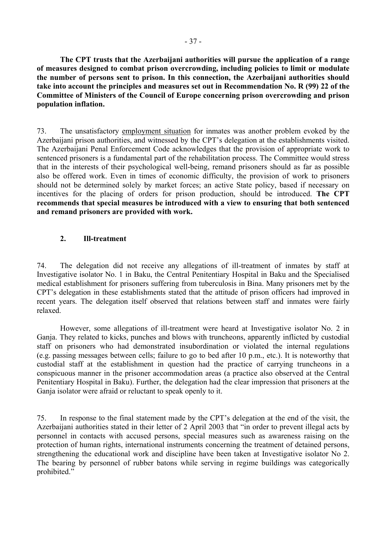**The CPT trusts that the Azerbaijani authorities will pursue the application of a range of measures designed to combat prison overcrowding, including policies to limit or modulate the number of persons sent to prison. In this connection, the Azerbaijani authorities should take into account the principles and measures set out in Recommendation No. R (99) 22 of the Committee of Ministers of the Council of Europe concerning prison overcrowding and prison population inflation.** 

73. The unsatisfactory employment situation for inmates was another problem evoked by the Azerbaijani prison authorities, and witnessed by the CPT's delegation at the establishments visited. The Azerbaijani Penal Enforcement Code acknowledges that the provision of appropriate work to sentenced prisoners is a fundamental part of the rehabilitation process. The Committee would stress that in the interests of their psychological well-being, remand prisoners should as far as possible also be offered work. Even in times of economic difficulty, the provision of work to prisoners should not be determined solely by market forces; an active State policy, based if necessary on incentives for the placing of orders for prison production, should be introduced. **The CPT recommends that special measures be introduced with a view to ensuring that both sentenced and remand prisoners are provided with work.** 

# **2. Ill-treatment**

74. The delegation did not receive any allegations of ill-treatment of inmates by staff at Investigative isolator No. 1 in Baku, the Central Penitentiary Hospital in Baku and the Specialised medical establishment for prisoners suffering from tuberculosis in Bina. Many prisoners met by the CPT's delegation in these establishments stated that the attitude of prison officers had improved in recent years. The delegation itself observed that relations between staff and inmates were fairly relaxed.

 However, some allegations of ill-treatment were heard at Investigative isolator No. 2 in Ganja. They related to kicks, punches and blows with truncheons, apparently inflicted by custodial staff on prisoners who had demonstrated insubordination or violated the internal regulations (e.g. passing messages between cells; failure to go to bed after 10 p.m., etc.). It is noteworthy that custodial staff at the establishment in question had the practice of carrying truncheons in a conspicuous manner in the prisoner accommodation areas (a practice also observed at the Central Penitentiary Hospital in Baku). Further, the delegation had the clear impression that prisoners at the Ganja isolator were afraid or reluctant to speak openly to it.

75. In response to the final statement made by the CPT's delegation at the end of the visit, the Azerbaijani authorities stated in their letter of 2 April 2003 that "in order to prevent illegal acts by personnel in contacts with accused persons, special measures such as awareness raising on the protection of human rights, international instruments concerning the treatment of detained persons, strengthening the educational work and discipline have been taken at Investigative isolator No 2. The bearing by personnel of rubber batons while serving in regime buildings was categorically prohibited."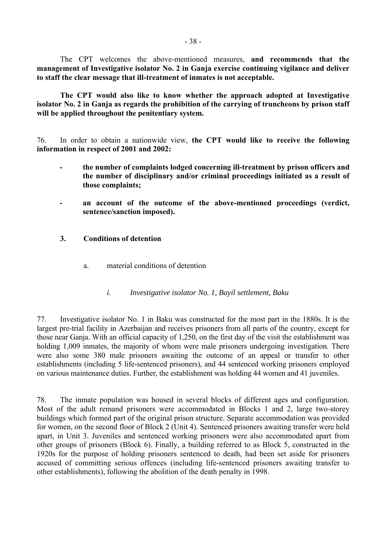The CPT welcomes the above-mentioned measures, **and recommends that the management of Investigative isolator No. 2 in Ganja exercise continuing vigilance and deliver to staff the clear message that ill-treatment of inmates is not acceptable.** 

 **The CPT would also like to know whether the approach adopted at Investigative isolator No. 2 in Ganja as regards the prohibition of the carrying of truncheons by prison staff will be applied throughout the penitentiary system.** 

76. In order to obtain a nationwide view, **the CPT would like to receive the following information in respect of 2001 and 2002:** 

- **the number of complaints lodged concerning ill-treatment by prison officers and the number of disciplinary and/or criminal proceedings initiated as a result of those complaints;**
- **an account of the outcome of the above-mentioned proceedings (verdict, sentence/sanction imposed).**
- **3. Conditions of detention** 
	- a. material conditions of detention
		- *i. Investigative isolator No. 1, Bayil settlement, Baku*

77. Investigative isolator No. 1 in Baku was constructed for the most part in the 1880s. It is the largest pre-trial facility in Azerbaijan and receives prisoners from all parts of the country, except for those near Ganja. With an official capacity of 1,250, on the first day of the visit the establishment was holding 1,009 inmates, the majority of whom were male prisoners undergoing investigation. There were also some 380 male prisoners awaiting the outcome of an appeal or transfer to other establishments (including 5 life-sentenced prisoners), and 44 sentenced working prisoners employed on various maintenance duties. Further, the establishment was holding 44 women and 41 juveniles.

78. The inmate population was housed in several blocks of different ages and configuration. Most of the adult remand prisoners were accommodated in Blocks 1 and 2, large two-storey buildings which formed part of the original prison structure. Separate accommodation was provided for women, on the second floor of Block 2 (Unit 4). Sentenced prisoners awaiting transfer were held apart, in Unit 3. Juveniles and sentenced working prisoners were also accommodated apart from other groups of prisoners (Block 6). Finally, a building referred to as Block 5, constructed in the 1920s for the purpose of holding prisoners sentenced to death, had been set aside for prisoners accused of committing serious offences (including life-sentenced prisoners awaiting transfer to other establishments), following the abolition of the death penalty in 1998.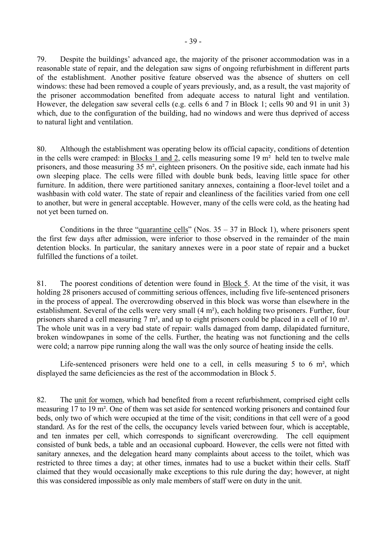79. Despite the buildings' advanced age, the majority of the prisoner accommodation was in a reasonable state of repair, and the delegation saw signs of ongoing refurbishment in different parts of the establishment. Another positive feature observed was the absence of shutters on cell windows: these had been removed a couple of years previously, and, as a result, the vast majority of the prisoner accommodation benefited from adequate access to natural light and ventilation. However, the delegation saw several cells (e.g. cells 6 and 7 in Block 1; cells 90 and 91 in unit 3) which, due to the configuration of the building, had no windows and were thus deprived of access to natural light and ventilation.

80. Although the establishment was operating below its official capacity, conditions of detention in the cells were cramped: in Blocks 1 and 2, cells measuring some 19 m² held ten to twelve male prisoners, and those measuring 35 m², eighteen prisoners. On the positive side, each inmate had his own sleeping place. The cells were filled with double bunk beds, leaving little space for other furniture. In addition, there were partitioned sanitary annexes, containing a floor-level toilet and a washbasin with cold water. The state of repair and cleanliness of the facilities varied from one cell to another, but were in general acceptable. However, many of the cells were cold, as the heating had not yet been turned on.

Conditions in the three "quarantine cells" (Nos.  $35 - 37$  in Block 1), where prisoners spent the first few days after admission, were inferior to those observed in the remainder of the main detention blocks. In particular, the sanitary annexes were in a poor state of repair and a bucket fulfilled the functions of a toilet.

81. The poorest conditions of detention were found in Block 5. At the time of the visit, it was holding 28 prisoners accused of committing serious offences, including five life-sentenced prisoners in the process of appeal. The overcrowding observed in this block was worse than elsewhere in the establishment. Several of the cells were very small (4 m²), each holding two prisoners. Further, four prisoners shared a cell measuring 7 m², and up to eight prisoners could be placed in a cell of 10 m². The whole unit was in a very bad state of repair: walls damaged from damp, dilapidated furniture, broken windowpanes in some of the cells. Further, the heating was not functioning and the cells were cold; a narrow pipe running along the wall was the only source of heating inside the cells.

Life-sentenced prisoners were held one to a cell, in cells measuring 5 to 6  $m<sup>2</sup>$ , which displayed the same deficiencies as the rest of the accommodation in Block 5.

82. The unit for women, which had benefited from a recent refurbishment, comprised eight cells measuring 17 to 19 m². One of them was set aside for sentenced working prisoners and contained four beds, only two of which were occupied at the time of the visit; conditions in that cell were of a good standard. As for the rest of the cells, the occupancy levels varied between four, which is acceptable, and ten inmates per cell, which corresponds to significant overcrowding. The cell equipment consisted of bunk beds, a table and an occasional cupboard. However, the cells were not fitted with sanitary annexes, and the delegation heard many complaints about access to the toilet, which was restricted to three times a day; at other times, inmates had to use a bucket within their cells. Staff claimed that they would occasionally make exceptions to this rule during the day; however, at night this was considered impossible as only male members of staff were on duty in the unit.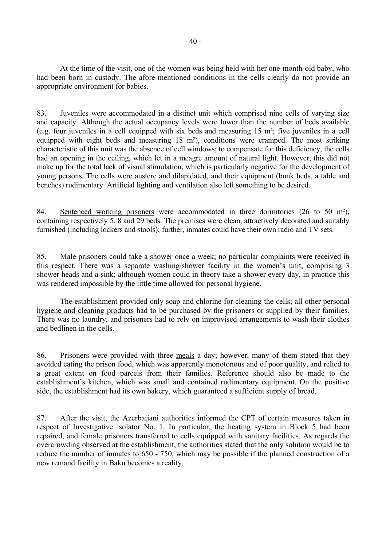At the time of the visit, one of the women was being held with her one-month-old baby, who had been born in custody. The afore-mentioned conditions in the cells clearly do not provide an appropriate environment for babies.

83. Juveniles were accommodated in a distinct unit which comprised nine cells of varying size and capacity. Although the actual occupancy levels were lower than the number of beds available (e.g. four juveniles in a cell equipped with six beds and measuring 15 m²; five juveniles in a cell equipped with eight beds and measuring 18 m²), conditions were cramped. The most striking characteristic of this unit was the absence of cell windows; to compensate for this deficiency, the cells had an opening in the ceiling, which let in a meagre amount of natural light. However, this did not make up for the total lack of visual stimulation, which is particularly negative for the development of young persons. The cells were austere and dilapidated, and their equipment (bunk beds, a table and benches) rudimentary. Artificial lighting and ventilation also left something to be desired.

84. Sentenced working prisoners were accommodated in three dormitories (26 to 50 m²), containing respectively 5, 8 and 29 beds. The premises were clean, attractively decorated and suitably furnished (including lockers and stools); further, inmates could have their own radio and TV sets.

85. Male prisoners could take a shower once a week; no particular complaints were received in this respect. There was a separate washing/shower facility in the women's unit, comprising 3 shower heads and a sink; although women could in theory take a shower every day, in practice this was rendered impossible by the little time allowed for personal hygiene.

 The establishment provided only soap and chlorine for cleaning the cells; all other personal hygiene and cleaning products had to be purchased by the prisoners or supplied by their families. There was no laundry, and prisoners had to rely on improvised arrangements to wash their clothes and bedlinen in the cells.

86. Prisoners were provided with three meals a day; however, many of them stated that they avoided eating the prison food, which was apparently monotonous and of poor quality, and relied to a great extent on food parcels from their families. Reference should also be made to the establishment's kitchen, which was small and contained rudimentary equipment. On the positive side, the establishment had its own bakery, which guaranteed a sufficient supply of bread.

87. After the visit, the Azerbaijani authorities informed the CPT of certain measures taken in respect of Investigative isolator No. 1. In particular, the heating system in Block 5 had been repaired, and female prisoners transferred to cells equipped with sanitary facilities. As regards the overcrowding observed at the establishment, the authorities stated that the only solution would be to reduce the number of inmates to 650 - 750, which may be possible if the planned construction of a new remand facility in Baku becomes a reality.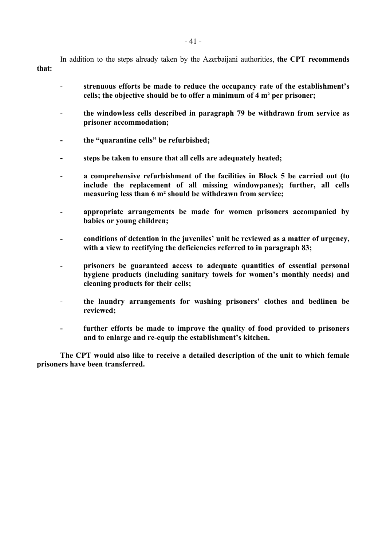In addition to the steps already taken by the Azerbaijani authorities, **the CPT recommends that:** 

- strenuous efforts be made to reduce the occupancy rate of the establishment's **cells; the objective should be to offer a minimum of 4 m² per prisoner;**
- **the windowless cells described in paragraph 79 be withdrawn from service as prisoner accommodation;**
- the "quarantine cells" be refurbished;
- **steps be taken to ensure that all cells are adequately heated;**
- **a comprehensive refurbishment of the facilities in Block 5 be carried out (to include the replacement of all missing windowpanes); further, all cells measuring less than 6 m² should be withdrawn from service;**
- **appropriate arrangements be made for women prisoners accompanied by babies or young children;**
- **conditions of detention in the juvenilesí unit be reviewed as a matter of urgency, with a view to rectifying the deficiencies referred to in paragraph 83;**
- **prisoners be guaranteed access to adequate quantities of essential personal**  hygiene products (including sanitary towels for women's monthly needs) and **cleaning products for their cells;**
- the laundry arrangements for washing prisoners' clothes and bedlinen be **reviewed;**
- further efforts be made to improve the quality of food provided to prisoners and to enlarge and re-equip the establishment's kitchen.

 **The CPT would also like to receive a detailed description of the unit to which female prisoners have been transferred.**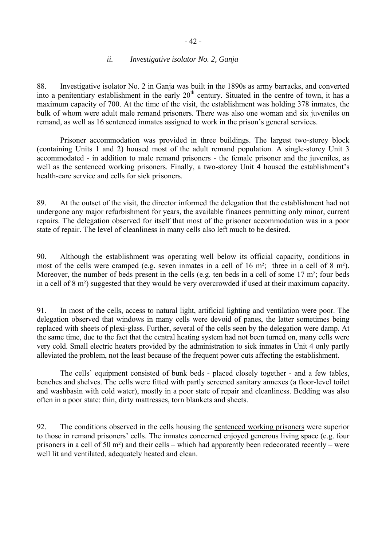#### *ii. Investigative isolator No. 2, Ganja*

88. Investigative isolator No. 2 in Ganja was built in the 1890s as army barracks, and converted into a penitentiary establishment in the early 20<sup>th</sup> century. Situated in the centre of town, it has a maximum capacity of 700. At the time of the visit, the establishment was holding 378 inmates, the bulk of whom were adult male remand prisoners. There was also one woman and six juveniles on remand, as well as 16 sentenced inmates assigned to work in the prison's general services.

 Prisoner accommodation was provided in three buildings. The largest two-storey block (containing Units 1 and 2) housed most of the adult remand population. A single-storey Unit 3 accommodated - in addition to male remand prisoners - the female prisoner and the juveniles, as well as the sentenced working prisoners. Finally, a two-storey Unit 4 housed the establishment's health-care service and cells for sick prisoners.

89. At the outset of the visit, the director informed the delegation that the establishment had not undergone any major refurbishment for years, the available finances permitting only minor, current repairs. The delegation observed for itself that most of the prisoner accommodation was in a poor state of repair. The level of cleanliness in many cells also left much to be desired.

90. Although the establishment was operating well below its official capacity, conditions in most of the cells were cramped (e.g. seven inmates in a cell of 16 m²; three in a cell of 8 m²). Moreover, the number of beds present in the cells (e.g. ten beds in a cell of some 17 m<sup>2</sup>; four beds in a cell of 8 m²) suggested that they would be very overcrowded if used at their maximum capacity.

91. In most of the cells, access to natural light, artificial lighting and ventilation were poor. The delegation observed that windows in many cells were devoid of panes, the latter sometimes being replaced with sheets of plexi-glass. Further, several of the cells seen by the delegation were damp. At the same time, due to the fact that the central heating system had not been turned on, many cells were very cold. Small electric heaters provided by the administration to sick inmates in Unit 4 only partly alleviated the problem, not the least because of the frequent power cuts affecting the establishment.

The cells' equipment consisted of bunk beds - placed closely together - and a few tables, benches and shelves. The cells were fitted with partly screened sanitary annexes (a floor-level toilet and washbasin with cold water), mostly in a poor state of repair and cleanliness. Bedding was also often in a poor state: thin, dirty mattresses, torn blankets and sheets.

92. The conditions observed in the cells housing the sentenced working prisoners were superior to those in remand prisoners' cells. The inmates concerned enjoyed generous living space (e.g. four prisoners in a cell of 50 m<sup>2</sup>) and their cells – which had apparently been redecorated recently – were well lit and ventilated, adequately heated and clean.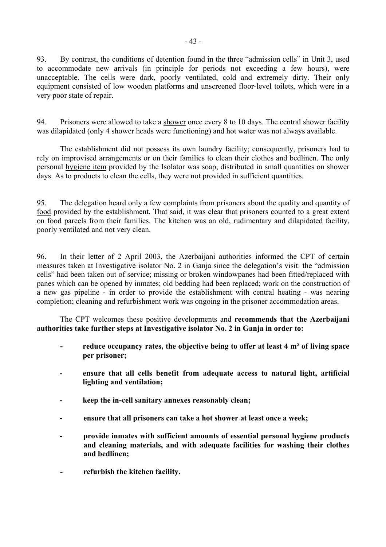93. By contrast, the conditions of detention found in the three "admission cells" in Unit 3, used to accommodate new arrivals (in principle for periods not exceeding a few hours), were unacceptable. The cells were dark, poorly ventilated, cold and extremely dirty. Their only equipment consisted of low wooden platforms and unscreened floor-level toilets, which were in a very poor state of repair.

94. Prisoners were allowed to take a shower once every 8 to 10 days. The central shower facility was dilapidated (only 4 shower heads were functioning) and hot water was not always available.

 The establishment did not possess its own laundry facility; consequently, prisoners had to rely on improvised arrangements or on their families to clean their clothes and bedlinen. The only personal hygiene item provided by the Isolator was soap, distributed in small quantities on shower days. As to products to clean the cells, they were not provided in sufficient quantities.

95. The delegation heard only a few complaints from prisoners about the quality and quantity of food provided by the establishment. That said, it was clear that prisoners counted to a great extent on food parcels from their families. The kitchen was an old, rudimentary and dilapidated facility, poorly ventilated and not very clean.

96. In their letter of 2 April 2003, the Azerbaijani authorities informed the CPT of certain measures taken at Investigative isolator No. 2 in Ganja since the delegation's visit: the "admission" cellsî had been taken out of service; missing or broken windowpanes had been fitted/replaced with panes which can be opened by inmates; old bedding had been replaced; work on the construction of a new gas pipeline - in order to provide the establishment with central heating - was nearing completion; cleaning and refurbishment work was ongoing in the prisoner accommodation areas.

 The CPT welcomes these positive developments and **recommends that the Azerbaijani authorities take further steps at Investigative isolator No. 2 in Ganja in order to:** 

- reduce occupancy rates, the objective being to offer at least 4 m<sup>2</sup> of living space **per prisoner;**
- **ensure that all cells benefit from adequate access to natural light, artificial lighting and ventilation;**
- **keep the in-cell sanitary annexes reasonably clean;**
- **ensure that all prisoners can take a hot shower at least once a week;**
- **provide inmates with sufficient amounts of essential personal hygiene products and cleaning materials, and with adequate facilities for washing their clothes and bedlinen;**
- **refurbish the kitchen facility.**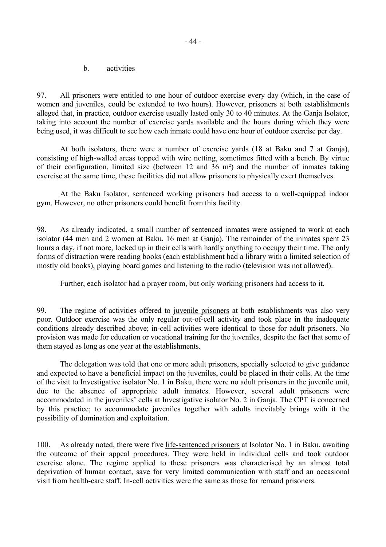b. activities

97. All prisoners were entitled to one hour of outdoor exercise every day (which, in the case of women and juveniles, could be extended to two hours). However, prisoners at both establishments alleged that, in practice, outdoor exercise usually lasted only 30 to 40 minutes. At the Ganja Isolator, taking into account the number of exercise yards available and the hours during which they were being used, it was difficult to see how each inmate could have one hour of outdoor exercise per day.

 At both isolators, there were a number of exercise yards (18 at Baku and 7 at Ganja), consisting of high-walled areas topped with wire netting, sometimes fitted with a bench. By virtue of their configuration, limited size (between 12 and 36 m²) and the number of inmates taking exercise at the same time, these facilities did not allow prisoners to physically exert themselves.

 At the Baku Isolator, sentenced working prisoners had access to a well-equipped indoor gym. However, no other prisoners could benefit from this facility.

98. As already indicated, a small number of sentenced inmates were assigned to work at each isolator (44 men and 2 women at Baku, 16 men at Ganja). The remainder of the inmates spent 23 hours a day, if not more, locked up in their cells with hardly anything to occupy their time. The only forms of distraction were reading books (each establishment had a library with a limited selection of mostly old books), playing board games and listening to the radio (television was not allowed).

Further, each isolator had a prayer room, but only working prisoners had access to it.

99. The regime of activities offered to juvenile prisoners at both establishments was also very poor. Outdoor exercise was the only regular out-of-cell activity and took place in the inadequate conditions already described above; in-cell activities were identical to those for adult prisoners. No provision was made for education or vocational training for the juveniles, despite the fact that some of them stayed as long as one year at the establishments.

 The delegation was told that one or more adult prisoners, specially selected to give guidance and expected to have a beneficial impact on the juveniles, could be placed in their cells. At the time of the visit to Investigative isolator No. 1 in Baku, there were no adult prisoners in the juvenile unit, due to the absence of appropriate adult inmates. However, several adult prisoners were accommodated in the juveniles' cells at Investigative isolator No. 2 in Ganja. The CPT is concerned by this practice; to accommodate juveniles together with adults inevitably brings with it the possibility of domination and exploitation.

100. As already noted, there were five life-sentenced prisoners at Isolator No. 1 in Baku, awaiting the outcome of their appeal procedures. They were held in individual cells and took outdoor exercise alone. The regime applied to these prisoners was characterised by an almost total deprivation of human contact, save for very limited communication with staff and an occasional visit from health-care staff. In-cell activities were the same as those for remand prisoners.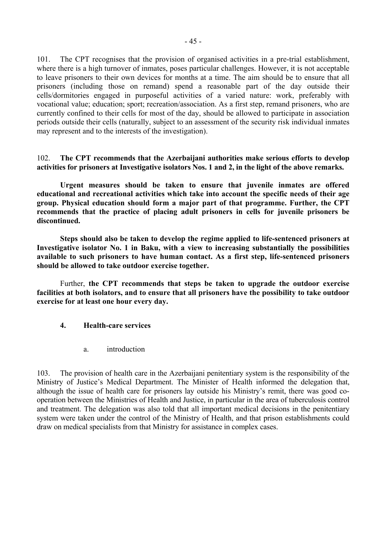101. The CPT recognises that the provision of organised activities in a pre-trial establishment, where there is a high turnover of inmates, poses particular challenges. However, it is not acceptable to leave prisoners to their own devices for months at a time. The aim should be to ensure that all prisoners (including those on remand) spend a reasonable part of the day outside their cells/dormitories engaged in purposeful activities of a varied nature: work, preferably with vocational value; education; sport; recreation/association. As a first step, remand prisoners, who are currently confined to their cells for most of the day, should be allowed to participate in association periods outside their cells (naturally, subject to an assessment of the security risk individual inmates may represent and to the interests of the investigation).

## 102. **The CPT recommends that the Azerbaijani authorities make serious efforts to develop activities for prisoners at Investigative isolators Nos. 1 and 2, in the light of the above remarks.**

 **Urgent measures should be taken to ensure that juvenile inmates are offered educational and recreational activities which take into account the specific needs of their age group. Physical education should form a major part of that programme. Further, the CPT recommends that the practice of placing adult prisoners in cells for juvenile prisoners be discontinued.** 

 **Steps should also be taken to develop the regime applied to life-sentenced prisoners at Investigative isolator No. 1 in Baku, with a view to increasing substantially the possibilities available to such prisoners to have human contact. As a first step, life-sentenced prisoners should be allowed to take outdoor exercise together.** 

 Further, **the CPT recommends that steps be taken to upgrade the outdoor exercise facilities at both isolators, and to ensure that all prisoners have the possibility to take outdoor exercise for at least one hour every day.** 

## **4. Health-care services**

a. introduction

103. The provision of health care in the Azerbaijani penitentiary system is the responsibility of the Ministry of Justice's Medical Department. The Minister of Health informed the delegation that, although the issue of health care for prisoners lay outside his Ministry's remit, there was good cooperation between the Ministries of Health and Justice, in particular in the area of tuberculosis control and treatment. The delegation was also told that all important medical decisions in the penitentiary system were taken under the control of the Ministry of Health, and that prison establishments could draw on medical specialists from that Ministry for assistance in complex cases.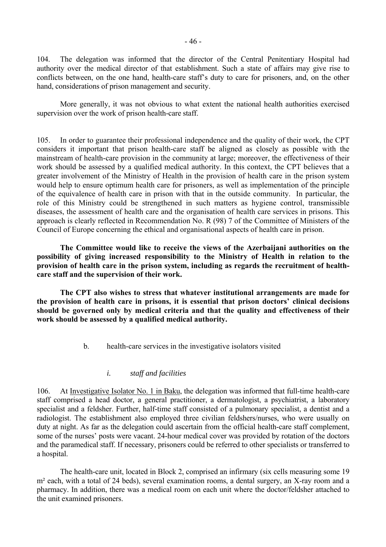104. The delegation was informed that the director of the Central Penitentiary Hospital had authority over the medical director of that establishment. Such a state of affairs may give rise to conflicts between, on the one hand, health-care staff's duty to care for prisoners, and, on the other hand, considerations of prison management and security.

 More generally, it was not obvious to what extent the national health authorities exercised supervision over the work of prison health-care staff.

105. In order to guarantee their professional independence and the quality of their work, the CPT considers it important that prison health-care staff be aligned as closely as possible with the mainstream of health-care provision in the community at large; moreover, the effectiveness of their work should be assessed by a qualified medical authority. In this context, the CPT believes that a greater involvement of the Ministry of Health in the provision of health care in the prison system would help to ensure optimum health care for prisoners, as well as implementation of the principle of the equivalence of health care in prison with that in the outside community. In particular, the role of this Ministry could be strengthened in such matters as hygiene control, transmissible diseases, the assessment of health care and the organisation of health care services in prisons. This approach is clearly reflected in Recommendation No. R (98) 7 of the Committee of Ministers of the Council of Europe concerning the ethical and organisational aspects of health care in prison.

 **The Committee would like to receive the views of the Azerbaijani authorities on the possibility of giving increased responsibility to the Ministry of Health in relation to the provision of health care in the prison system, including as regards the recruitment of healthcare staff and the supervision of their work.** 

 **The CPT also wishes to stress that whatever institutional arrangements are made for**  the provision of health care in prisons, it is essential that prison doctors' clinical decisions **should be governed only by medical criteria and that the quality and effectiveness of their work should be assessed by a qualified medical authority.** 

b. health-care services in the investigative isolators visited

# *i. staff and facilities*

106. At Investigative Isolator No. 1 in Baku, the delegation was informed that full-time health-care staff comprised a head doctor, a general practitioner, a dermatologist, a psychiatrist, a laboratory specialist and a feldsher. Further, half-time staff consisted of a pulmonary specialist, a dentist and a radiologist. The establishment also employed three civilian feldshers/nurses, who were usually on duty at night. As far as the delegation could ascertain from the official health-care staff complement, some of the nurses' posts were vacant. 24-hour medical cover was provided by rotation of the doctors and the paramedical staff. If necessary, prisoners could be referred to other specialists or transferred to a hospital.

 The health-care unit, located in Block 2, comprised an infirmary (six cells measuring some 19 m<sup>2</sup> each, with a total of 24 beds), several examination rooms, a dental surgery, an X-ray room and a pharmacy. In addition, there was a medical room on each unit where the doctor/feldsher attached to the unit examined prisoners.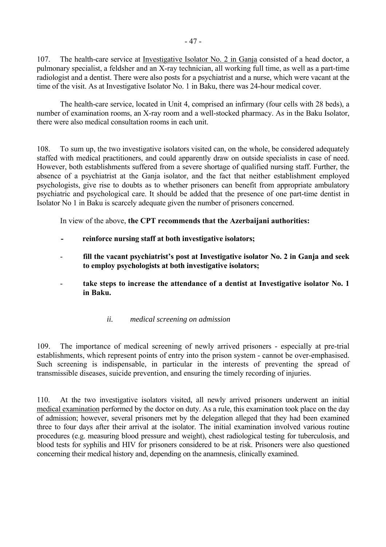107. The health-care service at Investigative Isolator No. 2 in Ganja consisted of a head doctor, a pulmonary specialist, a feldsher and an X-ray technician, all working full time, as well as a part-time radiologist and a dentist. There were also posts for a psychiatrist and a nurse, which were vacant at the time of the visit. As at Investigative Isolator No. 1 in Baku, there was 24-hour medical cover.

 The health-care service, located in Unit 4, comprised an infirmary (four cells with 28 beds), a number of examination rooms, an X-ray room and a well-stocked pharmacy. As in the Baku Isolator, there were also medical consultation rooms in each unit.

108. To sum up, the two investigative isolators visited can, on the whole, be considered adequately staffed with medical practitioners, and could apparently draw on outside specialists in case of need. However, both establishments suffered from a severe shortage of qualified nursing staff. Further, the absence of a psychiatrist at the Ganja isolator, and the fact that neither establishment employed psychologists, give rise to doubts as to whether prisoners can benefit from appropriate ambulatory psychiatric and psychological care. It should be added that the presence of one part-time dentist in Isolator No 1 in Baku is scarcely adequate given the number of prisoners concerned.

In view of the above, **the CPT recommends that the Azerbaijani authorities:** 

- **reinforce nursing staff at both investigative isolators;**
- fill the vacant psychiatrist's post at Investigative isolator No. 2 in Ganja and seek **to employ psychologists at both investigative isolators;**
- take steps to increase the attendance of a dentist at Investigative isolator No. 1 **in Baku.** 
	- *ii. medical screening on admission*

109. The importance of medical screening of newly arrived prisoners - especially at pre-trial establishments, which represent points of entry into the prison system - cannot be over-emphasised. Such screening is indispensable, in particular in the interests of preventing the spread of transmissible diseases, suicide prevention, and ensuring the timely recording of injuries.

110. At the two investigative isolators visited, all newly arrived prisoners underwent an initial medical examination performed by the doctor on duty. As a rule, this examination took place on the day of admission; however, several prisoners met by the delegation alleged that they had been examined three to four days after their arrival at the isolator. The initial examination involved various routine procedures (e.g. measuring blood pressure and weight), chest radiological testing for tuberculosis, and blood tests for syphilis and HIV for prisoners considered to be at risk. Prisoners were also questioned concerning their medical history and, depending on the anamnesis, clinically examined.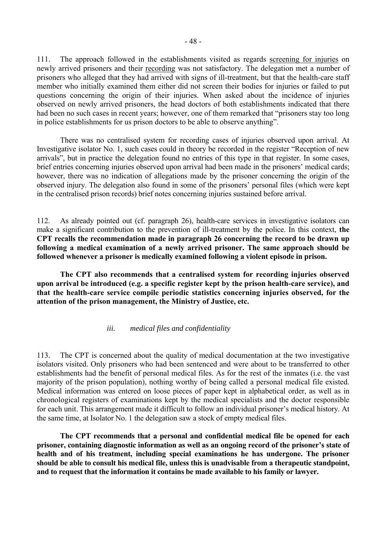111. The approach followed in the establishments visited as regards screening for injuries on newly arrived prisoners and their recording was not satisfactory. The delegation met a number of prisoners who alleged that they had arrived with signs of ill-treatment, but that the health-care staff member who initially examined them either did not screen their bodies for injuries or failed to put questions concerning the origin of their injuries. When asked about the incidence of injuries observed on newly arrived prisoners, the head doctors of both establishments indicated that there had been no such cases in recent years; however, one of them remarked that "prisoners stay too long in police establishments for us prison doctors to be able to observe anything".

 There was no centralised system for recording cases of injuries observed upon arrival. At Investigative isolator No. 1, such cases could in theory be recorded in the register "Reception of new arrivals", but in practice the delegation found no entries of this type in that register. In some cases, brief entries concerning injuries observed upon arrival had been made in the prisoners' medical cards; however, there was no indication of allegations made by the prisoner concerning the origin of the observed injury. The delegation also found in some of the prisoners' personal files (which were kept in the centralised prison records) brief notes concerning injuries sustained before arrival.

112. As already pointed out (cf. paragraph 26), health-care services in investigative isolators can make a significant contribution to the prevention of ill-treatment by the police. In this context, **the CPT recalls the recommendation made in paragraph 26 concerning the record to be drawn up following a medical examination of a newly arrived prisoner. The same approach should be followed whenever a prisoner is medically examined following a violent episode in prison.** 

**The CPT also recommends that a centralised system for recording injuries observed upon arrival be introduced (e.g. a specific register kept by the prison health-care service), and that the health-care service compile periodic statistics concerning injuries observed, for the attention of the prison management, the Ministry of Justice, etc.** 

## *iii. medical files and confidentiality*

113. The CPT is concerned about the quality of medical documentation at the two investigative isolators visited. Only prisoners who had been sentenced and were about to be transferred to other establishments had the benefit of personal medical files. As for the rest of the inmates (i.e. the vast majority of the prison population), nothing worthy of being called a personal medical file existed. Medical information was entered on loose pieces of paper kept in alphabetical order, as well as in chronological registers of examinations kept by the medical specialists and the doctor responsible for each unit. This arrangement made it difficult to follow an individual prisoner's medical history. At the same time, at Isolator No. 1 the delegation saw a stock of empty medical files.

 **The CPT recommends that a personal and confidential medical file be opened for each**  prisoner, containing diagnostic information as well as an ongoing record of the prisoner's state of **health and of his treatment, including special examinations he has undergone. The prisoner should be able to consult his medical file, unless this is unadvisable from a therapeutic standpoint, and to request that the information it contains be made available to his family or lawyer.**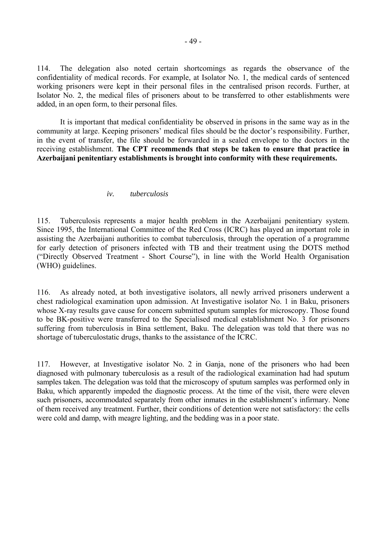114. The delegation also noted certain shortcomings as regards the observance of the confidentiality of medical records. For example, at Isolator No. 1, the medical cards of sentenced working prisoners were kept in their personal files in the centralised prison records. Further, at Isolator No. 2, the medical files of prisoners about to be transferred to other establishments were added, in an open form, to their personal files.

 It is important that medical confidentiality be observed in prisons in the same way as in the community at large. Keeping prisoners' medical files should be the doctor's responsibility. Further, in the event of transfer, the file should be forwarded in a sealed envelope to the doctors in the receiving establishment. **The CPT recommends that steps be taken to ensure that practice in Azerbaijani penitentiary establishments is brought into conformity with these requirements.** 

#### *iv. tuberculosis*

115. Tuberculosis represents a major health problem in the Azerbaijani penitentiary system. Since 1995, the International Committee of the Red Cross (ICRC) has played an important role in assisting the Azerbaijani authorities to combat tuberculosis, through the operation of a programme for early detection of prisoners infected with TB and their treatment using the DOTS method ("Directly Observed Treatment - Short Course"), in line with the World Health Organisation (WHO) guidelines.

116. As already noted, at both investigative isolators, all newly arrived prisoners underwent a chest radiological examination upon admission. At Investigative isolator No. 1 in Baku, prisoners whose X-ray results gave cause for concern submitted sputum samples for microscopy. Those found to be BK-positive were transferred to the Specialised medical establishment No. 3 for prisoners suffering from tuberculosis in Bina settlement, Baku. The delegation was told that there was no shortage of tuberculostatic drugs, thanks to the assistance of the ICRC.

117. However, at Investigative isolator No. 2 in Ganja, none of the prisoners who had been diagnosed with pulmonary tuberculosis as a result of the radiological examination had had sputum samples taken. The delegation was told that the microscopy of sputum samples was performed only in Baku, which apparently impeded the diagnostic process. At the time of the visit, there were eleven such prisoners, accommodated separately from other inmates in the establishment's infirmary. None of them received any treatment. Further, their conditions of detention were not satisfactory: the cells were cold and damp, with meagre lighting, and the bedding was in a poor state.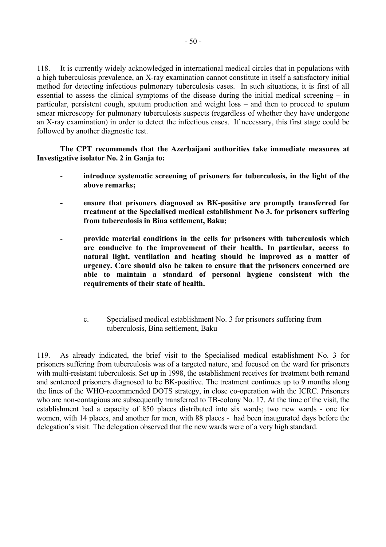118. It is currently widely acknowledged in international medical circles that in populations with a high tuberculosis prevalence, an X-ray examination cannot constitute in itself a satisfactory initial method for detecting infectious pulmonary tuberculosis cases. In such situations, it is first of all essential to assess the clinical symptoms of the disease during the initial medical screening  $-$  in particular, persistent cough, sputum production and weight loss – and then to proceed to sputum smear microscopy for pulmonary tuberculosis suspects (regardless of whether they have undergone an X-ray examination) in order to detect the infectious cases. If necessary, this first stage could be followed by another diagnostic test.

**The CPT recommends that the Azerbaijani authorities take immediate measures at Investigative isolator No. 2 in Ganja to:** 

- **introduce systematic screening of prisoners for tuberculosis, in the light of the above remarks;**
- **ensure that prisoners diagnosed as BK-positive are promptly transferred for treatment at the Specialised medical establishment No 3. for prisoners suffering from tuberculosis in Bina settlement, Baku;**
- **provide material conditions in the cells for prisoners with tuberculosis which are conducive to the improvement of their health. In particular, access to natural light, ventilation and heating should be improved as a matter of urgency. Care should also be taken to ensure that the prisoners concerned are able to maintain a standard of personal hygiene consistent with the requirements of their state of health.** 
	- c. Specialised medical establishment No. 3 for prisoners suffering from tuberculosis, Bina settlement, Baku

119. As already indicated, the brief visit to the Specialised medical establishment No. 3 for prisoners suffering from tuberculosis was of a targeted nature, and focused on the ward for prisoners with multi-resistant tuberculosis. Set up in 1998, the establishment receives for treatment both remand and sentenced prisoners diagnosed to be BK-positive. The treatment continues up to 9 months along the lines of the WHO-recommended DOTS strategy, in close co-operation with the ICRC. Prisoners who are non-contagious are subsequently transferred to TB-colony No. 17. At the time of the visit, the establishment had a capacity of 850 places distributed into six wards; two new wards - one for women, with 14 places, and another for men, with 88 places - had been inaugurated days before the delegation's visit. The delegation observed that the new wards were of a very high standard.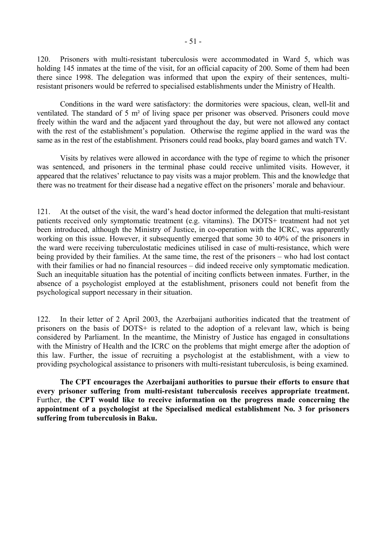120. Prisoners with multi-resistant tuberculosis were accommodated in Ward 5, which was holding 145 inmates at the time of the visit, for an official capacity of 200. Some of them had been there since 1998. The delegation was informed that upon the expiry of their sentences, multiresistant prisoners would be referred to specialised establishments under the Ministry of Health.

 Conditions in the ward were satisfactory: the dormitories were spacious, clean, well-lit and ventilated. The standard of 5 m² of living space per prisoner was observed. Prisoners could move freely within the ward and the adjacent yard throughout the day, but were not allowed any contact with the rest of the establishment's population. Otherwise the regime applied in the ward was the same as in the rest of the establishment. Prisoners could read books, play board games and watch TV.

 Visits by relatives were allowed in accordance with the type of regime to which the prisoner was sentenced, and prisoners in the terminal phase could receive unlimited visits. However, it appeared that the relatives' reluctance to pay visits was a major problem. This and the knowledge that there was no treatment for their disease had a negative effect on the prisoners' morale and behaviour.

121. At the outset of the visit, the ward's head doctor informed the delegation that multi-resistant patients received only symptomatic treatment (e.g. vitamins). The DOTS+ treatment had not yet been introduced, although the Ministry of Justice, in co-operation with the ICRC, was apparently working on this issue. However, it subsequently emerged that some 30 to 40% of the prisoners in the ward were receiving tuberculostatic medicines utilised in case of multi-resistance, which were being provided by their families. At the same time, the rest of the prisoners – who had lost contact with their families or had no financial resources – did indeed receive only symptomatic medication. Such an inequitable situation has the potential of inciting conflicts between inmates. Further, in the absence of a psychologist employed at the establishment, prisoners could not benefit from the psychological support necessary in their situation.

122. In their letter of 2 April 2003, the Azerbaijani authorities indicated that the treatment of prisoners on the basis of DOTS+ is related to the adoption of a relevant law, which is being considered by Parliament. In the meantime, the Ministry of Justice has engaged in consultations with the Ministry of Health and the ICRC on the problems that might emerge after the adoption of this law. Further, the issue of recruiting a psychologist at the establishment, with a view to providing psychological assistance to prisoners with multi-resistant tuberculosis, is being examined.

**The CPT encourages the Azerbaijani authorities to pursue their efforts to ensure that every prisoner suffering from multi-resistant tuberculosis receives appropriate treatment.**  Further, **the CPT would like to receive information on the progress made concerning the appointment of a psychologist at the Specialised medical establishment No. 3 for prisoners suffering from tuberculosis in Baku.**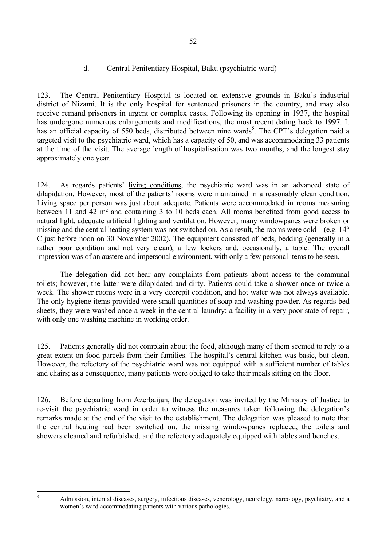# d. Central Penitentiary Hospital, Baku (psychiatric ward)

123. The Central Penitentiary Hospital is located on extensive grounds in Baku's industrial district of Nizami. It is the only hospital for sentenced prisoners in the country, and may also receive remand prisoners in urgent or complex cases. Following its opening in 1937, the hospital has undergone numerous enlargements and modifications, the most recent dating back to 1997. It has an official capacity of [5](#page-53-0)50 beds, distributed between nine wards<sup>5</sup>. The CPT's delegation paid a targeted visit to the psychiatric ward, which has a capacity of 50, and was accommodating 33 patients at the time of the visit. The average length of hospitalisation was two months, and the longest stay approximately one year.

124. As regards patients' living conditions, the psychiatric ward was in an advanced state of dilapidation. However, most of the patients' rooms were maintained in a reasonably clean condition. Living space per person was just about adequate. Patients were accommodated in rooms measuring between 11 and 42 m² and containing 3 to 10 beds each. All rooms benefited from good access to natural light, adequate artificial lighting and ventilation. However, many windowpanes were broken or missing and the central heating system was not switched on. As a result, the rooms were cold (e.g. 14° C just before noon on 30 November 2002). The equipment consisted of beds, bedding (generally in a rather poor condition and not very clean), a few lockers and, occasionally, a table. The overall impression was of an austere and impersonal environment, with only a few personal items to be seen.

 The delegation did not hear any complaints from patients about access to the communal toilets; however, the latter were dilapidated and dirty. Patients could take a shower once or twice a week. The shower rooms were in a very decrepit condition, and hot water was not always available. The only hygiene items provided were small quantities of soap and washing powder. As regards bed sheets, they were washed once a week in the central laundry: a facility in a very poor state of repair, with only one washing machine in working order.

125. Patients generally did not complain about the food, although many of them seemed to rely to a great extent on food parcels from their families. The hospital's central kitchen was basic, but clean. However, the refectory of the psychiatric ward was not equipped with a sufficient number of tables and chairs; as a consequence, many patients were obliged to take their meals sitting on the floor.

126. Before departing from Azerbaijan, the delegation was invited by the Ministry of Justice to re-visit the psychiatric ward in order to witness the measures taken following the delegation's remarks made at the end of the visit to the establishment. The delegation was pleased to note that the central heating had been switched on, the missing windowpanes replaced, the toilets and showers cleaned and refurbished, and the refectory adequately equipped with tables and benches.

<span id="page-53-0"></span> 5

Admission, internal diseases, surgery, infectious diseases, venerology, neurology, narcology, psychiatry, and a women's ward accommodating patients with various pathologies.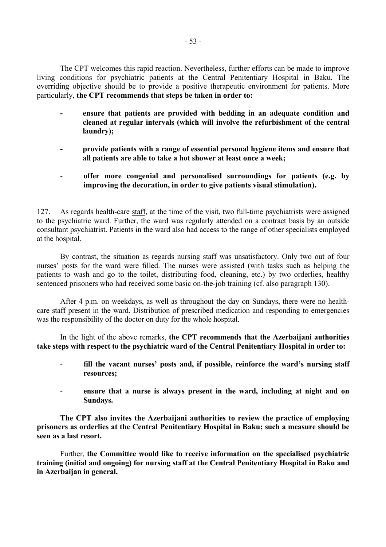The CPT welcomes this rapid reaction. Nevertheless, further efforts can be made to improve living conditions for psychiatric patients at the Central Penitentiary Hospital in Baku. The overriding objective should be to provide a positive therapeutic environment for patients. More particularly, **the CPT recommends that steps be taken in order to:** 

- **ensure that patients are provided with bedding in an adequate condition and cleaned at regular intervals (which will involve the refurbishment of the central laundry);**
- **provide patients with a range of essential personal hygiene items and ensure that all patients are able to take a hot shower at least once a week;**
- **offer more congenial and personalised surroundings for patients (e.g. by improving the decoration, in order to give patients visual stimulation).**

127. As regards health-care staff, at the time of the visit, two full-time psychiatrists were assigned to the psychiatric ward. Further, the ward was regularly attended on a contract basis by an outside consultant psychiatrist. Patients in the ward also had access to the range of other specialists employed at the hospital.

 By contrast, the situation as regards nursing staff was unsatisfactory. Only two out of four nurses' posts for the ward were filled. The nurses were assisted (with tasks such as helping the patients to wash and go to the toilet, distributing food, cleaning, etc.) by two orderlies, healthy sentenced prisoners who had received some basic on-the-job training (cf. also paragraph 130).

 After 4 p.m. on weekdays, as well as throughout the day on Sundays, there were no healthcare staff present in the ward. Distribution of prescribed medication and responding to emergencies was the responsibility of the doctor on duty for the whole hospital.

 In the light of the above remarks, **the CPT recommends that the Azerbaijani authorities take steps with respect to the psychiatric ward of the Central Penitentiary Hospital in order to:** 

- fill the vacant nurses' posts and, if possible, reinforce the ward's nursing staff **resources;**
- **ensure that a nurse is always present in the ward, including at night and on Sundays.**

**The CPT also invites the Azerbaijani authorities to review the practice of employing prisoners as orderlies at the Central Penitentiary Hospital in Baku; such a measure should be seen as a last resort.** 

 Further, **the Committee would like to receive information on the specialised psychiatric training (initial and ongoing) for nursing staff at the Central Penitentiary Hospital in Baku and in Azerbaijan in general.**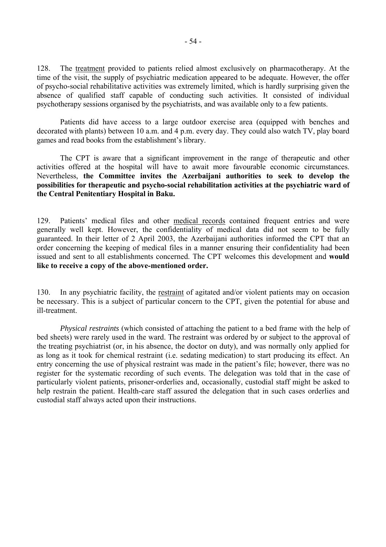128. The treatment provided to patients relied almost exclusively on pharmacotherapy. At the time of the visit, the supply of psychiatric medication appeared to be adequate. However, the offer of psycho-social rehabilitative activities was extremely limited, which is hardly surprising given the absence of qualified staff capable of conducting such activities. It consisted of individual psychotherapy sessions organised by the psychiatrists, and was available only to a few patients.

 Patients did have access to a large outdoor exercise area (equipped with benches and decorated with plants) between 10 a.m. and 4 p.m. every day. They could also watch TV, play board games and read books from the establishment's library.

 The CPT is aware that a significant improvement in the range of therapeutic and other activities offered at the hospital will have to await more favourable economic circumstances. Nevertheless, **the Committee invites the Azerbaijani authorities to seek to develop the possibilities for therapeutic and psycho-social rehabilitation activities at the psychiatric ward of the Central Penitentiary Hospital in Baku.** 

129. Patients' medical files and other medical records contained frequent entries and were generally well kept. However, the confidentiality of medical data did not seem to be fully guaranteed. In their letter of 2 April 2003, the Azerbaijani authorities informed the CPT that an order concerning the keeping of medical files in a manner ensuring their confidentiality had been issued and sent to all establishments concerned. The CPT welcomes this development and **would like to receive a copy of the above-mentioned order.**

130. In any psychiatric facility, the restraint of agitated and/or violent patients may on occasion be necessary. This is a subject of particular concern to the CPT, given the potential for abuse and ill-treatment.

*Physical restraints* (which consisted of attaching the patient to a bed frame with the help of bed sheets) were rarely used in the ward. The restraint was ordered by or subject to the approval of the treating psychiatrist (or, in his absence, the doctor on duty), and was normally only applied for as long as it took for chemical restraint (i.e. sedating medication) to start producing its effect. An entry concerning the use of physical restraint was made in the patient's file; however, there was no register for the systematic recording of such events. The delegation was told that in the case of particularly violent patients, prisoner-orderlies and, occasionally, custodial staff might be asked to help restrain the patient. Health-care staff assured the delegation that in such cases orderlies and custodial staff always acted upon their instructions.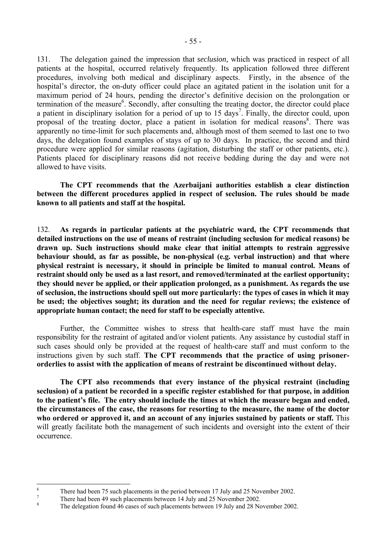131. The delegation gained the impression that *seclusion,* which was practiced in respect of all patients at the hospital, occurred relatively frequently. Its application followed three different procedures, involving both medical and disciplinary aspects. Firstly, in the absence of the hospital's director, the on-duty officer could place an agitated patient in the isolation unit for a maximum period of 24 hours, pending the director's definitive decision on the prolongation or termination of the measure<sup>[6](#page-56-0)</sup>. Secondly, after consulting the treating doctor, the director could place a patient in disciplinary isolation for a period of up to  $15 \text{ days}^7$  $15 \text{ days}^7$ . Finally, the director could, upon proposal of the treating doctor, place a patient in isolation for medical reasons<sup>[8](#page-56-2)</sup>. There was apparently no time-limit for such placements and, although most of them seemed to last one to two days, the delegation found examples of stays of up to 30 days. In practice, the second and third procedure were applied for similar reasons (agitation, disturbing the staff or other patients, etc.). Patients placed for disciplinary reasons did not receive bedding during the day and were not allowed to have visits.

 **The CPT recommends that the Azerbaijani authorities establish a clear distinction between the different procedures applied in respect of seclusion. The rules should be made known to all patients and staff at the hospital.** 

132. **As regards in particular patients at the psychiatric ward, the CPT recommends that detailed instructions on the use of means of restraint (including seclusion for medical reasons) be drawn up. Such instructions should make clear that initial attempts to restrain aggressive behaviour should, as far as possible, be non-physical (e.g. verbal instruction) and that where physical restraint is necessary, it should in principle be limited to manual control. Means of restraint should only be used as a last resort, and removed/terminated at the earliest opportunity; they should never be applied, or their application prolonged, as a punishment. As regards the use of seclusion, the instructions should spell out more particularly: the types of cases in which it may be used; the objectives sought; its duration and the need for regular reviews; the existence of appropriate human contact; the need for staff to be especially attentive.**

 Further, the Committee wishes to stress that health-care staff must have the main responsibility for the restraint of agitated and/or violent patients. Any assistance by custodial staff in such cases should only be provided at the request of health-care staff and must conform to the instructions given by such staff. **The CPT recommends that the practice of using prisonerorderlies to assist with the application of means of restraint be discontinued without delay.**

**The CPT also recommends that every instance of the physical restraint (including seclusion) of a patient be recorded in a specific register established for that purpose, in addition**  to the patient's file. The entry should include the times at which the measure began and ended, **the circumstances of the case, the reasons for resorting to the measure, the name of the doctor**  who ordered or approved it, and an account of any injuries sustained by patients or staff. This will greatly facilitate both the management of such incidents and oversight into the extent of their occurrence.

 $\frac{1}{6}$ There had been 75 such placements in the period between 17 July and 25 November 2002.

<span id="page-56-1"></span><span id="page-56-0"></span><sup>7</sup> There had been 49 such placements between 14 July and 25 November 2002.

<span id="page-56-2"></span><sup>8</sup> The delegation found 46 cases of such placements between 19 July and 28 November 2002.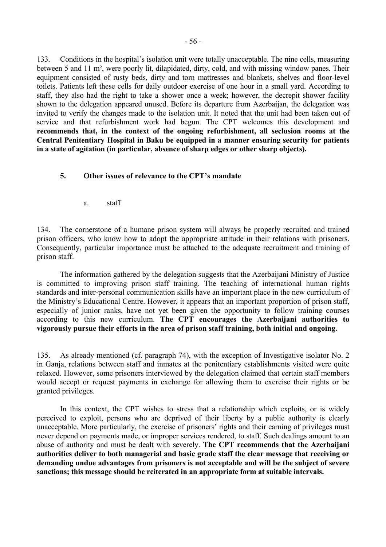133. Conditions in the hospital's isolation unit were totally unacceptable. The nine cells, measuring between 5 and 11 m², were poorly lit, dilapidated, dirty, cold, and with missing window panes. Their equipment consisted of rusty beds, dirty and torn mattresses and blankets, shelves and floor-level toilets. Patients left these cells for daily outdoor exercise of one hour in a small yard. According to staff, they also had the right to take a shower once a week; however, the decrepit shower facility shown to the delegation appeared unused. Before its departure from Azerbaijan, the delegation was invited to verify the changes made to the isolation unit. It noted that the unit had been taken out of service and that refurbishment work had begun. The CPT welcomes this development and **recommends that, in the context of the ongoing refurbishment, all seclusion rooms at the Central Penitentiary Hospital in Baku be equipped in a manner ensuring security for patients in a state of agitation (in particular, absence of sharp edges or other sharp objects).** 

## **5.** Other issues of relevance to the CPT's mandate

a. staff

134. The cornerstone of a humane prison system will always be properly recruited and trained prison officers, who know how to adopt the appropriate attitude in their relations with prisoners. Consequently, particular importance must be attached to the adequate recruitment and training of prison staff.

 The information gathered by the delegation suggests that the Azerbaijani Ministry of Justice is committed to improving prison staff training. The teaching of international human rights standards and inter-personal communication skills have an important place in the new curriculum of the Ministry's Educational Centre. However, it appears that an important proportion of prison staff, especially of junior ranks, have not yet been given the opportunity to follow training courses according to this new curriculum. **The CPT encourages the Azerbaijani authorities to vigorously pursue their efforts in the area of prison staff training, both initial and ongoing.** 

135. As already mentioned (cf. paragraph 74), with the exception of Investigative isolator No. 2 in Ganja, relations between staff and inmates at the penitentiary establishments visited were quite relaxed. However, some prisoners interviewed by the delegation claimed that certain staff members would accept or request payments in exchange for allowing them to exercise their rights or be granted privileges.

 In this context, the CPT wishes to stress that a relationship which exploits, or is widely perceived to exploit, persons who are deprived of their liberty by a public authority is clearly unacceptable. More particularly, the exercise of prisoners' rights and their earning of privileges must never depend on payments made, or improper services rendered, to staff. Such dealings amount to an abuse of authority and must be dealt with severely. **The CPT recommends that the Azerbaijani authorities deliver to both managerial and basic grade staff the clear message that receiving or demanding undue advantages from prisoners is not acceptable and will be the subject of severe sanctions; this message should be reiterated in an appropriate form at suitable intervals.**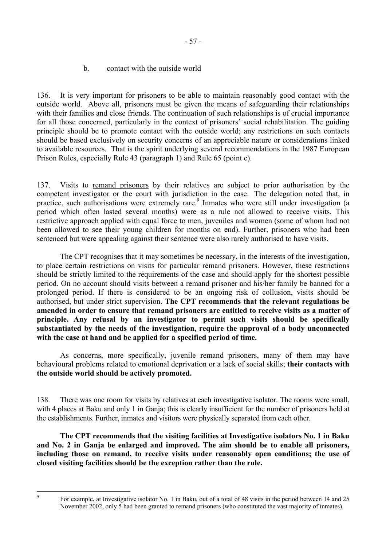136. It is very important for prisoners to be able to maintain reasonably good contact with the outside world. Above all, prisoners must be given the means of safeguarding their relationships with their families and close friends. The continuation of such relationships is of crucial importance for all those concerned, particularly in the context of prisoners' social rehabilitation. The guiding principle should be to promote contact with the outside world; any restrictions on such contacts should be based exclusively on security concerns of an appreciable nature or considerations linked to available resources. That is the spirit underlying several recommendations in the 1987 European Prison Rules, especially Rule 43 (paragraph 1) and Rule 65 (point c).

137. Visits to remand prisoners by their relatives are subject to prior authorisation by the competent investigator or the court with jurisdiction in the case. The delegation noted that, in practice, such authorisations were extremely rare.<sup>[9](#page-58-0)</sup> Inmates who were still under investigation (a period which often lasted several months) were as a rule not allowed to receive visits. This restrictive approach applied with equal force to men, juveniles and women (some of whom had not been allowed to see their young children for months on end). Further, prisoners who had been sentenced but were appealing against their sentence were also rarely authorised to have visits.

The CPT recognises that it may sometimes be necessary, in the interests of the investigation, to place certain restrictions on visits for particular remand prisoners. However, these restrictions should be strictly limited to the requirements of the case and should apply for the shortest possible period. On no account should visits between a remand prisoner and his/her family be banned for a prolonged period. If there is considered to be an ongoing risk of collusion, visits should be authorised, but under strict supervision. **The CPT recommends that the relevant regulations be amended in order to ensure that remand prisoners are entitled to receive visits as a matter of principle. Any refusal by an investigator to permit such visits should be specifically substantiated by the needs of the investigation, require the approval of a body unconnected with the case at hand and be applied for a specified period of time.** 

 As concerns, more specifically, juvenile remand prisoners, many of them may have behavioural problems related to emotional deprivation or a lack of social skills; **their contacts with the outside world should be actively promoted.** 

138. There was one room for visits by relatives at each investigative isolator. The rooms were small, with 4 places at Baku and only 1 in Ganja; this is clearly insufficient for the number of prisoners held at the establishments. Further, inmates and visitors were physically separated from each other.

 **The CPT recommends that the visiting facilities at Investigative isolators No. 1 in Baku and No. 2 in Ganja be enlarged and improved. The aim should be to enable all prisoners, including those on remand, to receive visits under reasonably open conditions; the use of closed visiting facilities should be the exception rather than the rule.**

<span id="page-58-0"></span>-<br>9

For example, at Investigative isolator No. 1 in Baku, out of a total of 48 visits in the period between 14 and 25 November 2002, only 5 had been granted to remand prisoners (who constituted the vast majority of inmates).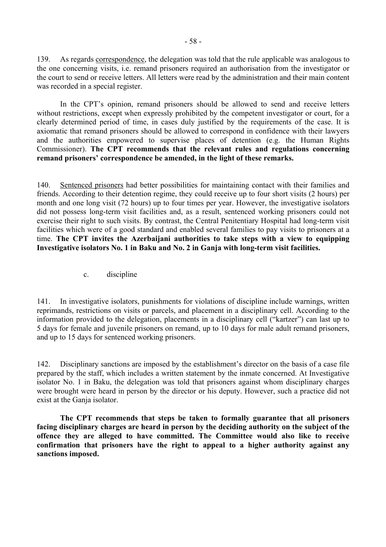139. As regards correspondence, the delegation was told that the rule applicable was analogous to the one concerning visits, i.e. remand prisoners required an authorisation from the investigator or the court to send or receive letters. All letters were read by the administration and their main content was recorded in a special register.

In the CPT's opinion, remand prisoners should be allowed to send and receive letters without restrictions, except when expressly prohibited by the competent investigator or court, for a clearly determined period of time, in cases duly justified by the requirements of the case. It is axiomatic that remand prisoners should be allowed to correspond in confidence with their lawyers and the authorities empowered to supervise places of detention (e.g. the Human Rights Commissioner). **The CPT recommends that the relevant rules and regulations concerning**  remand prisoners' correspondence be amended, in the light of these remarks.

140. Sentenced prisoners had better possibilities for maintaining contact with their families and friends. According to their detention regime, they could receive up to four short visits (2 hours) per month and one long visit (72 hours) up to four times per year. However, the investigative isolators did not possess long-term visit facilities and, as a result, sentenced working prisoners could not exercise their right to such visits. By contrast, the Central Penitentiary Hospital had long-term visit facilities which were of a good standard and enabled several families to pay visits to prisoners at a time. **The CPT invites the Azerbaijani authorities to take steps with a view to equipping Investigative isolators No. 1 in Baku and No. 2 in Ganja with long-term visit facilities.** 

c. discipline

141. In investigative isolators, punishments for violations of discipline include warnings, written reprimands, restrictions on visits or parcels, and placement in a disciplinary cell. According to the information provided to the delegation, placements in a disciplinary cell ("kartzer") can last up to 5 days for female and juvenile prisoners on remand, up to 10 days for male adult remand prisoners, and up to 15 days for sentenced working prisoners.

142. Disciplinary sanctions are imposed by the establishment's director on the basis of a case file prepared by the staff, which includes a written statement by the inmate concerned. At Investigative isolator No. 1 in Baku, the delegation was told that prisoners against whom disciplinary charges were brought were heard in person by the director or his deputy. However, such a practice did not exist at the Ganja isolator.

 **The CPT recommends that steps be taken to formally guarantee that all prisoners facing disciplinary charges are heard in person by the deciding authority on the subject of the offence they are alleged to have committed. The Committee would also like to receive confirmation that prisoners have the right to appeal to a higher authority against any sanctions imposed.**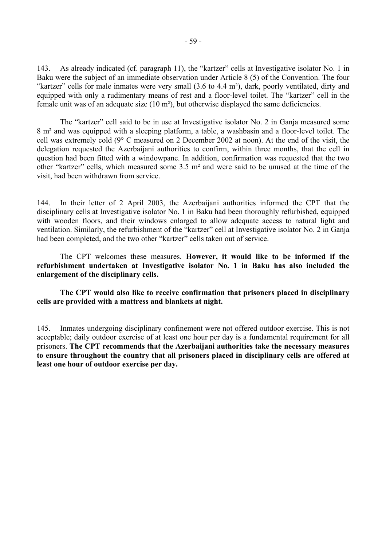143. As already indicated (cf. paragraph 11), the "kartzer" cells at Investigative isolator No. 1 in Baku were the subject of an immediate observation under Article 8 (5) of the Convention. The four "kartzer" cells for male inmates were very small  $(3.6 \text{ to } 4.4 \text{ m}^2)$ , dark, poorly ventilated, dirty and equipped with only a rudimentary means of rest and a floor-level toilet. The "kartzer" cell in the female unit was of an adequate size (10 m²), but otherwise displayed the same deficiencies.

The "kartzer" cell said to be in use at Investigative isolator No. 2 in Ganja measured some 8 m² and was equipped with a sleeping platform, a table, a washbasin and a floor-level toilet. The cell was extremely cold (9° C measured on 2 December 2002 at noon). At the end of the visit, the delegation requested the Azerbaijani authorities to confirm, within three months, that the cell in question had been fitted with a windowpane. In addition, confirmation was requested that the two other "kartzer" cells, which measured some  $3.5$  m<sup>2</sup> and were said to be unused at the time of the visit, had been withdrawn from service.

144. In their letter of 2 April 2003, the Azerbaijani authorities informed the CPT that the disciplinary cells at Investigative isolator No. 1 in Baku had been thoroughly refurbished, equipped with wooden floors, and their windows enlarged to allow adequate access to natural light and ventilation. Similarly, the refurbishment of the "kartzer" cell at Investigative isolator No. 2 in Ganja had been completed, and the two other "kartzer" cells taken out of service.

 The CPT welcomes these measures. **However, it would like to be informed if the refurbishment undertaken at Investigative isolator No. 1 in Baku has also included the enlargement of the disciplinary cells.** 

**The CPT would also like to receive confirmation that prisoners placed in disciplinary cells are provided with a mattress and blankets at night.** 

145. Inmates undergoing disciplinary confinement were not offered outdoor exercise. This is not acceptable; daily outdoor exercise of at least one hour per day is a fundamental requirement for all prisoners. **The CPT recommends that the Azerbaijani authorities take the necessary measures to ensure throughout the country that all prisoners placed in disciplinary cells are offered at least one hour of outdoor exercise per day.**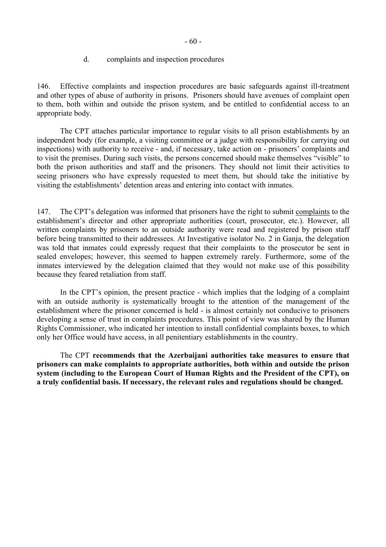#### d. complaints and inspection procedures

146. Effective complaints and inspection procedures are basic safeguards against ill-treatment and other types of abuse of authority in prisons. Prisoners should have avenues of complaint open to them, both within and outside the prison system, and be entitled to confidential access to an appropriate body.

The CPT attaches particular importance to regular visits to all prison establishments by an independent body (for example, a visiting committee or a judge with responsibility for carrying out inspections) with authority to receive - and, if necessary, take action on - prisoners' complaints and to visit the premises. During such visits, the persons concerned should make themselves "visible" to both the prison authorities and staff and the prisoners. They should not limit their activities to seeing prisoners who have expressly requested to meet them, but should take the initiative by visiting the establishments' detention areas and entering into contact with inmates.

147. The CPT's delegation was informed that prisoners have the right to submit complaints to the establishment's director and other appropriate authorities (court, prosecutor, etc.). However, all written complaints by prisoners to an outside authority were read and registered by prison staff before being transmitted to their addressees. At Investigative isolator No. 2 in Ganja, the delegation was told that inmates could expressly request that their complaints to the prosecutor be sent in sealed envelopes; however, this seemed to happen extremely rarely. Furthermore, some of the inmates interviewed by the delegation claimed that they would not make use of this possibility because they feared retaliation from staff.

In the CPT's opinion, the present practice - which implies that the lodging of a complaint with an outside authority is systematically brought to the attention of the management of the establishment where the prisoner concerned is held - is almost certainly not conducive to prisoners developing a sense of trust in complaints procedures. This point of view was shared by the Human Rights Commissioner, who indicated her intention to install confidential complaints boxes, to which only her Office would have access, in all penitentiary establishments in the country.

 The CPT **recommends that the Azerbaijani authorities take measures to ensure that prisoners can make complaints to appropriate authorities, both within and outside the prison system (including to the European Court of Human Rights and the President of the CPT), on a truly confidential basis. If necessary, the relevant rules and regulations should be changed.**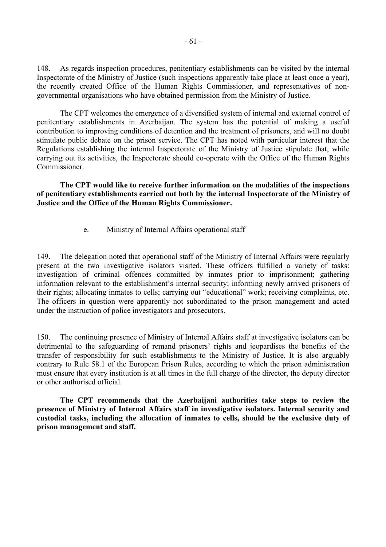148. As regards inspection procedures, penitentiary establishments can be visited by the internal Inspectorate of the Ministry of Justice (such inspections apparently take place at least once a year), the recently created Office of the Human Rights Commissioner, and representatives of nongovernmental organisations who have obtained permission from the Ministry of Justice.

 The CPT welcomes the emergence of a diversified system of internal and external control of penitentiary establishments in Azerbaijan. The system has the potential of making a useful contribution to improving conditions of detention and the treatment of prisoners, and will no doubt stimulate public debate on the prison service. The CPT has noted with particular interest that the Regulations establishing the internal Inspectorate of the Ministry of Justice stipulate that, while carrying out its activities, the Inspectorate should co-operate with the Office of the Human Rights Commissioner.

**The CPT would like to receive further information on the modalities of the inspections of penitentiary establishments carried out both by the internal Inspectorate of the Ministry of Justice and the Office of the Human Rights Commissioner.** 

e. Ministry of Internal Affairs operational staff

149. The delegation noted that operational staff of the Ministry of Internal Affairs were regularly present at the two investigative isolators visited. These officers fulfilled a variety of tasks: investigation of criminal offences committed by inmates prior to imprisonment; gathering information relevant to the establishment's internal security; informing newly arrived prisoners of their rights; allocating inmates to cells; carrying out "educational" work; receiving complaints, etc. The officers in question were apparently not subordinated to the prison management and acted under the instruction of police investigators and prosecutors.

150. The continuing presence of Ministry of Internal Affairs staff at investigative isolators can be detrimental to the safeguarding of remand prisoners' rights and jeopardises the benefits of the transfer of responsibility for such establishments to the Ministry of Justice. It is also arguably contrary to Rule 58.1 of the European Prison Rules, according to which the prison administration must ensure that every institution is at all times in the full charge of the director, the deputy director or other authorised official.

**The CPT recommends that the Azerbaijani authorities take steps to review the presence of Ministry of Internal Affairs staff in investigative isolators. Internal security and custodial tasks, including the allocation of inmates to cells, should be the exclusive duty of prison management and staff.**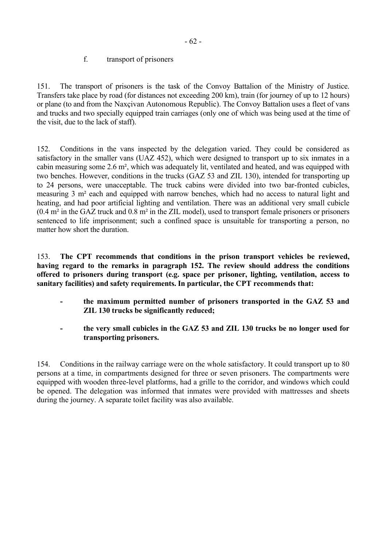## f. transport of prisoners

151. The transport of prisoners is the task of the Convoy Battalion of the Ministry of Justice. Transfers take place by road (for distances not exceeding 200 km), train (for journey of up to 12 hours) or plane (to and from the Naxçivan Autonomous Republic). The Convoy Battalion uses a fleet of vans and trucks and two specially equipped train carriages (only one of which was being used at the time of the visit, due to the lack of staff).

152. Conditions in the vans inspected by the delegation varied. They could be considered as satisfactory in the smaller vans (UAZ 452), which were designed to transport up to six inmates in a cabin measuring some 2.6 m², which was adequately lit, ventilated and heated, and was equipped with two benches. However, conditions in the trucks (GAZ 53 and ZIL 130), intended for transporting up to 24 persons, were unacceptable. The truck cabins were divided into two bar-fronted cubicles, measuring 3 m² each and equipped with narrow benches, which had no access to natural light and heating, and had poor artificial lighting and ventilation. There was an additional very small cubicle (0.4 m² in the GAZ truck and 0.8 m² in the ZIL model), used to transport female prisoners or prisoners sentenced to life imprisonment; such a confined space is unsuitable for transporting a person, no matter how short the duration.

153. **The CPT recommends that conditions in the prison transport vehicles be reviewed, having regard to the remarks in paragraph 152. The review should address the conditions offered to prisoners during transport (e.g. space per prisoner, lighting, ventilation, access to sanitary facilities) and safety requirements. In particular, the CPT recommends that:** 

- **the maximum permitted number of prisoners transported in the GAZ 53 and ZIL 130 trucks be significantly reduced;**
- **the very small cubicles in the GAZ 53 and ZIL 130 trucks be no longer used for transporting prisoners.**

154. Conditions in the railway carriage were on the whole satisfactory. It could transport up to 80 persons at a time, in compartments designed for three or seven prisoners. The compartments were equipped with wooden three-level platforms, had a grille to the corridor, and windows which could be opened. The delegation was informed that inmates were provided with mattresses and sheets during the journey. A separate toilet facility was also available.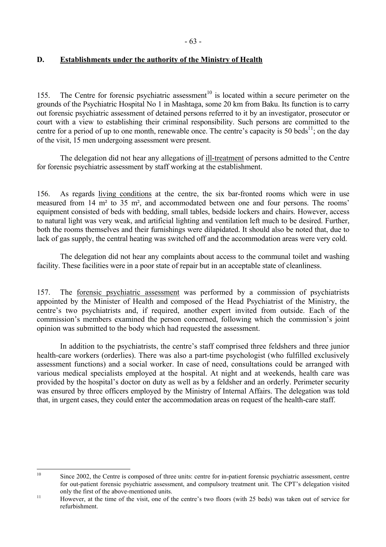# **D. Establishments under the authority of the Ministry of Health**

155. The Centre for forensic psychiatric assessment<sup>10</sup> is located within a secure perimeter on the grounds of the Psychiatric Hospital No 1 in Mashtaga, some 20 km from Baku. Its function is to carry out forensic psychiatric assessment of detained persons referred to it by an investigator, prosecutor or court with a view to establishing their criminal responsibility. Such persons are committed to the centre for a period of up to one month, renewable once. The centre's capacity is 50 beds<sup>11</sup>; on the day of the visit, 15 men undergoing assessment were present.

 The delegation did not hear any allegations of ill-treatment of persons admitted to the Centre for forensic psychiatric assessment by staff working at the establishment.

156. As regards living conditions at the centre, the six bar-fronted rooms which were in use measured from 14 m<sup>2</sup> to 35 m<sup>2</sup>, and accommodated between one and four persons. The rooms' equipment consisted of beds with bedding, small tables, bedside lockers and chairs. However, access to natural light was very weak, and artificial lighting and ventilation left much to be desired. Further, both the rooms themselves and their furnishings were dilapidated. It should also be noted that, due to lack of gas supply, the central heating was switched off and the accommodation areas were very cold.

 The delegation did not hear any complaints about access to the communal toilet and washing facility. These facilities were in a poor state of repair but in an acceptable state of cleanliness.

157. The forensic psychiatric assessment was performed by a commission of psychiatrists appointed by the Minister of Health and composed of the Head Psychiatrist of the Ministry, the centre's two psychiatrists and, if required, another expert invited from outside. Each of the commission's members examined the person concerned, following which the commission's joint opinion was submitted to the body which had requested the assessment.

In addition to the psychiatrists, the centre's staff comprised three feldshers and three junior health-care workers (orderlies). There was also a part-time psychologist (who fulfilled exclusively assessment functions) and a social worker. In case of need, consultations could be arranged with various medical specialists employed at the hospital. At night and at weekends, health care was provided by the hospital's doctor on duty as well as by a feldsher and an orderly. Perimeter security was ensured by three officers employed by the Ministry of Internal Affairs. The delegation was told that, in urgent cases, they could enter the accommodation areas on request of the health-care staff.

<span id="page-64-0"></span> $10$ Since 2002, the Centre is composed of three units: centre for in-patient forensic psychiatric assessment, centre for out-patient forensic psychiatric assessment, and compulsory treatment unit. The CPT's delegation visited

<span id="page-64-1"></span>only the first of the above-mentioned units.<br>
<sup>11</sup> However, at the time of the visit, one of the centre's two floors (with 25 beds) was taken out of service for refurbishment.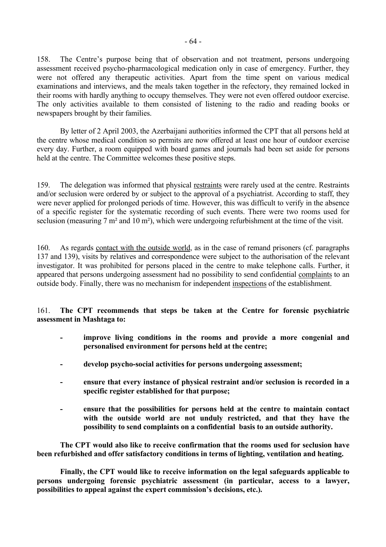158. The Centre's purpose being that of observation and not treatment, persons undergoing assessment received psycho-pharmacological medication only in case of emergency. Further, they were not offered any therapeutic activities. Apart from the time spent on various medical examinations and interviews, and the meals taken together in the refectory, they remained locked in their rooms with hardly anything to occupy themselves. They were not even offered outdoor exercise. The only activities available to them consisted of listening to the radio and reading books or newspapers brought by their families.

 By letter of 2 April 2003, the Azerbaijani authorities informed the CPT that all persons held at the centre whose medical condition so permits are now offered at least one hour of outdoor exercise every day. Further, a room equipped with board games and journals had been set aside for persons held at the centre. The Committee welcomes these positive steps.

159. The delegation was informed that physical restraints were rarely used at the centre. Restraints and/or seclusion were ordered by or subject to the approval of a psychiatrist. According to staff, they were never applied for prolonged periods of time. However, this was difficult to verify in the absence of a specific register for the systematic recording of such events. There were two rooms used for seclusion (measuring 7 m<sup>2</sup> and 10 m<sup>2</sup>), which were undergoing refurbishment at the time of the visit.

160. As regards contact with the outside world, as in the case of remand prisoners (cf. paragraphs 137 and 139), visits by relatives and correspondence were subject to the authorisation of the relevant investigator. It was prohibited for persons placed in the centre to make telephone calls. Further, it appeared that persons undergoing assessment had no possibility to send confidential complaints to an outside body. Finally, there was no mechanism for independent inspections of the establishment.

161. **The CPT recommends that steps be taken at the Centre for forensic psychiatric assessment in Mashtaga to:** 

- improve living conditions in the rooms and provide a more congenial and **personalised environment for persons held at the centre;**
- **develop psycho-social activities for persons undergoing assessment;**
- **ensure that every instance of physical restraint and/or seclusion is recorded in a specific register established for that purpose;**
- **ensure that the possibilities for persons held at the centre to maintain contact with the outside world are not unduly restricted, and that they have the possibility to send complaints on a confidential basis to an outside authority.**

 **The CPT would also like to receive confirmation that the rooms used for seclusion have been refurbished and offer satisfactory conditions in terms of lighting, ventilation and heating.** 

 **Finally, the CPT would like to receive information on the legal safeguards applicable to persons undergoing forensic psychiatric assessment (in particular, access to a lawyer,**  possibilities to appeal against the expert commission's decisions, etc.).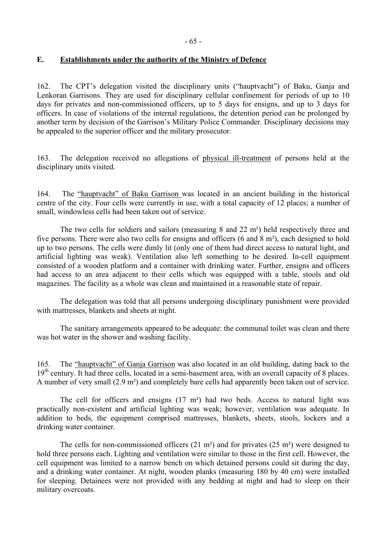# **E. Establishments under the authority of the Ministry of Defence**

162. The CPT's delegation visited the disciplinary units ("hauptvacht") of Baku, Ganja and Lenkoran Garrisons. They are used for disciplinary cellular confinement for periods of up to 10 days for privates and non-commissioned officers, up to 5 days for ensigns, and up to 3 days for officers. In case of violations of the internal regulations, the detention period can be prolonged by another term by decision of the Garrison's Military Police Commander. Disciplinary decisions may be appealed to the superior officer and the military prosecutor.

163. The delegation received no allegations of physical ill-treatment of persons held at the disciplinary units visited.

164. The "hauptvacht" of Baku Garrison was located in an ancient building in the historical centre of the city. Four cells were currently in use, with a total capacity of 12 places; a number of small, windowless cells had been taken out of service.

 The two cells for soldiers and sailors (measuring 8 and 22 m²) held respectively three and five persons. There were also two cells for ensigns and officers (6 and 8 m²), each designed to hold up to two persons. The cells were dimly lit (only one of them had direct access to natural light, and artificial lighting was weak). Ventilation also left something to be desired. In-cell equipment consisted of a wooden platform and a container with drinking water. Further, ensigns and officers had access to an area adjacent to their cells which was equipped with a table, stools and old magazines. The facility as a whole was clean and maintained in a reasonable state of repair.

 The delegation was told that all persons undergoing disciplinary punishment were provided with mattresses, blankets and sheets at night.

 The sanitary arrangements appeared to be adequate: the communal toilet was clean and there was hot water in the shower and washing facility.

165. The "hauptvacht" of Ganja Garrison was also located in an old building, dating back to the 19<sup>th</sup> century. It had three cells, located in a semi-basement area, with an overall capacity of 8 places. A number of very small (2.9 m²) and completely bare cells had apparently been taken out of service.

 The cell for officers and ensigns (17 m²) had two beds. Access to natural light was practically non-existent and artificial lighting was weak; however, ventilation was adequate. In addition to beds, the equipment comprised mattresses, blankets, sheets, stools, lockers and a drinking water container.

The cells for non-commissioned officers  $(21 \text{ m}^2)$  and for privates  $(25 \text{ m}^2)$  were designed to hold three persons each. Lighting and ventilation were similar to those in the first cell. However, the cell equipment was limited to a narrow bench on which detained persons could sit during the day, and a drinking water container. At night, wooden planks (measuring 180 by 40 cm) were installed for sleeping. Detainees were not provided with any bedding at night and had to sleep on their military overcoats.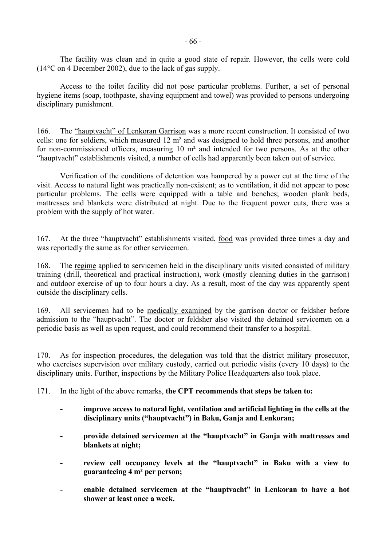The facility was clean and in quite a good state of repair. However, the cells were cold (14°C on 4 December 2002), due to the lack of gas supply.

 Access to the toilet facility did not pose particular problems. Further, a set of personal hygiene items (soap, toothpaste, shaving equipment and towel) was provided to persons undergoing disciplinary punishment.

166. The "hauptvacht" of Lenkoran Garrison was a more recent construction. It consisted of two cells: one for soldiers, which measured 12 m² and was designed to hold three persons, and another for non-commissioned officers, measuring 10 m² and intended for two persons. As at the other "hauptvacht" establishments visited, a number of cells had apparently been taken out of service.

 Verification of the conditions of detention was hampered by a power cut at the time of the visit. Access to natural light was practically non-existent; as to ventilation, it did not appear to pose particular problems. The cells were equipped with a table and benches; wooden plank beds, mattresses and blankets were distributed at night. Due to the frequent power cuts, there was a problem with the supply of hot water.

167. At the three "hauptvacht" establishments visited, food was provided three times a day and was reportedly the same as for other servicemen.

168. The regime applied to servicemen held in the disciplinary units visited consisted of military training (drill, theoretical and practical instruction), work (mostly cleaning duties in the garrison) and outdoor exercise of up to four hours a day. As a result, most of the day was apparently spent outside the disciplinary cells.

169. All servicemen had to be medically examined by the garrison doctor or feldsher before admission to the "hauptvacht". The doctor or feldsher also visited the detained servicemen on a periodic basis as well as upon request, and could recommend their transfer to a hospital.

170. As for inspection procedures, the delegation was told that the district military prosecutor, who exercises supervision over military custody, carried out periodic visits (every 10 days) to the disciplinary units. Further, inspections by the Military Police Headquarters also took place.

# 171. In the light of the above remarks, **the CPT recommends that steps be taken to:**

- **improve access to natural light, ventilation and artificial lighting in the cells at the**  disciplinary units ("hauptvacht") in Baku, Ganja and Lenkoran;
- provide detained servicemen at the "hauptvacht" in Ganja with mattresses and **blankets at night;**
- review cell occupancy levels at the "hauptvacht" in Baku with a view to **guaranteeing 4 m² per person;**
- enable detained servicemen at the "hauptvacht" in Lenkoran to have a hot **shower at least once a week.**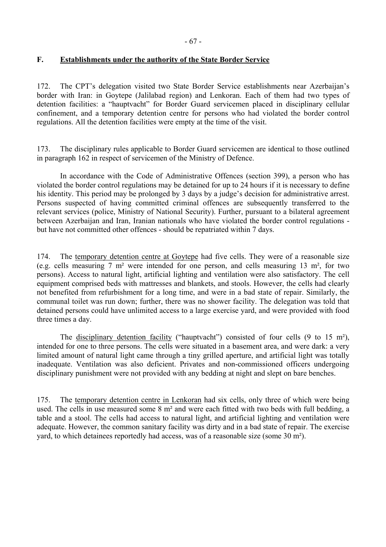# **F. Establishments under the authority of the State Border Service**

172. The CPT's delegation visited two State Border Service establishments near Azerbaijan's border with Iran: in Goytepe (Jalilabad region) and Lenkoran. Each of them had two types of detention facilities: a "hauptvacht" for Border Guard servicemen placed in disciplinary cellular confinement, and a temporary detention centre for persons who had violated the border control regulations. All the detention facilities were empty at the time of the visit.

173. The disciplinary rules applicable to Border Guard servicemen are identical to those outlined in paragraph 162 in respect of servicemen of the Ministry of Defence.

 In accordance with the Code of Administrative Offences (section 399), a person who has violated the border control regulations may be detained for up to 24 hours if it is necessary to define his identity. This period may be prolonged by 3 days by a judge's decision for administrative arrest. Persons suspected of having committed criminal offences are subsequently transferred to the relevant services (police, Ministry of National Security). Further, pursuant to a bilateral agreement between Azerbaijan and Iran, Iranian nationals who have violated the border control regulations but have not committed other offences - should be repatriated within 7 days.

174. The temporary detention centre at Goytepe had five cells. They were of a reasonable size (e.g. cells measuring 7 m² were intended for one person, and cells measuring 13 m², for two persons). Access to natural light, artificial lighting and ventilation were also satisfactory. The cell equipment comprised beds with mattresses and blankets, and stools. However, the cells had clearly not benefited from refurbishment for a long time, and were in a bad state of repair. Similarly, the communal toilet was run down; further, there was no shower facility. The delegation was told that detained persons could have unlimited access to a large exercise yard, and were provided with food three times a day.

The disciplinary detention facility ("hauptvacht") consisted of four cells  $(9 \text{ to } 15 \text{ m}^2)$ , intended for one to three persons. The cells were situated in a basement area, and were dark: a very limited amount of natural light came through a tiny grilled aperture, and artificial light was totally inadequate. Ventilation was also deficient. Privates and non-commissioned officers undergoing disciplinary punishment were not provided with any bedding at night and slept on bare benches.

175. The temporary detention centre in Lenkoran had six cells, only three of which were being used. The cells in use measured some 8 m² and were each fitted with two beds with full bedding, a table and a stool. The cells had access to natural light, and artificial lighting and ventilation were adequate. However, the common sanitary facility was dirty and in a bad state of repair. The exercise yard, to which detainees reportedly had access, was of a reasonable size (some 30 m²).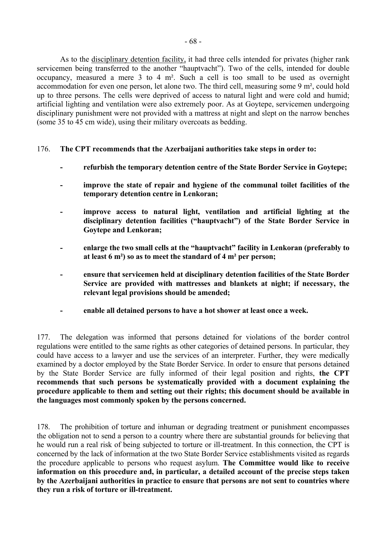As to the disciplinary detention facility, it had three cells intended for privates (higher rank servicemen being transferred to the another "hauptvacht"). Two of the cells, intended for double occupancy, measured a mere 3 to 4 m². Such a cell is too small to be used as overnight accommodation for even one person, let alone two. The third cell, measuring some 9 m², could hold up to three persons. The cells were deprived of access to natural light and were cold and humid; artificial lighting and ventilation were also extremely poor. As at Goytepe, servicemen undergoing disciplinary punishment were not provided with a mattress at night and slept on the narrow benches (some 35 to 45 cm wide), using their military overcoats as bedding.

- 176. **The CPT recommends that the Azerbaijani authorities take steps in order to:**
	- **refurbish the temporary detention centre of the State Border Service in Goytepe;**
	- **improve the state of repair and hygiene of the communal toilet facilities of the temporary detention centre in Lenkoran;**
	- **improve access to natural light, ventilation and artificial lighting at the**  disciplinary detention facilities ("hauptvacht") of the State Border Service in **Goytepe and Lenkoran;**
	- enlarge the two small cells at the "hauptvacht" facility in Lenkoran (preferably to **at least 6 m²) so as to meet the standard of 4 m² per person;**
	- **ensure that servicemen held at disciplinary detention facilities of the State Border Service are provided with mattresses and blankets at night; if necessary, the relevant legal provisions should be amended;**
	- **enable all detained persons to have a hot shower at least once a week.**

177. The delegation was informed that persons detained for violations of the border control regulations were entitled to the same rights as other categories of detained persons. In particular, they could have access to a lawyer and use the services of an interpreter. Further, they were medically examined by a doctor employed by the State Border Service. In order to ensure that persons detained by the State Border Service are fully informed of their legal position and rights, **the CPT recommends that such persons be systematically provided with a document explaining the procedure applicable to them and setting out their rights; this document should be available in the languages most commonly spoken by the persons concerned.**

178. The prohibition of torture and inhuman or degrading treatment or punishment encompasses the obligation not to send a person to a country where there are substantial grounds for believing that he would run a real risk of being subjected to torture or ill-treatment. In this connection, the CPT is concerned by the lack of information at the two State Border Service establishments visited as regards the procedure applicable to persons who request asylum. **The Committee would like to receive information on this procedure and, in particular, a detailed account of the precise steps taken by the Azerbaijani authorities in practice to ensure that persons are not sent to countries where they run a risk of torture or ill-treatment.**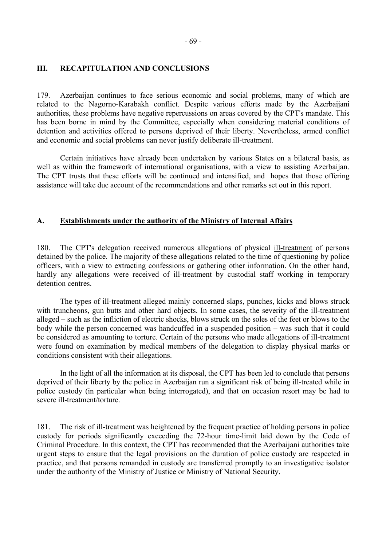## **III. RECAPITULATION AND CONCLUSIONS**

179. Azerbaijan continues to face serious economic and social problems, many of which are related to the Nagorno-Karabakh conflict. Despite various efforts made by the Azerbaijani authorities, these problems have negative repercussions on areas covered by the CPT's mandate. This has been borne in mind by the Committee, especially when considering material conditions of detention and activities offered to persons deprived of their liberty. Nevertheless, armed conflict and economic and social problems can never justify deliberate ill-treatment.

Certain initiatives have already been undertaken by various States on a bilateral basis, as well as within the framework of international organisations, with a view to assisting Azerbaijan. The CPT trusts that these efforts will be continued and intensified, andhopes that those offering assistance will take due account of the recommendations and other remarks set out in this report.

#### **A. Establishments under the authority of the Ministry of Internal Affairs**

180. The CPT's delegation received numerous allegations of physical ill-treatment of persons detained by the police. The majority of these allegations related to the time of questioning by police officers, with a view to extracting confessions or gathering other information. On the other hand, hardly any allegations were received of ill-treatment by custodial staff working in temporary detention centres.

The types of ill-treatment alleged mainly concerned slaps, punches, kicks and blows struck with truncheons, gun butts and other hard objects. In some cases, the severity of the ill-treatment alleged – such as the infliction of electric shocks, blows struck on the soles of the feet or blows to the body while the person concerned was handcuffed in a suspended position  $-$  was such that it could be considered as amounting to torture. Certain of the persons who made allegations of ill-treatment were found on examination by medical members of the delegation to display physical marks or conditions consistent with their allegations.

In the light of all the information at its disposal, the CPT has been led to conclude that persons deprived of their liberty by the police in Azerbaijan run a significant risk of being ill-treated while in police custody (in particular when being interrogated), and that on occasion resort may be had to severe ill-treatment/torture.

181. The risk of ill-treatment was heightened by the frequent practice of holding persons in police custody for periods significantly exceeding the 72-hour time-limit laid down by the Code of Criminal Procedure. In this context, the CPT has recommended that the Azerbaijani authorities take urgent steps to ensure that the legal provisions on the duration of police custody are respected in practice, and that persons remanded in custody are transferred promptly to an investigative isolator under the authority of the Ministry of Justice or Ministry of National Security.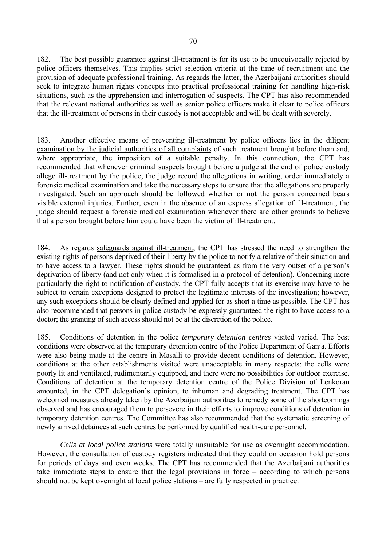182. The best possible guarantee against ill-treatment is for its use to be unequivocally rejected by police officers themselves. This implies strict selection criteria at the time of recruitment and the provision of adequate professional training. As regards the latter, the Azerbaijani authorities should seek to integrate human rights concepts into practical professional training for handling high-risk situations, such as the apprehension and interrogation of suspects. The CPT has also recommended that the relevant national authorities as well as senior police officers make it clear to police officers that the ill-treatment of persons in their custody is not acceptable and will be dealt with severely.

183. Another effective means of preventing ill-treatment by police officers lies in the diligent examination by the judicial authorities of all complaints of such treatment brought before them and, where appropriate, the imposition of a suitable penalty. In this connection, the CPT has recommended that whenever criminal suspects brought before a judge at the end of police custody allege ill-treatment by the police, the judge record the allegations in writing, order immediately a forensic medical examination and take the necessary steps to ensure that the allegations are properly investigated. Such an approach should be followed whether or not the person concerned bears visible external injuries. Further, even in the absence of an express allegation of ill-treatment, the judge should request a forensic medical examination whenever there are other grounds to believe that a person brought before him could have been the victim of ill-treatment.

184. As regards safeguards against ill-treatment, the CPT has stressed the need to strengthen the existing rights of persons deprived of their liberty by the police to notify a relative of their situation and to have access to a lawyer. These rights should be guaranteed as from the very outset of a person's deprivation of liberty (and not only when it is formalised in a protocol of detention). Concerning more particularly the right to notification of custody, the CPT fully accepts that its exercise may have to be subject to certain exceptions designed to protect the legitimate interests of the investigation; however, any such exceptions should be clearly defined and applied for as short a time as possible. The CPT has also recommended that persons in police custody be expressly guaranteed the right to have access to a doctor; the granting of such access should not be at the discretion of the police.

185. Conditions of detention in the police *temporary detention centres* visited varied. The best conditions were observed at the temporary detention centre of the Police Department of Ganja. Efforts were also being made at the centre in Masalli to provide decent conditions of detention. However, conditions at the other establishments visited were unacceptable in many respects: the cells were poorly lit and ventilated, rudimentarily equipped, and there were no possibilities for outdoor exercise. Conditions of detention at the temporary detention centre of the Police Division of Lenkoran amounted, in the CPT delegation's opinion, to inhuman and degrading treatment. The CPT has welcomed measures already taken by the Azerbaijani authorities to remedy some of the shortcomings observed and has encouraged them to persevere in their efforts to improve conditions of detention in temporary detention centres. The Committee has also recommended that the systematic screening of newly arrived detainees at such centres be performed by qualified health-care personnel.

*Cells at local police stations* were totally unsuitable for use as overnight accommodation. However, the consultation of custody registers indicated that they could on occasion hold persons for periods of days and even weeks. The CPT has recommended that the Azerbaijani authorities take immediate steps to ensure that the legal provisions in force  $-$  according to which persons should not be kept overnight at local police stations – are fully respected in practice.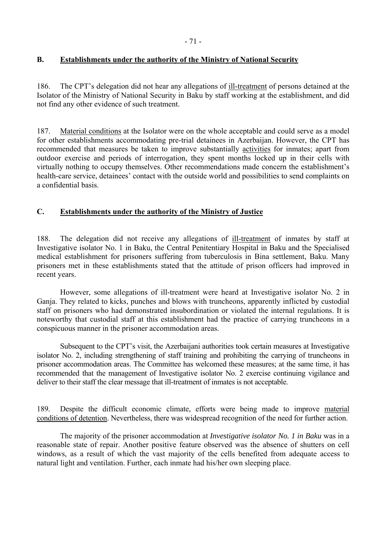# **B. Establishments under the authority of the Ministry of National Security**

186. The CPT's delegation did not hear any allegations of ill-treatment of persons detained at the Isolator of the Ministry of National Security in Baku by staff working at the establishment, and did not find any other evidence of such treatment.

187. Material conditions at the Isolator were on the whole acceptable and could serve as a model for other establishments accommodating pre-trial detainees in Azerbaijan. However, the CPT has recommended that measures be taken to improve substantially activities for inmates; apart from outdoor exercise and periods of interrogation, they spent months locked up in their cells with virtually nothing to occupy themselves. Other recommendations made concern the establishment's health-care service, detainees' contact with the outside world and possibilities to send complaints on a confidential basis.

## **C. Establishments under the authority of the Ministry of Justice**

188. The delegation did not receive any allegations of ill-treatment of inmates by staff at Investigative isolator No. 1 in Baku, the Central Penitentiary Hospital in Baku and the Specialised medical establishment for prisoners suffering from tuberculosis in Bina settlement, Baku. Many prisoners met in these establishments stated that the attitude of prison officers had improved in recent years.

 However, some allegations of ill-treatment were heard at Investigative isolator No. 2 in Ganja. They related to kicks, punches and blows with truncheons, apparently inflicted by custodial staff on prisoners who had demonstrated insubordination or violated the internal regulations. It is noteworthy that custodial staff at this establishment had the practice of carrying truncheons in a conspicuous manner in the prisoner accommodation areas.

Subsequent to the CPT's visit, the Azerbaijani authorities took certain measures at Investigative isolator No. 2, including strengthening of staff training and prohibiting the carrying of truncheons in prisoner accommodation areas. The Committee has welcomed these measures; at the same time, it has recommended that the management of Investigative isolator No. 2 exercise continuing vigilance and deliver to their staff the clear message that ill-treatment of inmates is not acceptable.

189. Despite the difficult economic climate, efforts were being made to improve material conditions of detention. Nevertheless, there was widespread recognition of the need for further action.

 The majority of the prisoner accommodation at *Investigative isolator No. 1 in Baku* was in a reasonable state of repair. Another positive feature observed was the absence of shutters on cell windows, as a result of which the vast majority of the cells benefited from adequate access to natural light and ventilation. Further, each inmate had his/her own sleeping place.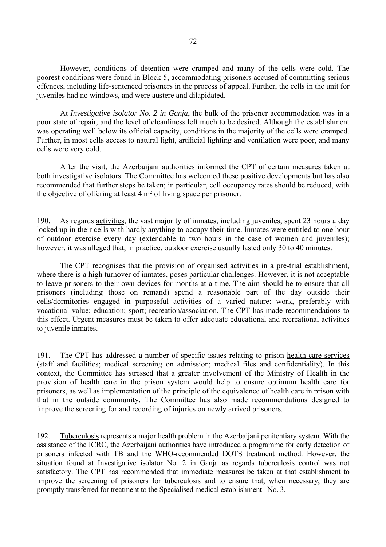However, conditions of detention were cramped and many of the cells were cold. The poorest conditions were found in Block 5, accommodating prisoners accused of committing serious offences, including life-sentenced prisoners in the process of appeal. Further, the cells in the unit for juveniles had no windows, and were austere and dilapidated.

 At *Investigative isolator No. 2 in Ganja*, the bulk of the prisoner accommodation was in a poor state of repair, and the level of cleanliness left much to be desired. Although the establishment was operating well below its official capacity, conditions in the majority of the cells were cramped. Further, in most cells access to natural light, artificial lighting and ventilation were poor, and many cells were very cold.

 After the visit, the Azerbaijani authorities informed the CPT of certain measures taken at both investigative isolators. The Committee has welcomed these positive developments but has also recommended that further steps be taken; in particular, cell occupancy rates should be reduced, with the objective of offering at least 4 m² of living space per prisoner.

190. As regards activities, the vast majority of inmates, including juveniles, spent 23 hours a day locked up in their cells with hardly anything to occupy their time. Inmates were entitled to one hour of outdoor exercise every day (extendable to two hours in the case of women and juveniles); however, it was alleged that, in practice, outdoor exercise usually lasted only 30 to 40 minutes.

 The CPT recognises that the provision of organised activities in a pre-trial establishment, where there is a high turnover of inmates, poses particular challenges. However, it is not acceptable to leave prisoners to their own devices for months at a time. The aim should be to ensure that all prisoners (including those on remand) spend a reasonable part of the day outside their cells/dormitories engaged in purposeful activities of a varied nature: work, preferably with vocational value; education; sport; recreation/association. The CPT has made recommendations to this effect. Urgent measures must be taken to offer adequate educational and recreational activities to juvenile inmates.

191. The CPT has addressed a number of specific issues relating to prison health-care services (staff and facilities; medical screening on admission; medical files and confidentiality). In this context, the Committee has stressed that a greater involvement of the Ministry of Health in the provision of health care in the prison system would help to ensure optimum health care for prisoners, as well as implementation of the principle of the equivalence of health care in prison with that in the outside community. The Committee has also made recommendations designed to improve the screening for and recording of injuries on newly arrived prisoners.

192. Tuberculosis represents a major health problem in the Azerbaijani penitentiary system. With the assistance of the ICRC, the Azerbaijani authorities have introduced a programme for early detection of prisoners infected with TB and the WHO-recommended DOTS treatment method. However, the situation found at Investigative isolator No. 2 in Ganja as regards tuberculosis control was not satisfactory. The CPT has recommended that immediate measures be taken at that establishment to improve the screening of prisoners for tuberculosis and to ensure that, when necessary, they are promptly transferred for treatment to the Specialised medical establishment No. 3.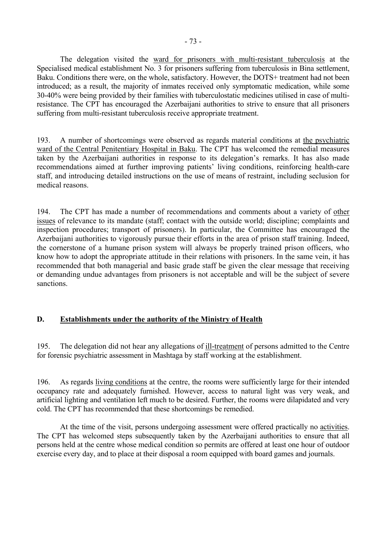The delegation visited the ward for prisoners with multi-resistant tuberculosis at the Specialised medical establishment No. 3 for prisoners suffering from tuberculosis in Bina settlement, Baku. Conditions there were, on the whole, satisfactory. However, the DOTS+ treatment had not been introduced; as a result, the majority of inmates received only symptomatic medication, while some 30-40% were being provided by their families with tuberculostatic medicines utilised in case of multiresistance. The CPT has encouraged the Azerbaijani authorities to strive to ensure that all prisoners suffering from multi-resistant tuberculosis receive appropriate treatment.

193. A number of shortcomings were observed as regards material conditions at the psychiatric ward of the Central Penitentiary Hospital in Baku. The CPT has welcomed the remedial measures taken by the Azerbaijani authorities in response to its delegation's remarks. It has also made recommendations aimed at further improving patients' living conditions, reinforcing health-care staff, and introducing detailed instructions on the use of means of restraint, including seclusion for medical reasons.

194. The CPT has made a number of recommendations and comments about a variety of other issues of relevance to its mandate (staff; contact with the outside world; discipline; complaints and inspection procedures; transport of prisoners). In particular, the Committee has encouraged the Azerbaijani authorities to vigorously pursue their efforts in the area of prison staff training. Indeed, the cornerstone of a humane prison system will always be properly trained prison officers, who know how to adopt the appropriate attitude in their relations with prisoners. In the same vein, it has recommended that both managerial and basic grade staff be given the clear message that receiving or demanding undue advantages from prisoners is not acceptable and will be the subject of severe sanctions.

## **D. Establishments under the authority of the Ministry of Health**

195. The delegation did not hear any allegations of ill-treatment of persons admitted to the Centre for forensic psychiatric assessment in Mashtaga by staff working at the establishment.

196. As regards living conditions at the centre, the rooms were sufficiently large for their intended occupancy rate and adequately furnished. However, access to natural light was very weak, and artificial lighting and ventilation left much to be desired. Further, the rooms were dilapidated and very cold. The CPT has recommended that these shortcomings be remedied.

At the time of the visit, persons undergoing assessment were offered practically no activities. The CPT has welcomed steps subsequently taken by the Azerbaijani authorities to ensure that all persons held at the centre whose medical condition so permits are offered at least one hour of outdoor exercise every day, and to place at their disposal a room equipped with board games and journals.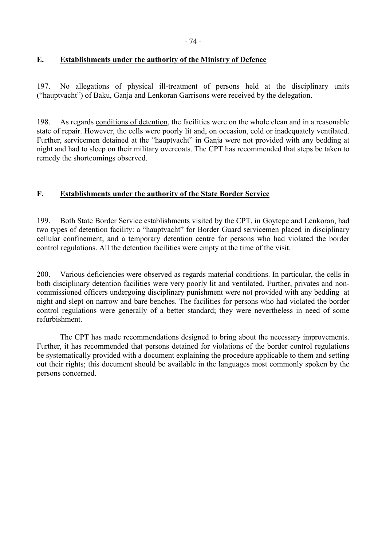# **E. Establishments under the authority of the Ministry of Defence**

197. No allegations of physical ill-treatment of persons held at the disciplinary units ("hauptvacht") of Baku, Ganja and Lenkoran Garrisons were received by the delegation.

198. As regards conditions of detention, the facilities were on the whole clean and in a reasonable state of repair. However, the cells were poorly lit and, on occasion, cold or inadequately ventilated. Further, servicemen detained at the "hauptvacht" in Ganja were not provided with any bedding at night and had to sleep on their military overcoats. The CPT has recommended that steps be taken to remedy the shortcomings observed.

# **F. Establishments under the authority of the State Border Service**

199. Both State Border Service establishments visited by the CPT, in Goytepe and Lenkoran, had two types of detention facility: a "hauptvacht" for Border Guard servicemen placed in disciplinary cellular confinement, and a temporary detention centre for persons who had violated the border control regulations. All the detention facilities were empty at the time of the visit.

200. Various deficiencies were observed as regards material conditions. In particular, the cells in both disciplinary detention facilities were very poorly lit and ventilated. Further, privates and noncommissioned officers undergoing disciplinary punishment were not provided with any bedding at night and slept on narrow and bare benches. The facilities for persons who had violated the border control regulations were generally of a better standard; they were nevertheless in need of some refurbishment.

 The CPT has made recommendations designed to bring about the necessary improvements. Further, it has recommended that persons detained for violations of the border control regulations be systematically provided with a document explaining the procedure applicable to them and setting out their rights; this document should be available in the languages most commonly spoken by the persons concerned.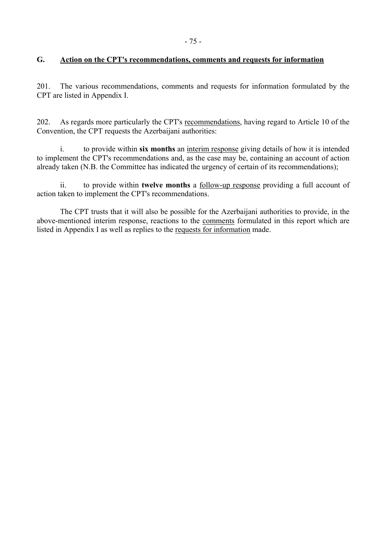## **G. Action on the CPT's recommendations, comments and requests for information**

201. The various recommendations, comments and requests for information formulated by the CPT are listed in Appendix I.

202. As regards more particularly the CPT's recommendations, having regard to Article 10 of the Convention, the CPT requests the Azerbaijani authorities:

 i. to provide within **six months** an interim response giving details of how it is intended to implement the CPT's recommendations and, as the case may be, containing an account of action already taken (N.B. the Committee has indicated the urgency of certain of its recommendations);

 ii. to provide within **twelve months** a follow-up response providing a full account of action taken to implement the CPT's recommendations.

 The CPT trusts that it will also be possible for the Azerbaijani authorities to provide, in the above-mentioned interim response, reactions to the comments formulated in this report which are listed in Appendix I as well as replies to the requests for information made.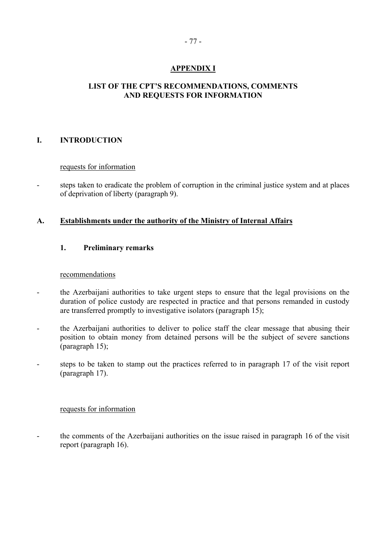# **APPENDIX I**

# **LIST OF THE CPT'S RECOMMENDATIONS, COMMENTS AND REQUESTS FOR INFORMATION**

## **I. INTRODUCTION**

## requests for information

- steps taken to eradicate the problem of corruption in the criminal justice system and at places of deprivation of liberty (paragraph 9).

## **A. Establishments under the authority of the Ministry of Internal Affairs**

## **1. Preliminary remarks**

## recommendations

- the Azerbaijani authorities to take urgent steps to ensure that the legal provisions on the duration of police custody are respected in practice and that persons remanded in custody are transferred promptly to investigative isolators (paragraph 15);
- the Azerbaijani authorities to deliver to police staff the clear message that abusing their position to obtain money from detained persons will be the subject of severe sanctions (paragraph 15);
- steps to be taken to stamp out the practices referred to in paragraph 17 of the visit report (paragraph 17).

## requests for information

- the comments of the Azerbaijani authorities on the issue raised in paragraph 16 of the visit report (paragraph 16).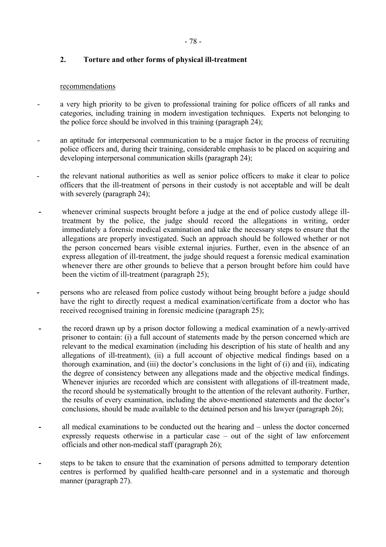# **2. Torture and other forms of physical ill-treatment**

## recommendations

- a very high priority to be given to professional training for police officers of all ranks and categories, including training in modern investigation techniques. Experts not belonging to the police force should be involved in this training (paragraph 24);
- an aptitude for interpersonal communication to be a major factor in the process of recruiting police officers and, during their training, considerable emphasis to be placed on acquiring and developing interpersonal communication skills (paragraph 24);
- the relevant national authorities as well as senior police officers to make it clear to police officers that the ill-treatment of persons in their custody is not acceptable and will be dealt with severely (paragraph 24);
- whenever criminal suspects brought before a judge at the end of police custody allege illtreatment by the police, the judge should record the allegations in writing, order immediately a forensic medical examination and take the necessary steps to ensure that the allegations are properly investigated. Such an approach should be followed whether or not the person concerned bears visible external injuries. Further, even in the absence of an express allegation of ill-treatment, the judge should request a forensic medical examination whenever there are other grounds to believe that a person brought before him could have been the victim of ill-treatment (paragraph 25);
- persons who are released from police custody without being brought before a judge should have the right to directly request a medical examination/certificate from a doctor who has received recognised training in forensic medicine (paragraph 25);
- the record drawn up by a prison doctor following a medical examination of a newly-arrived prisoner to contain: (i) a full account of statements made by the person concerned which are relevant to the medical examination (including his description of his state of health and any allegations of ill-treatment), (ii) a full account of objective medical findings based on a thorough examination, and (iii) the doctor's conclusions in the light of  $(i)$  and  $(ii)$ , indicating the degree of consistency between any allegations made and the objective medical findings. Whenever injuries are recorded which are consistent with allegations of ill-treatment made, the record should be systematically brought to the attention of the relevant authority. Further, the results of every examination, including the above-mentioned statements and the doctor's conclusions, should be made available to the detained person and his lawyer (paragraph 26);
- all medical examinations to be conducted out the hearing and unless the doctor concerned expressly requests otherwise in a particular case  $-$  out of the sight of law enforcement officials and other non-medical staff (paragraph 26);
- steps to be taken to ensure that the examination of persons admitted to temporary detention centres is performed by qualified health-care personnel and in a systematic and thorough manner (paragraph 27).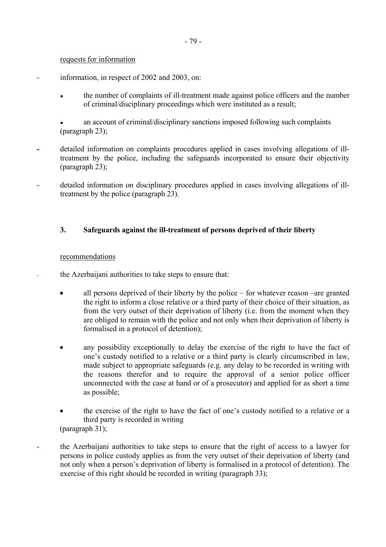### requests for information

- information, in respect of 2002 and 2003, on:
	- the number of complaints of ill-treatment made against police officers and the number of criminal/disciplinary proceedings which were instituted as a result;

an account of criminal/disciplinary sanctions imposed following such complaints (paragraph 23);

- detailed information on complaints procedures applied in cases involving allegations of illtreatment by the police, including the safeguards incorporated to ensure their objectivity (paragraph 23);
- detailed information on disciplinary procedures applied in cases involving allegations of illtreatment by the police (paragraph 23).

## **3. Safeguards against the ill-treatment of persons deprived of their liberty**

### recommendations

- the Azerbaijani authorities to take steps to ensure that:
	- all persons deprived of their liberty by the police  $-$  for whatever reason  $-$ are granted the right to inform a close relative or a third party of their choice of their situation, as from the very outset of their deprivation of liberty (i.e. from the moment when they are obliged to remain with the police and not only when their deprivation of liberty is formalised in a protocol of detention);
	- any possibility exceptionally to delay the exercise of the right to have the fact of one's custody notified to a relative or a third party is clearly circumscribed in law, made subject to appropriate safeguards (e.g. any delay to be recorded in writing with the reasons therefor and to require the approval of a senior police officer unconnected with the case at hand or of a prosecutor) and applied for as short a time as possible;
	- the exercise of the right to have the fact of one's custody notified to a relative or a third party is recorded in writing (paragraph 31);
- the Azerbaijani authorities to take steps to ensure that the right of access to a lawyer for persons in police custody applies as from the very outset of their deprivation of liberty (and not only when a person's deprivation of liberty is formalised in a protocol of detention). The exercise of this right should be recorded in writing (paragraph 33);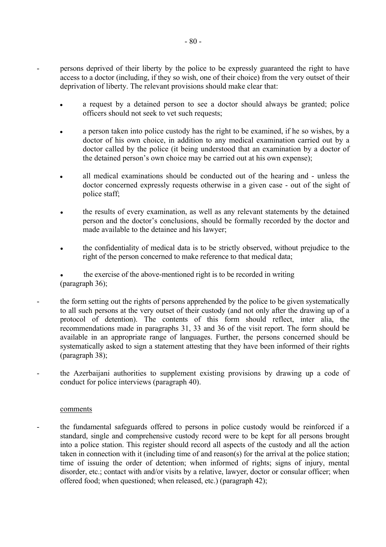persons deprived of their liberty by the police to be expressly guaranteed the right to have access to a doctor (including, if they so wish, one of their choice) from the very outset of their deprivation of liberty. The relevant provisions should make clear that:

- a request by a detained person to see a doctor should always be granted; police officers should not seek to vet such requests;
- a person taken into police custody has the right to be examined, if he so wishes, by a doctor of his own choice, in addition to any medical examination carried out by a doctor called by the police (it being understood that an examination by a doctor of the detained person's own choice may be carried out at his own expense);
- all medical examinations should be conducted out of the hearing and unless the doctor concerned expressly requests otherwise in a given case - out of the sight of police staff;
- the results of every examination, as well as any relevant statements by the detained person and the doctor's conclusions, should be formally recorded by the doctor and made available to the detainee and his lawyer;
- the confidentiality of medical data is to be strictly observed, without prejudice to the right of the person concerned to make reference to that medical data;
- the exercise of the above-mentioned right is to be recorded in writing (paragraph 36);
- the form setting out the rights of persons apprehended by the police to be given systematically to all such persons at the very outset of their custody (and not only after the drawing up of a protocol of detention). The contents of this form should reflect, inter alia, the recommendations made in paragraphs 31, 33 and 36 of the visit report. The form should be available in an appropriate range of languages. Further, the persons concerned should be systematically asked to sign a statement attesting that they have been informed of their rights (paragraph 38);
- the Azerbaijani authorities to supplement existing provisions by drawing up a code of conduct for police interviews (paragraph 40).

## comments

the fundamental safeguards offered to persons in police custody would be reinforced if a standard, single and comprehensive custody record were to be kept for all persons brought into a police station. This register should record all aspects of the custody and all the action taken in connection with it (including time of and reason(s) for the arrival at the police station; time of issuing the order of detention; when informed of rights; signs of injury, mental disorder, etc.; contact with and/or visits by a relative, lawyer, doctor or consular officer; when offered food; when questioned; when released, etc.) (paragraph 42);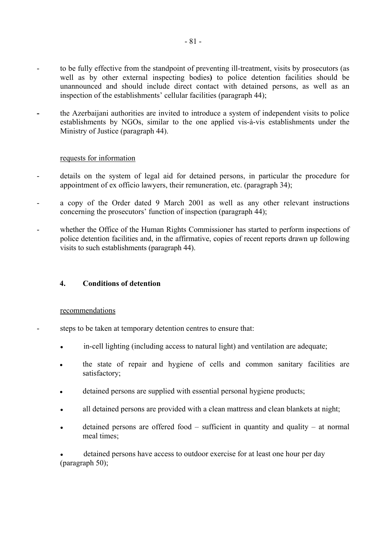- to be fully effective from the standpoint of preventing ill-treatment, visits by prosecutors (as well as by other external inspecting bodies**)** to police detention facilities should be unannounced and should include direct contact with detained persons, as well as an inspection of the establishments' cellular facilities (paragraph 44);
- the Azerbaijani authorities are invited to introduce a system of independent visits to police establishments by NGOs, similar to the one applied vis-à-vis establishments under the Ministry of Justice (paragraph 44).

## requests for information

- details on the system of legal aid for detained persons, in particular the procedure for appointment of ex officio lawyers, their remuneration, etc. (paragraph 34);
- a copy of the Order dated 9 March 2001 as well as any other relevant instructions concerning the prosecutors' function of inspection (paragraph 44);
- whether the Office of the Human Rights Commissioner has started to perform inspections of police detention facilities and, in the affirmative, copies of recent reports drawn up following visits to such establishments (paragraph 44).

## **4. Conditions of detention**

## recommendations

- steps to be taken at temporary detention centres to ensure that:
	- in-cell lighting (including access to natural light) and ventilation are adequate;
	- the state of repair and hygiene of cells and common sanitary facilities are satisfactory;
	- detained persons are supplied with essential personal hygiene products;
	- all detained persons are provided with a clean mattress and clean blankets at night;
	- $\bullet$  detained persons are offered food sufficient in quantity and quality at normal meal times;

detained persons have access to outdoor exercise for at least one hour per day (paragraph 50);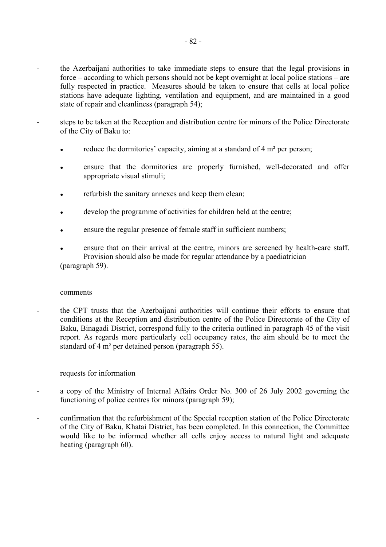- the Azerbaijani authorities to take immediate steps to ensure that the legal provisions in force  $-\arccos$  according to which persons should not be kept overnight at local police stations  $-\arccos$ fully respected in practice. Measures should be taken to ensure that cells at local police stations have adequate lighting, ventilation and equipment, and are maintained in a good state of repair and cleanliness (paragraph 54);
- steps to be taken at the Reception and distribution centre for minors of the Police Directorate of the City of Baku to:
	- reduce the dormitories' capacity, aiming at a standard of  $4 \text{ m}^2$  per person;
	- ensure that the dormitories are properly furnished, well-decorated and offer appropriate visual stimuli;
	- refurbish the sanitary annexes and keep them clean;
	- develop the programme of activities for children held at the centre;
	- ensure the regular presence of female staff in sufficient numbers;
	- ensure that on their arrival at the centre, minors are screened by health-care staff. Provision should also be made for regular attendance by a paediatrician (paragraph 59).

#### comments

- the CPT trusts that the Azerbaijani authorities will continue their efforts to ensure that conditions at the Reception and distribution centre of the Police Directorate of the City of Baku, Binagadi District, correspond fully to the criteria outlined in paragraph 45 of the visit report. As regards more particularly cell occupancy rates, the aim should be to meet the standard of 4 m² per detained person (paragraph 55).

### requests for information

- a copy of the Ministry of Internal Affairs Order No. 300 of 26 July 2002 governing the functioning of police centres for minors (paragraph 59);
- confirmation that the refurbishment of the Special reception station of the Police Directorate of the City of Baku, Khatai District, has been completed. In this connection, the Committee would like to be informed whether all cells enjoy access to natural light and adequate heating (paragraph 60).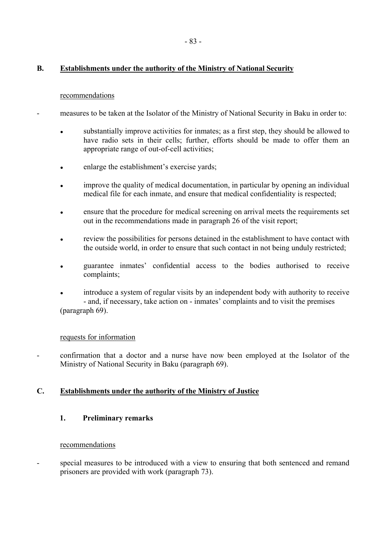# **B. Establishments under the authority of the Ministry of National Security**

## recommendations

- measures to be taken at the Isolator of the Ministry of National Security in Baku in order to:
	- substantially improve activities for inmates; as a first step, they should be allowed to have radio sets in their cells; further, efforts should be made to offer them an appropriate range of out-of-cell activities;
	- enlarge the establishment's exercise yards;
	- improve the quality of medical documentation, in particular by opening an individual medical file for each inmate, and ensure that medical confidentiality is respected;
	- ensure that the procedure for medical screening on arrival meets the requirements set out in the recommendations made in paragraph 26 of the visit report;
	- review the possibilities for persons detained in the establishment to have contact with the outside world, in order to ensure that such contact in not being unduly restricted;
	- guarantee inmates' confidential access to the bodies authorised to receive complaints;
	- introduce a system of regular visits by an independent body with authority to receive - and, if necessary, take action on - inmates' complaints and to visit the premises (paragraph 69).

## requests for information

- confirmation that a doctor and a nurse have now been employed at the Isolator of the Ministry of National Security in Baku (paragraph 69).

## **C. Establishments under the authority of the Ministry of Justice**

## **1. Preliminary remarks**

## recommendations

special measures to be introduced with a view to ensuring that both sentenced and remand prisoners are provided with work (paragraph 73).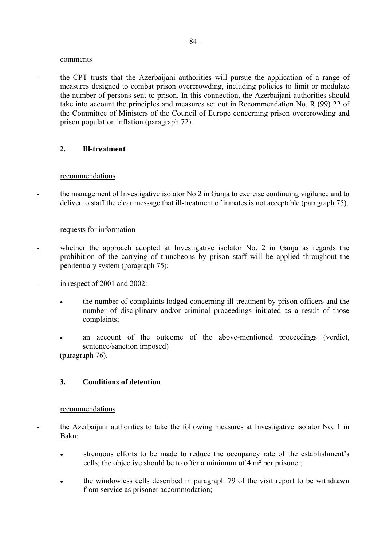#### comments

- the CPT trusts that the Azerbaijani authorities will pursue the application of a range of measures designed to combat prison overcrowding, including policies to limit or modulate the number of persons sent to prison. In this connection, the Azerbaijani authorities should take into account the principles and measures set out in Recommendation No. R (99) 22 of the Committee of Ministers of the Council of Europe concerning prison overcrowding and prison population inflation (paragraph 72).

## **2. Ill-treatment**

### recommendations

the management of Investigative isolator No 2 in Ganja to exercise continuing vigilance and to deliver to staff the clear message that ill-treatment of inmates is not acceptable (paragraph 75).

### requests for information

- whether the approach adopted at Investigative isolator No. 2 in Ganja as regards the prohibition of the carrying of truncheons by prison staff will be applied throughout the penitentiary system (paragraph 75);
- in respect of 2001 and 2002:
	- the number of complaints lodged concerning ill-treatment by prison officers and the number of disciplinary and/or criminal proceedings initiated as a result of those complaints;
	- an account of the outcome of the above-mentioned proceedings (verdict, sentence/sanction imposed) (paragraph 76).

## **3. Conditions of detention**

#### recommendations

- the Azerbaijani authorities to take the following measures at Investigative isolator No. 1 in Baku:
	- strenuous efforts to be made to reduce the occupancy rate of the establishment's cells; the objective should be to offer a minimum of 4 m² per prisoner;
	- **●** the windowless cells described in paragraph 79 of the visit report to be withdrawn from service as prisoner accommodation;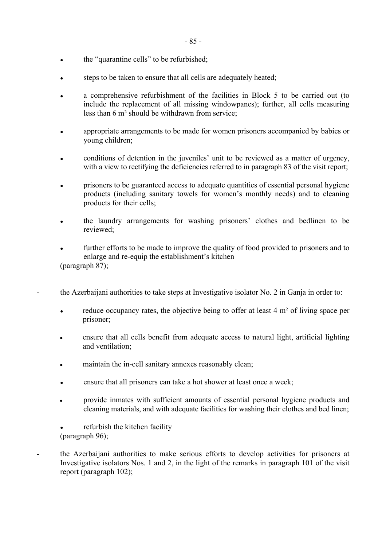- the "quarantine cells" to be refurbished;
- steps to be taken to ensure that all cells are adequately heated;
- **●** a comprehensive refurbishment of the facilities in Block 5 to be carried out (to include the replacement of all missing windowpanes); further, all cells measuring less than 6 m² should be withdrawn from service;
- appropriate arrangements to be made for women prisoners accompanied by babies or young children;
- conditions of detention in the juveniles' unit to be reviewed as a matter of urgency, with a view to rectifying the deficiencies referred to in paragraph 83 of the visit report;
- prisoners to be guaranteed access to adequate quantities of essential personal hygiene products (including sanitary towels for women's monthly needs) and to cleaning products for their cells;
- the laundry arrangements for washing prisoners' clothes and bedlinen to be reviewed;
- further efforts to be made to improve the quality of food provided to prisoners and to enlarge and re-equip the establishment's kitchen (paragraph 87);
- the Azerbaijani authorities to take steps at Investigative isolator No. 2 in Ganja in order to:
	- **•** reduce occupancy rates, the objective being to offer at least 4 m<sup>2</sup> of living space per prisoner;
	- ensure that all cells benefit from adequate access to natural light, artificial lighting and ventilation;
	- maintain the in-cell sanitary annexes reasonably clean;
	- ensure that all prisoners can take a hot shower at least once a week;
	- provide inmates with sufficient amounts of essential personal hygiene products and cleaning materials, and with adequate facilities for washing their clothes and bed linen;
	- refurbish the kitchen facility (paragraph 96);
- the Azerbaijani authorities to make serious efforts to develop activities for prisoners at Investigative isolators Nos. 1 and 2, in the light of the remarks in paragraph 101 of the visit report (paragraph 102);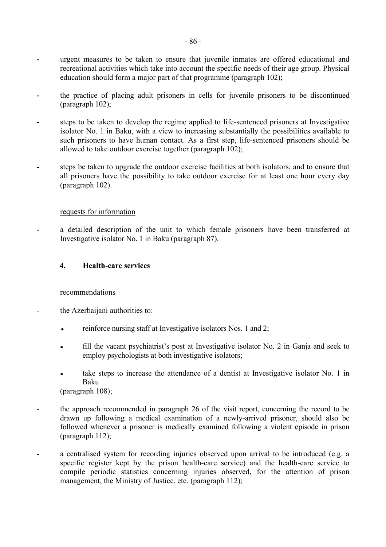- urgent measures to be taken to ensure that juvenile inmates are offered educational and recreational activities which take into account the specific needs of their age group. Physical education should form a major part of that programme (paragraph 102);
- the practice of placing adult prisoners in cells for juvenile prisoners to be discontinued (paragraph 102);
- steps to be taken to develop the regime applied to life-sentenced prisoners at Investigative isolator No. 1 in Baku, with a view to increasing substantially the possibilities available to such prisoners to have human contact. As a first step, life-sentenced prisoners should be allowed to take outdoor exercise together (paragraph 102);
- steps be taken to upgrade the outdoor exercise facilities at both isolators, and to ensure that all prisoners have the possibility to take outdoor exercise for at least one hour every day (paragraph 102).

## requests for information

**-** a detailed description of the unit to which female prisoners have been transferred at Investigative isolator No. 1 in Baku (paragraph 87).

## **4. Health-care services**

## recommendations

- the Azerbaijani authorities to:
	- reinforce nursing staff at Investigative isolators Nos. 1 and 2;
	- fill the vacant psychiatrist's post at Investigative isolator No. 2 in Ganja and seek to employ psychologists at both investigative isolators;
	- take steps to increase the attendance of a dentist at Investigative isolator No. 1 in Baku

(paragraph 108);

- the approach recommended in paragraph 26 of the visit report, concerning the record to be drawn up following a medical examination of a newly-arrived prisoner, should also be followed whenever a prisoner is medically examined following a violent episode in prison (paragraph 112);
- a centralised system for recording injuries observed upon arrival to be introduced (e.g. a specific register kept by the prison health-care service) and the health-care service to compile periodic statistics concerning injuries observed, for the attention of prison management, the Ministry of Justice, etc. (paragraph 112);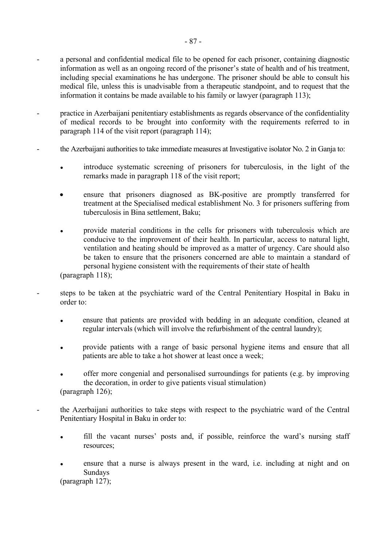- a personal and confidential medical file to be opened for each prisoner, containing diagnostic information as well as an ongoing record of the prisoner's state of health and of his treatment, including special examinations he has undergone. The prisoner should be able to consult his medical file, unless this is unadvisable from a therapeutic standpoint, and to request that the information it contains be made available to his family or lawyer (paragraph 113);
- practice in Azerbaijani penitentiary establishments as regards observance of the confidentiality of medical records to be brought into conformity with the requirements referred to in paragraph 114 of the visit report (paragraph 114);
- the Azerbaijani authorities to take immediate measures at Investigative isolator No. 2 in Ganja to:
	- introduce systematic screening of prisoners for tuberculosis, in the light of the remarks made in paragraph 118 of the visit report;
	- ensure that prisoners diagnosed as BK-positive are promptly transferred for treatment at the Specialised medical establishment No. 3 for prisoners suffering from tuberculosis in Bina settlement, Baku;
	- provide material conditions in the cells for prisoners with tuberculosis which are conducive to the improvement of their health. In particular, access to natural light, ventilation and heating should be improved as a matter of urgency. Care should also be taken to ensure that the prisoners concerned are able to maintain a standard of personal hygiene consistent with the requirements of their state of health

(paragraph 118);

- steps to be taken at the psychiatric ward of the Central Penitentiary Hospital in Baku in order to:
	- ensure that patients are provided with bedding in an adequate condition, cleaned at regular intervals (which will involve the refurbishment of the central laundry);
	- provide patients with a range of basic personal hygiene items and ensure that all patients are able to take a hot shower at least once a week;
	- offer more congenial and personalised surroundings for patients (e.g. by improving the decoration, in order to give patients visual stimulation) (paragraph 126);
- the Azerbaijani authorities to take steps with respect to the psychiatric ward of the Central Penitentiary Hospital in Baku in order to:
	- fill the vacant nurses' posts and, if possible, reinforce the ward's nursing staff resources;
	- ensure that a nurse is always present in the ward, i.e. including at night and on Sundays (paragraph 127);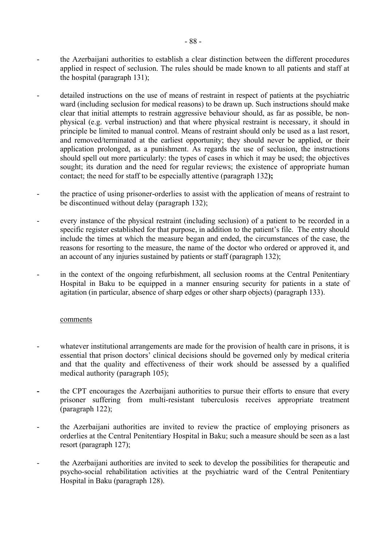- the Azerbaijani authorities to establish a clear distinction between the different procedures applied in respect of seclusion. The rules should be made known to all patients and staff at the hospital (paragraph 131);
- detailed instructions on the use of means of restraint in respect of patients at the psychiatric ward (including seclusion for medical reasons) to be drawn up. Such instructions should make clear that initial attempts to restrain aggressive behaviour should, as far as possible, be nonphysical (e.g. verbal instruction) and that where physical restraint is necessary, it should in principle be limited to manual control. Means of restraint should only be used as a last resort, and removed/terminated at the earliest opportunity; they should never be applied, or their application prolonged, as a punishment. As regards the use of seclusion, the instructions should spell out more particularly: the types of cases in which it may be used; the objectives sought; its duration and the need for regular reviews; the existence of appropriate human contact; the need for staff to be especially attentive (paragraph 132**);**
- the practice of using prisoner-orderlies to assist with the application of means of restraint to be discontinued without delay (paragraph 132);
- every instance of the physical restraint (including seclusion) of a patient to be recorded in a specific register established for that purpose, in addition to the patient's file. The entry should include the times at which the measure began and ended, the circumstances of the case, the reasons for resorting to the measure, the name of the doctor who ordered or approved it, and an account of any injuries sustained by patients or staff (paragraph 132);
- in the context of the ongoing refurbishment, all seclusion rooms at the Central Penitentiary Hospital in Baku to be equipped in a manner ensuring security for patients in a state of agitation (in particular, absence of sharp edges or other sharp objects) (paragraph 133).

## comments

- whatever institutional arrangements are made for the provision of health care in prisons, it is essential that prison doctors' clinical decisions should be governed only by medical criteria and that the quality and effectiveness of their work should be assessed by a qualified medical authority (paragraph 105);
- the CPT encourages the Azerbaijani authorities to pursue their efforts to ensure that every prisoner suffering from multi-resistant tuberculosis receives appropriate treatment (paragraph 122);
- the Azerbaijani authorities are invited to review the practice of employing prisoners as orderlies at the Central Penitentiary Hospital in Baku; such a measure should be seen as a last resort (paragraph 127);
- the Azerbaijani authorities are invited to seek to develop the possibilities for therapeutic and psycho-social rehabilitation activities at the psychiatric ward of the Central Penitentiary Hospital in Baku (paragraph 128).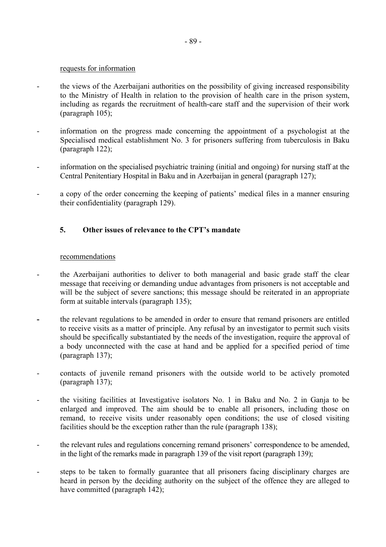#### requests for information

- the views of the Azerbaijani authorities on the possibility of giving increased responsibility to the Ministry of Health in relation to the provision of health care in the prison system, including as regards the recruitment of health-care staff and the supervision of their work (paragraph 105);
- information on the progress made concerning the appointment of a psychologist at the Specialised medical establishment No. 3 for prisoners suffering from tuberculosis in Baku (paragraph 122);
- information on the specialised psychiatric training (initial and ongoing) for nursing staff at the Central Penitentiary Hospital in Baku and in Azerbaijan in general (paragraph 127);
- a copy of the order concerning the keeping of patients' medical files in a manner ensuring their confidentiality (paragraph 129).

## **5.** Other issues of relevance to the CPT's mandate

### recommendations

- the Azerbaijani authorities to deliver to both managerial and basic grade staff the clear message that receiving or demanding undue advantages from prisoners is not acceptable and will be the subject of severe sanctions; this message should be reiterated in an appropriate form at suitable intervals (paragraph 135);
- the relevant regulations to be amended in order to ensure that remand prisoners are entitled to receive visits as a matter of principle. Any refusal by an investigator to permit such visits should be specifically substantiated by the needs of the investigation, require the approval of a body unconnected with the case at hand and be applied for a specified period of time (paragraph 137);
- contacts of juvenile remand prisoners with the outside world to be actively promoted (paragraph 137);
- the visiting facilities at Investigative isolators No. 1 in Baku and No. 2 in Ganja to be enlarged and improved. The aim should be to enable all prisoners, including those on remand, to receive visits under reasonably open conditions; the use of closed visiting facilities should be the exception rather than the rule (paragraph 138);
- the relevant rules and regulations concerning remand prisoners' correspondence to be amended, in the light of the remarks made in paragraph 139 of the visit report (paragraph 139);
- steps to be taken to formally guarantee that all prisoners facing disciplinary charges are heard in person by the deciding authority on the subject of the offence they are alleged to have committed (paragraph 142);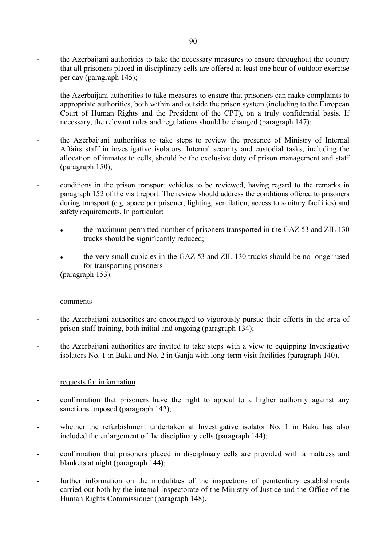- the Azerbaijani authorities to take the necessary measures to ensure throughout the country that all prisoners placed in disciplinary cells are offered at least one hour of outdoor exercise per day (paragraph 145);
- the Azerbaijani authorities to take measures to ensure that prisoners can make complaints to appropriate authorities, both within and outside the prison system (including to the European Court of Human Rights and the President of the CPT), on a truly confidential basis. If necessary, the relevant rules and regulations should be changed (paragraph 147);
- the Azerbaijani authorities to take steps to review the presence of Ministry of Internal Affairs staff in investigative isolators. Internal security and custodial tasks, including the allocation of inmates to cells, should be the exclusive duty of prison management and staff (paragraph 150);
- conditions in the prison transport vehicles to be reviewed, having regard to the remarks in paragraph 152 of the visit report. The review should address the conditions offered to prisoners during transport (e.g. space per prisoner, lighting, ventilation, access to sanitary facilities) and safety requirements. In particular:
	- the maximum permitted number of prisoners transported in the GAZ 53 and ZIL 130 trucks should be significantly reduced;
	- the very small cubicles in the GAZ 53 and ZIL 130 trucks should be no longer used for transporting prisoners

(paragraph 153).

## comments

- the Azerbaijani authorities are encouraged to vigorously pursue their efforts in the area of prison staff training, both initial and ongoing (paragraph 134);
- the Azerbaijani authorities are invited to take steps with a view to equipping Investigative isolators No. 1 in Baku and No. 2 in Ganja with long-term visit facilities (paragraph 140).

## requests for information

- confirmation that prisoners have the right to appeal to a higher authority against any sanctions imposed (paragraph 142);
- whether the refurbishment undertaken at Investigative isolator No. 1 in Baku has also included the enlargement of the disciplinary cells (paragraph 144);
- confirmation that prisoners placed in disciplinary cells are provided with a mattress and blankets at night (paragraph 144);
- further information on the modalities of the inspections of penitentiary establishments carried out both by the internal Inspectorate of the Ministry of Justice and the Office of the Human Rights Commissioner (paragraph 148).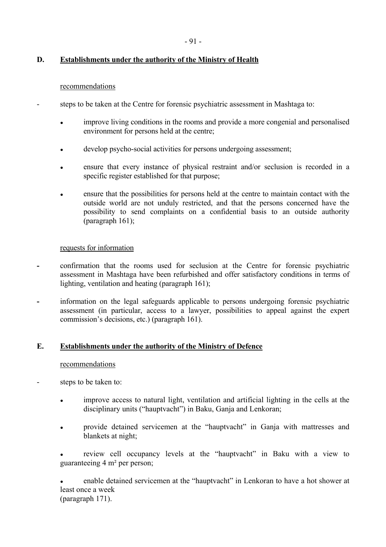# **D. Establishments under the authority of the Ministry of Health**

## recommendations

- steps to be taken at the Centre for forensic psychiatric assessment in Mashtaga to:
	- improve living conditions in the rooms and provide a more congenial and personalised environment for persons held at the centre;
	- develop psycho-social activities for persons undergoing assessment;
	- ensure that every instance of physical restraint and/or seclusion is recorded in a specific register established for that purpose;
	- ensure that the possibilities for persons held at the centre to maintain contact with the outside world are not unduly restricted, and that the persons concerned have the possibility to send complaints on a confidential basis to an outside authority (paragraph 161);

## requests for information

- confirmation that the rooms used for seclusion at the Centre for forensic psychiatric assessment in Mashtaga have been refurbished and offer satisfactory conditions in terms of lighting, ventilation and heating (paragraph 161);
- information on the legal safeguards applicable to persons undergoing forensic psychiatric assessment (in particular, access to a lawyer, possibilities to appeal against the expert commission's decisions, etc.) (paragraph 161).

# **E. Establishments under the authority of the Ministry of Defence**

## recommendations

- steps to be taken to:
	- improve access to natural light, ventilation and artificial lighting in the cells at the disciplinary units ("hauptvacht") in Baku, Ganja and Lenkoran;
	- provide detained servicemen at the "hauptvacht" in Ganja with mattresses and blankets at night;

review cell occupancy levels at the "hauptvacht" in Baku with a view to guaranteeing 4 m² per person;

enable detained servicemen at the "hauptvacht" in Lenkoran to have a hot shower at least once a week (paragraph 171).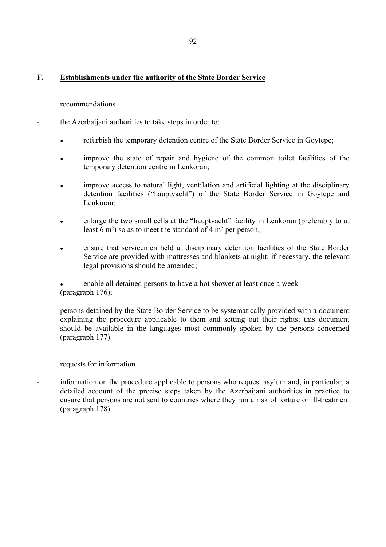## **F. Establishments under the authority of the State Border Service**

### recommendations

- the Azerbaijani authorities to take steps in order to:
	- refurbish the temporary detention centre of the State Border Service in Goytepe;
	- improve the state of repair and hygiene of the common toilet facilities of the temporary detention centre in Lenkoran;
	- improve access to natural light, ventilation and artificial lighting at the disciplinary detention facilities ("hauptvacht") of the State Border Service in Goytepe and Lenkoran;
	- enlarge the two small cells at the "hauptvacht" facility in Lenkoran (preferably to at least 6 m²) so as to meet the standard of 4 m² per person;
	- ensure that servicemen held at disciplinary detention facilities of the State Border Service are provided with mattresses and blankets at night; if necessary, the relevant legal provisions should be amended;
	- enable all detained persons to have a hot shower at least once a week (paragraph 176);
- persons detained by the State Border Service to be systematically provided with a document explaining the procedure applicable to them and setting out their rights; this document should be available in the languages most commonly spoken by the persons concerned (paragraph 177).

## requests for information

information on the procedure applicable to persons who request asylum and, in particular, a detailed account of the precise steps taken by the Azerbaijani authorities in practice to ensure that persons are not sent to countries where they run a risk of torture or ill-treatment (paragraph 178).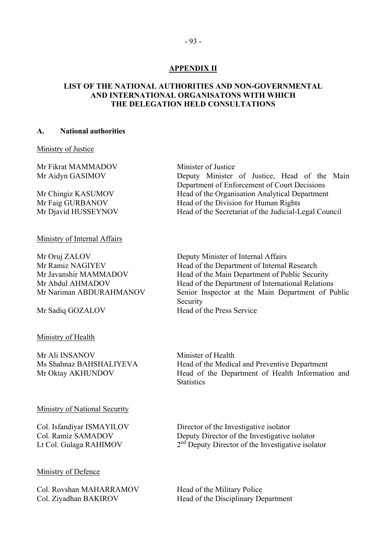## **APPENDIX II**

### **LIST OF THE NATIONAL AUTHORITIES AND NON-GOVERNMENTAL AND INTERNATIONAL ORGANISATONS WITH WHICH THE DELEGATION HELD CONSULTATIONS**

#### **A. National authorities**

Ministry of Justice

Mr Fikrat MAMMADOV Minister of Justice

Ministry of Internal Affairs

Mr Oruj ZALOV Deputy Minister of Internal Affairs

Mr Sadiq GOZALOV

#### Ministry of Health

Mr Ali INSANOV Minister of Health

### Ministry of National Security

#### Ministry of Defence

Col. Rovshan MAHARRAMOV Head of the Military Police

Mr Aidyn GASIMOV Deputy Minister of Justice, Head of the Main Department of Enforcement of Court Decisions Mr Chingiz KASUMOV Head of the Organisation Analytical Department Mr Faig GURBANOV Head of the Division for Human Rights Mr Djavid HUSSEYNOV Head of the Secretariat of the Judicial-Legal Council

Mr Ramiz NAGIYEV Head of the Department of Internal Research Mr Javanshir MAMMADOV Head of the Main Department of Public Security Mr Abdul AHMADOV Head of the Department of International Relations Mr Nariman ABDURAHMANOV Senior Inspector at the Main Department of Public Security<br>Head of the Press Service

Ms Shahnaz BAHSHALIYEVA Head of the Medical and Preventive Department Mr Oktay AKHUNDOV Head of the Department of Health Information and **Statistics** 

Col. Isfandiyar ISMAYILOV Director of the Investigative isolator Col. Ramiz SAMADOV Deputy Director of the Investigative isolator Lt Col. Gulaga RAHIMOV  $2<sup>nd</sup>$  Deputy Director of the Investigative isolator

Col. Ziyadhan BAKIROV Head of the Disciplinary Department